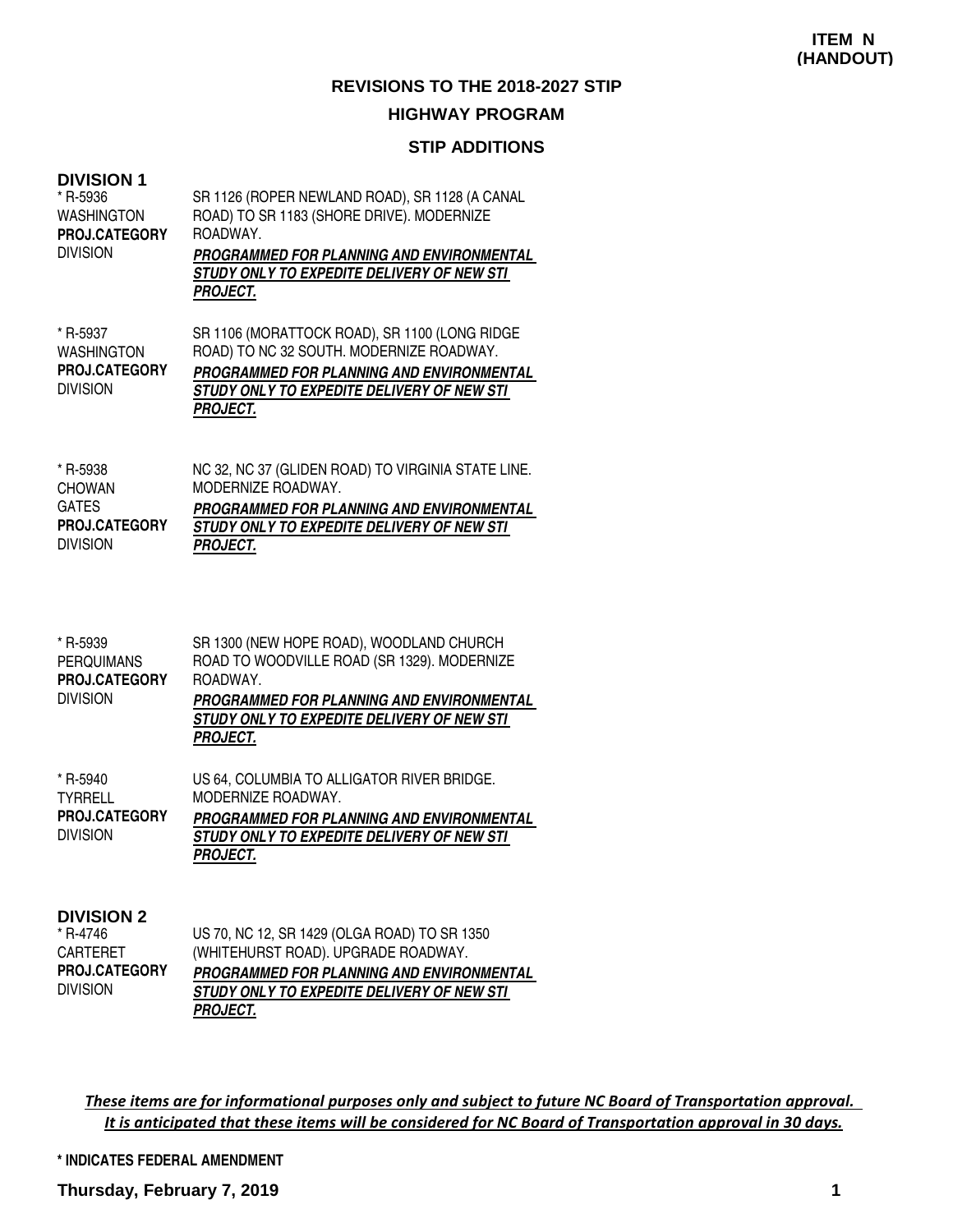## **STIP ADDITIONS**

| <b>DIVISION 1</b><br>* R-5936<br>WASHINGTON<br><b>PROJ.CATEGORY</b><br><b>DIVISION</b> | SR 1126 (ROPER NEWLAND ROAD), SR 1128 (A CANAL<br>ROAD) TO SR 1183 (SHORE DRIVE). MODERNIZE<br>ROADWAY.<br>PROGRAMMED FOR PLANNING AND ENVIRONMENTAL<br><i>STUDY ONLY TO EXPEDITE DELIVERY OF NEW STI</i><br>PROJECT. |
|----------------------------------------------------------------------------------------|-----------------------------------------------------------------------------------------------------------------------------------------------------------------------------------------------------------------------|
| * R-5937<br><b>WASHINGTON</b><br><b>PROJ.CATEGORY</b><br><b>DIVISION</b>               | SR 1106 (MORATTOCK ROAD), SR 1100 (LONG RIDGE<br>ROAD) TO NC 32 SOUTH. MODERNIZE ROADWAY.<br>PROGRAMMED FOR PLANNING AND ENVIRONMENTAL<br>STUDY ONLY TO EXPEDITE DELIVERY OF NEW STI<br>PROJECT.                      |
| * R-5938<br><b>CHOWAN</b><br><b>GATES</b><br><b>PROJ.CATEGORY</b><br><b>DIVISION</b>   | NC 32, NC 37 (GLIDEN ROAD) TO VIRGINIA STATE LINE.<br>MODERNIZE ROADWAY.<br>PROGRAMMED FOR PLANNING AND ENVIRONMENTAL<br>STUDY ONLY TO EXPEDITE DELIVERY OF NEW STI<br>PROJECT.                                       |

| * R-5939<br><b>PERQUIMANS</b><br><b>PROJ.CATEGORY</b><br><b>DIVISION</b> | SR 1300 (NEW HOPE ROAD), WOODLAND CHURCH<br>ROAD TO WOODVILLE ROAD (SR 1329). MODERNIZE<br>ROADWAY.<br>PROGRAMMED FOR PLANNING AND ENVIRONMENTAL<br>STUDY ONLY TO EXPEDITE DELIVERY OF NEW STI<br><b>PROJECT.</b> |
|--------------------------------------------------------------------------|-------------------------------------------------------------------------------------------------------------------------------------------------------------------------------------------------------------------|
| * R-5940<br><b>TYRRELL</b><br><b>PROJ.CATEGORY</b><br><b>DIVISION</b>    | US 64, COLUMBIA TO ALLIGATOR RIVER BRIDGE.<br>MODERNIZE ROADWAY.<br>PROGRAMMED FOR PLANNING AND ENVIRONMENTAL<br>STUDY ONLY TO EXPEDITE DELIVERY OF NEW STI<br><b>PROJECT.</b>                                    |

| <b>DIVISION 2</b> |
|-------------------|
|-------------------|

| * R-4746             | US 70, NC 12, SR 1429 (OLGA ROAD) TO SR 1350     |
|----------------------|--------------------------------------------------|
| CARTERET             | (WHITEHURST ROAD). UPGRADE ROADWAY.              |
| <b>PROJ.CATEGORY</b> | <b>PROGRAMMED FOR PLANNING AND ENVIRONMENTAL</b> |
| division             | STUDY ONLY TO EXPEDITE DELIVERY OF NEW STI       |
|                      | <b>PROJECT.</b>                                  |

These items are for informational purposes only and subject to future NC Board of Transportation approval. It is anticipated that these items will be considered for NC Board of Transportation approval in 30 days.

**\* INDICATES FEDERAL AMENDMENT**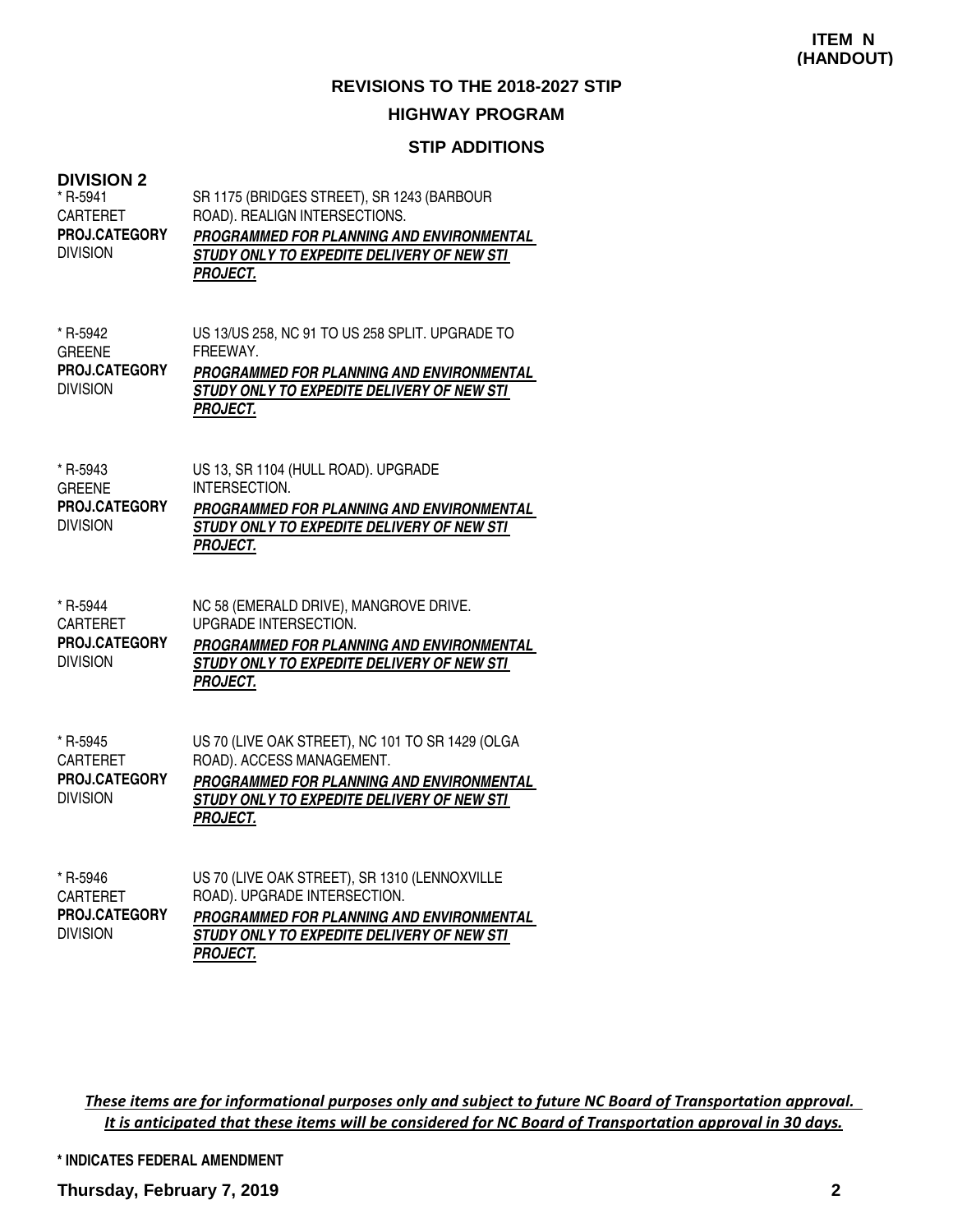#### **STIP ADDITIONS**

#### **DIVISION 2**

| * R-5941<br>CARTERET<br>PROJ.CATEGORY<br><b>DIVISION</b>        | SR 1175 (BRIDGES STREET), SR 1243 (BARBOUR<br>ROAD). REALIGN INTERSECTIONS.<br>PROGRAMMED FOR PLANNING AND ENVIRONMENTAL<br>STUDY ONLY TO EXPEDITE DELIVERY OF NEW STI<br><b>PROJECT.</b>   |
|-----------------------------------------------------------------|---------------------------------------------------------------------------------------------------------------------------------------------------------------------------------------------|
| * R-5942<br><b>GREENE</b><br>PROJ.CATEGORY<br><b>DIVISION</b>   | US 13/US 258, NC 91 TO US 258 SPLIT. UPGRADE TO<br>FREEWAY.<br>PROGRAMMED FOR PLANNING AND ENVIRONMENTAL<br>STUDY ONLY TO EXPEDITE DELIVERY OF NEW STI<br><b>PROJECT.</b>                   |
| * R-5943<br><b>GREENE</b><br>PROJ.CATEGORY<br><b>DIVISION</b>   | US 13, SR 1104 (HULL ROAD). UPGRADE<br>INTERSECTION.<br>PROGRAMMED FOR PLANNING AND ENVIRONMENTAL<br>STUDY ONLY TO EXPEDITE DELIVERY OF NEW STI<br><b>PROJECT.</b>                          |
| * R-5944<br><b>CARTERET</b><br>PROJ.CATEGORY<br><b>DIVISION</b> | NC 58 (EMERALD DRIVE), MANGROVE DRIVE.<br><b>UPGRADE INTERSECTION.</b><br>PROGRAMMED FOR PLANNING AND ENVIRONMENTAL<br>STUDY ONLY TO EXPEDITE DELIVERY OF NEW STI<br><b>PROJECT.</b>        |
| * R-5945<br><b>CARTERET</b><br>PROJ.CATEGORY<br><b>DIVISION</b> | US 70 (LIVE OAK STREET), NC 101 TO SR 1429 (OLGA<br>ROAD). ACCESS MANAGEMENT.<br>PROGRAMMED FOR PLANNING AND ENVIRONMENTAL<br>STUDY ONLY TO EXPEDITE DELIVERY OF NEW STI<br><b>PROJECT.</b> |
| * R-5946                                                        | US 70 (LIVE OAK STREET), SR 1310 (LENNOXVILLE                                                                                                                                               |

| CARTERET             | ROAD). UPGRADE INTERSECTION.                     |
|----------------------|--------------------------------------------------|
| <b>PROJ.CATEGORY</b> | <b>PROGRAMMED FOR PLANNING AND ENVIRONMENTAL</b> |
| <b>DIVISION</b>      | STUDY ONLY TO EXPEDITE DELIVERY OF NEW STI       |
|                      | <b>PROJECT.</b>                                  |

These items are for informational purposes only and subject to future NC Board of Transportation approval. It is anticipated that these items will be considered for NC Board of Transportation approval in 30 days.

**\* INDICATES FEDERAL AMENDMENT**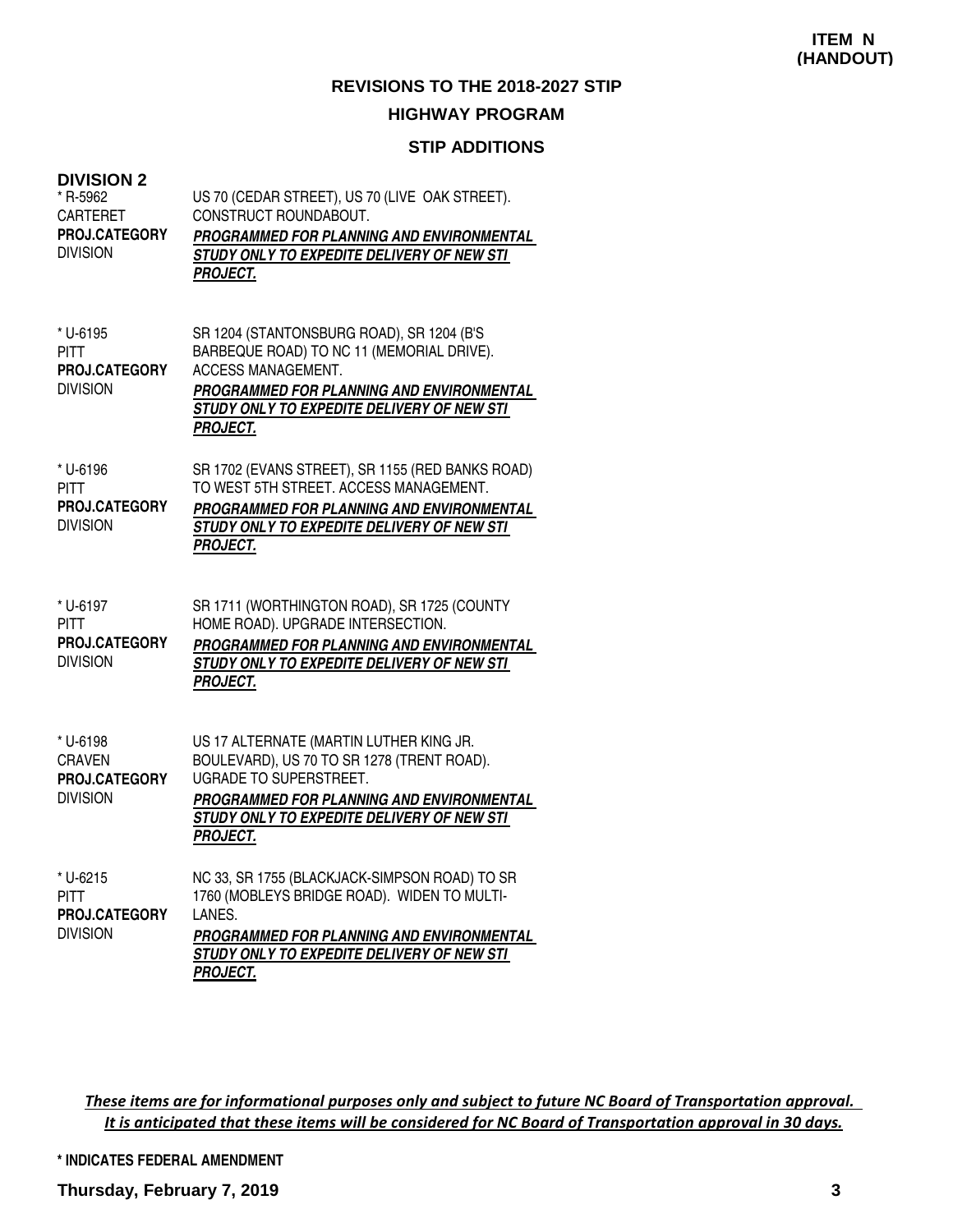## **STIP ADDITIONS**

| <b>DIVISION 2</b> |  |
|-------------------|--|
| * R-5962          |  |

| <b>DIVISION 2</b><br>* R-5962<br><b>CARTERET</b><br><b>PROJ.CATEGORY</b><br><b>DIVISION</b> | US 70 (CEDAR STREET), US 70 (LIVE OAK STREET).<br>CONSTRUCT ROUNDABOUT.<br>PROGRAMMED FOR PLANNING AND ENVIRONMENTAL<br>STUDY ONLY TO EXPEDITE DELIVERY OF NEW STI<br><b>PROJECT.</b>                                                |
|---------------------------------------------------------------------------------------------|--------------------------------------------------------------------------------------------------------------------------------------------------------------------------------------------------------------------------------------|
| * U-6195<br><b>PITT</b><br><b>PROJ.CATEGORY</b><br><b>DIVISION</b>                          | SR 1204 (STANTONSBURG ROAD), SR 1204 (B'S<br>BARBEQUE ROAD) TO NC 11 (MEMORIAL DRIVE).<br><b>ACCESS MANAGEMENT.</b><br>PROGRAMMED FOR PLANNING AND ENVIRONMENTAL<br>STUDY ONLY TO EXPEDITE DELIVERY OF NEW STI<br><b>PROJECT.</b>    |
| * U-6196<br><b>PITT</b><br>PROJ.CATEGORY<br><b>DIVISION</b>                                 | SR 1702 (EVANS STREET), SR 1155 (RED BANKS ROAD)<br>TO WEST 5TH STREET. ACCESS MANAGEMENT.<br>PROGRAMMED FOR PLANNING AND ENVIRONMENTAL<br>STUDY ONLY TO EXPEDITE DELIVERY OF NEW STI<br><b>PROJECT.</b>                             |
| * U-6197<br><b>PITT</b><br>PROJ.CATEGORY<br><b>DIVISION</b>                                 | SR 1711 (WORTHINGTON ROAD), SR 1725 (COUNTY<br>HOME ROAD). UPGRADE INTERSECTION.<br>PROGRAMMED FOR PLANNING AND ENVIRONMENTAL<br>STUDY ONLY TO EXPEDITE DELIVERY OF NEW STI<br><b>PROJECT.</b>                                       |
| * U-6198<br><b>CRAVEN</b><br><b>PROJ.CATEGORY</b><br><b>DIVISION</b>                        | US 17 ALTERNATE (MARTIN LUTHER KING JR.<br>BOULEVARD), US 70 TO SR 1278 (TRENT ROAD).<br><b>UGRADE TO SUPERSTREET.</b><br>PROGRAMMED FOR PLANNING AND ENVIRONMENTAL<br>STUDY ONLY TO EXPEDITE DELIVERY OF NEW STI<br><b>PROJECT.</b> |
| * U-6215<br><b>PITT</b><br>PROJ.CATEGORY<br><b>DIVISION</b>                                 | NC 33, SR 1755 (BLACKJACK-SIMPSON ROAD) TO SR<br>1760 (MOBLEYS BRIDGE ROAD). WIDEN TO MULTI-<br>LANES.<br>PROGRAMMED FOR PLANNING AND ENVIRONMENTAL                                                                                  |

**STUDY ONLY TO EXPEDITE DELIVERY OF NEW STI** 

These items are for informational purposes only and subject to future NC Board of Transportation approval. It is anticipated that these items will be considered for NC Board of Transportation approval in 30 days.

#### **\* INDICATES FEDERAL AMENDMENT**

**PROJECT.**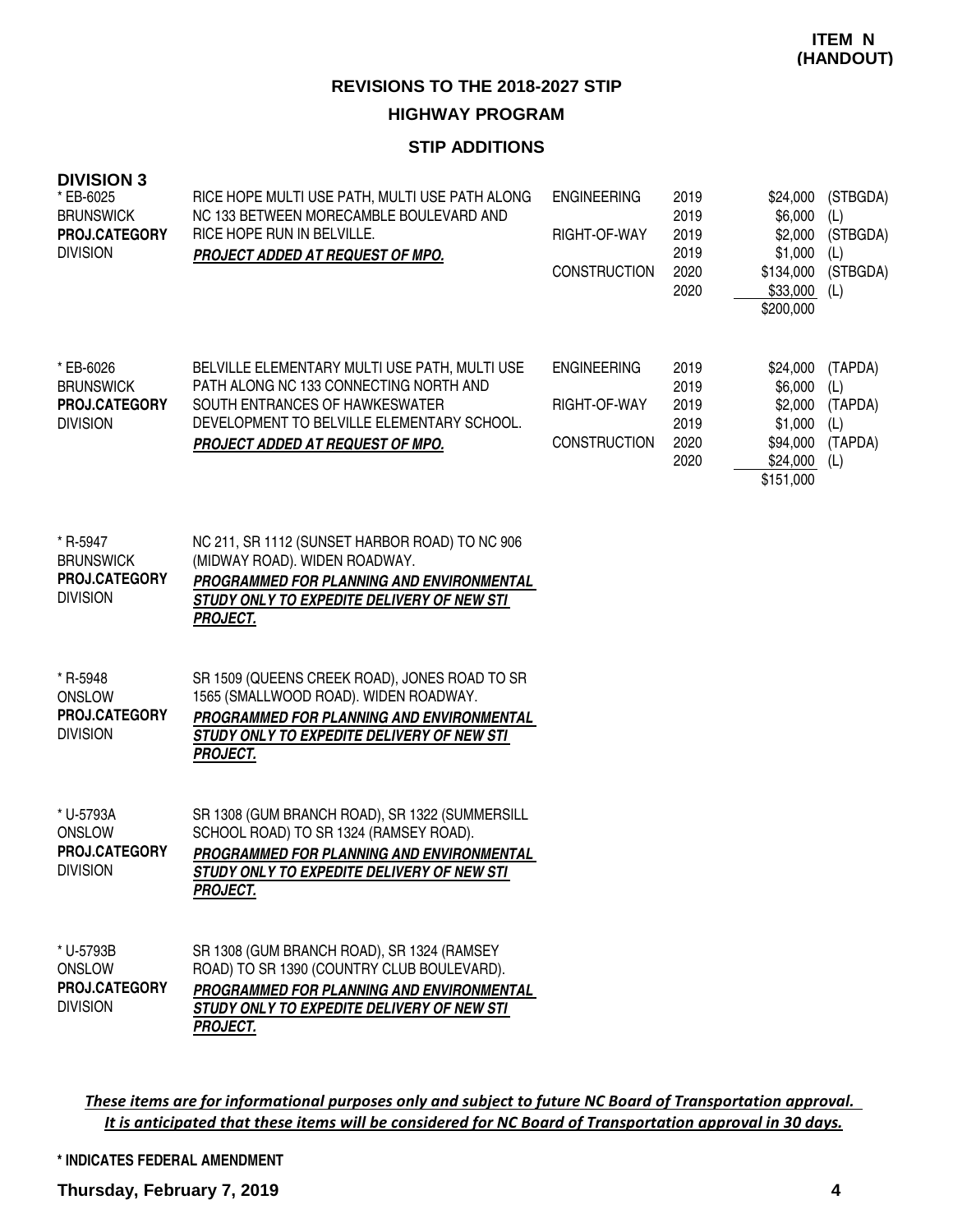## **STIP ADDITIONS**

| <b>DIVISION 3</b><br>* EB-6025<br><b>BRUNSWICK</b><br>PROJ.CATEGORY<br><b>DIVISION</b> | RICE HOPE MULTI USE PATH, MULTI USE PATH ALONG<br>NC 133 BETWEEN MORECAMBLE BOULEVARD AND<br>RICE HOPE RUN IN BELVILLE.<br>PROJECT ADDED AT REQUEST OF MPO.                                                 | <b>ENGINEERING</b><br>RIGHT-OF-WAY<br><b>CONSTRUCTION</b> | 2019<br>2019<br>2019<br>2019<br>2020<br>2020 | \$24,000<br>\$6,000<br>\$2,000<br>\$1,000<br>\$134,000<br>\$33,000<br>\$200,000 | (STBGDA)<br>(L)<br>(STBGDA)<br>(L)<br>(STBGDA)<br>(L) |
|----------------------------------------------------------------------------------------|-------------------------------------------------------------------------------------------------------------------------------------------------------------------------------------------------------------|-----------------------------------------------------------|----------------------------------------------|---------------------------------------------------------------------------------|-------------------------------------------------------|
| * EB-6026<br><b>BRUNSWICK</b><br>PROJ.CATEGORY<br><b>DIVISION</b>                      | BELVILLE ELEMENTARY MULTI USE PATH, MULTI USE<br>PATH ALONG NC 133 CONNECTING NORTH AND<br>SOUTH ENTRANCES OF HAWKESWATER<br>DEVELOPMENT TO BELVILLE ELEMENTARY SCHOOL.<br>PROJECT ADDED AT REQUEST OF MPO. | <b>ENGINEERING</b><br>RIGHT-OF-WAY<br><b>CONSTRUCTION</b> | 2019<br>2019<br>2019<br>2019<br>2020<br>2020 | \$24,000<br>\$6,000<br>\$2,000<br>\$1,000<br>\$94,000<br>\$24,000<br>\$151,000  | (TAPDA)<br>(L)<br>(TAPDA)<br>(L)<br>(TAPDA)<br>(L)    |
| * R-5947<br><b>BRUNSWICK</b><br>PROJ.CATEGORY<br><b>DIVISION</b>                       | NC 211, SR 1112 (SUNSET HARBOR ROAD) TO NC 906<br>(MIDWAY ROAD). WIDEN ROADWAY.<br>PROGRAMMED FOR PLANNING AND ENVIRONMENTAL<br>STUDY ONLY TO EXPEDITE DELIVERY OF NEW STI<br><b>PROJECT.</b>               |                                                           |                                              |                                                                                 |                                                       |
| * R-5948<br>ONSLOW<br>PROJ.CATEGORY<br><b>DIVISION</b>                                 | SR 1509 (QUEENS CREEK ROAD), JONES ROAD TO SR<br>1565 (SMALLWOOD ROAD). WIDEN ROADWAY.<br>PROGRAMMED FOR PLANNING AND ENVIRONMENTAL<br>STUDY ONLY TO EXPEDITE DELIVERY OF NEW STI<br><b>PROJECT.</b>        |                                                           |                                              |                                                                                 |                                                       |
| * U-5793A<br><b>ONSLOW</b><br>PROJ.CATEGORY<br><b>DIVISION</b>                         | SR 1308 (GUM BRANCH ROAD), SR 1322 (SUMMERSILL<br>SCHOOL ROAD) TO SR 1324 (RAMSEY ROAD).<br>PROGRAMMED FOR PLANNING AND ENVIRONMENTAL<br>STUDY ONLY TO EXPEDITE DELIVERY OF NEW STI<br><b>PROJECT.</b>      |                                                           |                                              |                                                                                 |                                                       |
| * U-5793B<br><b>ONSLOW</b><br>PROJ.CATEGORY<br><b>DIVISION</b>                         | SR 1308 (GUM BRANCH ROAD), SR 1324 (RAMSEY<br>ROAD) TO SR 1390 (COUNTRY CLUB BOULEVARD).<br>PROGRAMMED FOR PLANNING AND ENVIRONMENTAL<br>STUDY ONLY TO EXPEDITE DELIVERY OF NEW STI<br><b>PROJECT.</b>      |                                                           |                                              |                                                                                 |                                                       |

These items are for informational purposes only and subject to future NC Board of Transportation approval. It is anticipated that these items will be considered for NC Board of Transportation approval in 30 days.

#### **\* INDICATES FEDERAL AMENDMENT**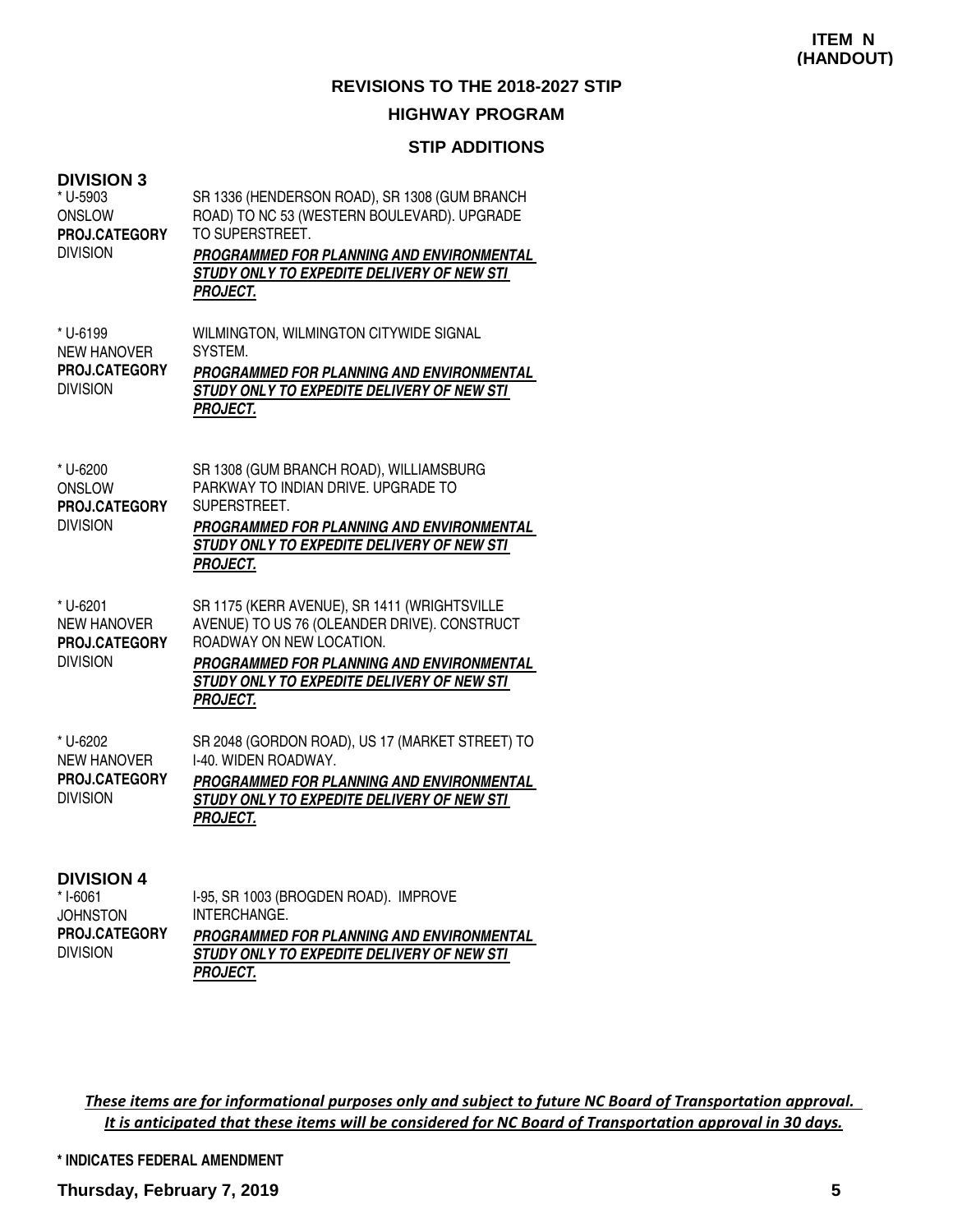## **STIP ADDITIONS**

| <b>DIVISION 3</b><br>* U-5903<br><b>ONSLOW</b><br>PROJ.CATEGORY<br><b>DIVISION</b> | SR 1336 (HENDERSON ROAD), SR 1308 (GUM BRANCH<br>ROAD) TO NC 53 (WESTERN BOULEVARD). UPGRADE<br>TO SUPERSTREET.<br>PROGRAMMED FOR PLANNING AND ENVIRONMENTAL<br>STUDY ONLY TO EXPEDITE DELIVERY OF NEW STI<br><b>PROJECT.</b>          |
|------------------------------------------------------------------------------------|----------------------------------------------------------------------------------------------------------------------------------------------------------------------------------------------------------------------------------------|
| * U-6199<br><b>NEW HANOVER</b><br>PROJ.CATEGORY<br><b>DIVISION</b>                 | WILMINGTON, WILMINGTON CITYWIDE SIGNAL<br>SYSTEM.<br><b>PROGRAMMED FOR PLANNING AND ENVIRONMENTAL</b><br>STUDY ONLY TO EXPEDITE DELIVERY OF NEW STI<br><b>PROJECT.</b>                                                                 |
| * U-6200<br><b>ONSLOW</b><br>PROJ.CATEGORY<br><b>DIVISION</b>                      | SR 1308 (GUM BRANCH ROAD), WILLIAMSBURG<br>PARKWAY TO INDIAN DRIVE, UPGRADE TO<br>SUPERSTREET.<br>PROGRAMMED FOR PLANNING AND ENVIRONMENTAL<br>STUDY ONLY TO EXPEDITE DELIVERY OF NEW STI<br><b>PROJECT.</b>                           |
| * U-6201<br><b>NEW HANOVER</b><br>PROJ.CATEGORY<br><b>DIVISION</b>                 | SR 1175 (KERR AVENUE), SR 1411 (WRIGHTSVILLE<br>AVENUE) TO US 76 (OLEANDER DRIVE). CONSTRUCT<br>ROADWAY ON NEW LOCATION.<br>PROGRAMMED FOR PLANNING AND ENVIRONMENTAL<br>STUDY ONLY TO EXPEDITE DELIVERY OF NEW STI<br><b>PROJECT.</b> |
| * U-6202<br><b>NEW HANOVER</b><br>PROJ.CATEGORY<br><b>DIVISION</b>                 | SR 2048 (GORDON ROAD), US 17 (MARKET STREET) TO<br>I-40. WIDEN ROADWAY.<br>PROGRAMMED FOR PLANNING AND ENVIRONMENTAL<br>STUDY ONLY TO EXPEDITE DELIVERY OF NEW STI<br><b>PROJECT.</b>                                                  |
| <b>DIVISION 4</b>                                                                  |                                                                                                                                                                                                                                        |

| * I-6061             | I-95, SR 1003 (BROGDEN ROAD). IMPROVE            |
|----------------------|--------------------------------------------------|
| <b>JOHNSTON</b>      | INTERCHANGE.                                     |
| <b>PROJ.CATEGORY</b> | <b>PROGRAMMED FOR PLANNING AND ENVIRONMENTAL</b> |
| <b>DIVISION</b>      | STUDY ONLY TO EXPEDITE DELIVERY OF NEW STI       |
|                      | <b>PROJECT.</b>                                  |

These items are for informational purposes only and subject to future NC Board of Transportation approval. It is anticipated that these items will be considered for NC Board of Transportation approval in 30 days.

**\* INDICATES FEDERAL AMENDMENT**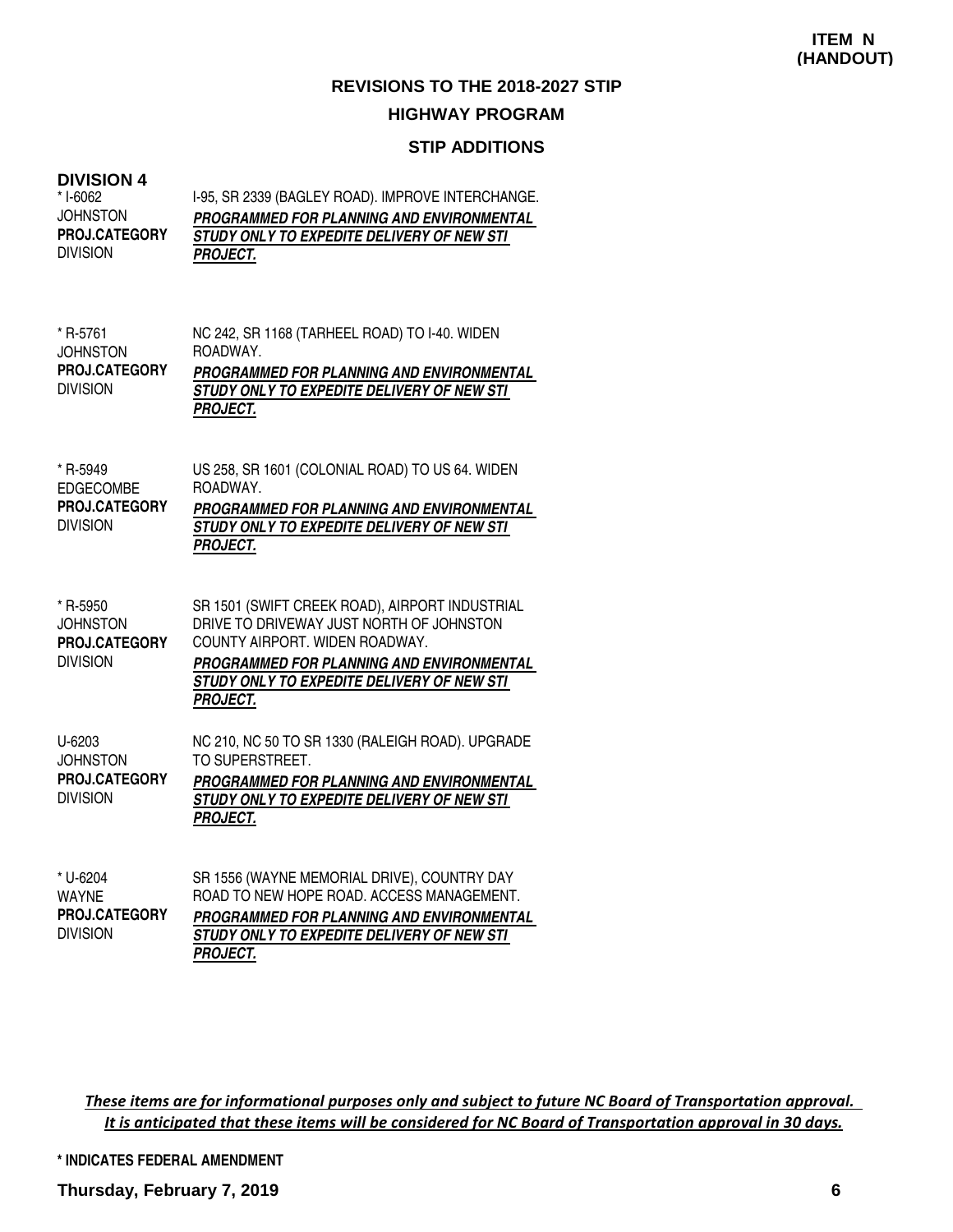## **STIP ADDITIONS**

# **DIVISION 4**

| DIVISION 4<br>* I-6062<br><b>JOHNSTON</b><br>PROJ.CATEGORY<br><b>DIVISION</b> | I-95, SR 2339 (BAGLEY ROAD). IMPROVE INTERCHANGE.<br>PROGRAMMED FOR PLANNING AND ENVIRONMENTAL<br>STUDY ONLY TO EXPEDITE DELIVERY OF NEW STI<br><b>PROJECT.</b>                                                                            |
|-------------------------------------------------------------------------------|--------------------------------------------------------------------------------------------------------------------------------------------------------------------------------------------------------------------------------------------|
| * R-5761<br><b>JOHNSTON</b><br>PROJ.CATEGORY<br><b>DIVISION</b>               | NC 242, SR 1168 (TARHEEL ROAD) TO I-40. WIDEN<br>ROADWAY.<br>PROGRAMMED FOR PLANNING AND ENVIRONMENTAL<br>STUDY ONLY TO EXPEDITE DELIVERY OF NEW STI<br><b>PROJECT.</b>                                                                    |
| * R-5949<br><b>EDGECOMBE</b><br>PROJ.CATEGORY<br><b>DIVISION</b>              | US 258, SR 1601 (COLONIAL ROAD) TO US 64. WIDEN<br>ROADWAY.<br>PROGRAMMED FOR PLANNING AND ENVIRONMENTAL<br>STUDY ONLY TO EXPEDITE DELIVERY OF NEW STI<br><b>PROJECT.</b>                                                                  |
| * R-5950<br><b>JOHNSTON</b><br>PROJ.CATEGORY<br><b>DIVISION</b>               | SR 1501 (SWIFT CREEK ROAD), AIRPORT INDUSTRIAL<br>DRIVE TO DRIVEWAY JUST NORTH OF JOHNSTON<br>COUNTY AIRPORT, WIDEN ROADWAY,<br>PROGRAMMED FOR PLANNING AND ENVIRONMENTAL<br>STUDY ONLY TO EXPEDITE DELIVERY OF NEW STI<br><b>PROJECT.</b> |
| U-6203<br><b>JOHNSTON</b><br>PROJ.CATEGORY<br><b>DIVISION</b>                 | NC 210, NC 50 TO SR 1330 (RALEIGH ROAD). UPGRADE<br>TO SUPERSTREET.<br>PROGRAMMED FOR PLANNING AND ENVIRONMENTAL<br>STUDY ONLY TO EXPEDITE DELIVERY OF NEW STI<br><b>PROJECT.</b>                                                          |
| * U-6204<br><b>WAYNE</b>                                                      | SR 1556 (WAYNE MEMORIAL DRIVE), COUNTRY DAY<br>ROAD TO NEW HOPE ROAD. ACCESS MANAGEMENT.                                                                                                                                                   |

**PROGRAMMED FOR PLANNING AND ENVIRONMENTAL STUDY ONLY TO EXPEDITE DELIVERY OF NEW STI PROJECT.** DIVISION **PROJ.CATEGORY**

These items are for informational purposes only and subject to future NC Board of Transportation approval. It is anticipated that these items will be considered for NC Board of Transportation approval in 30 days.

**\* INDICATES FEDERAL AMENDMENT**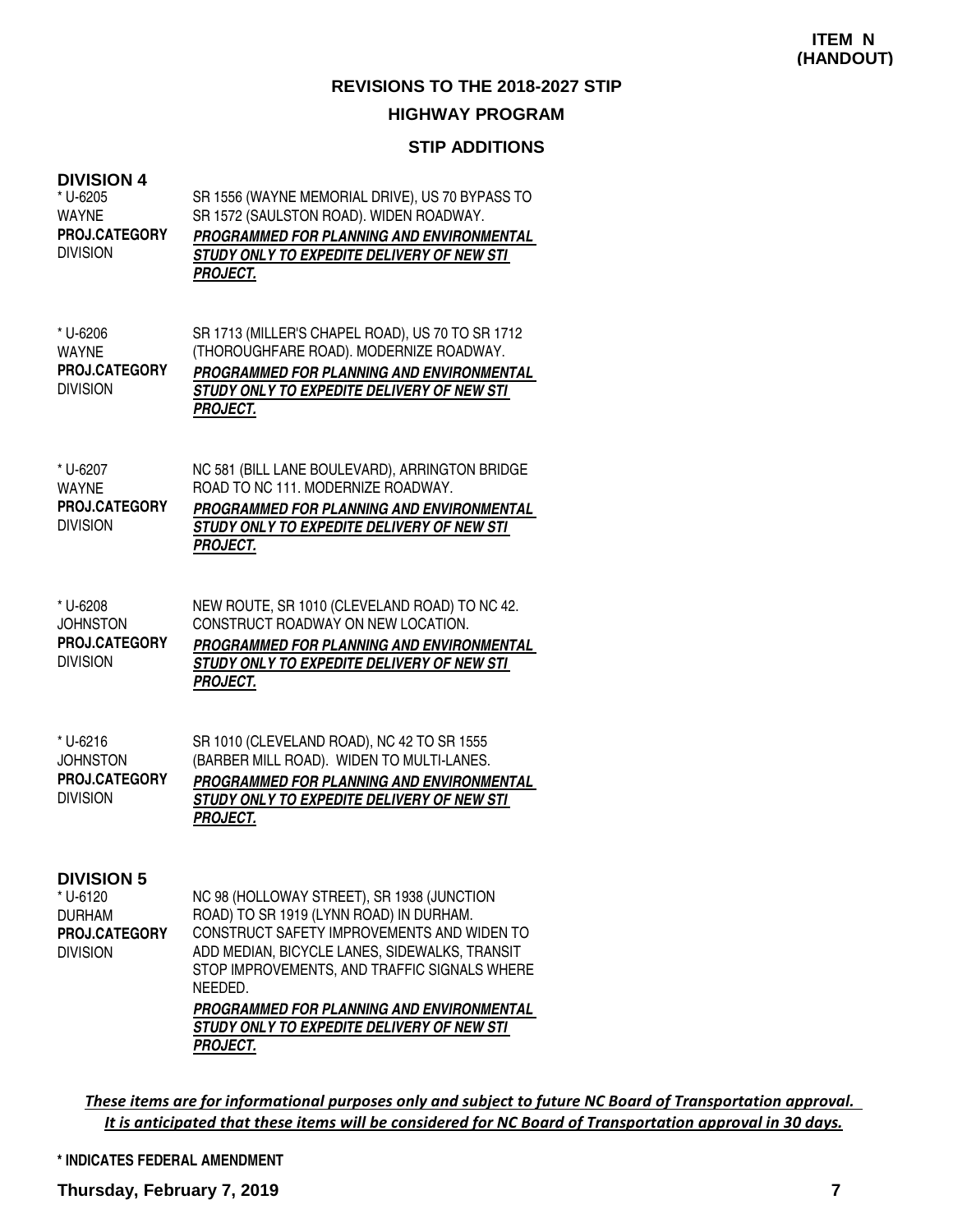## **STIP ADDITIONS**

| <b>DIVISION 4</b><br>* U-6205<br><b>WAYNE</b><br>PROJ.CATEGORY<br><b>DIVISION</b>  | SR 1556 (WAYNE MEMORIAL DRIVE), US 70 BYPASS TO<br>SR 1572 (SAULSTON ROAD). WIDEN ROADWAY.<br>PROGRAMMED FOR PLANNING AND ENVIRONMENTAL<br>STUDY ONLY TO EXPEDITE DELIVERY OF NEW STI<br>PROJECT.                                                                                                                                                                    |
|------------------------------------------------------------------------------------|----------------------------------------------------------------------------------------------------------------------------------------------------------------------------------------------------------------------------------------------------------------------------------------------------------------------------------------------------------------------|
| * U-6206<br><b>WAYNE</b><br>PROJ.CATEGORY<br><b>DIVISION</b>                       | SR 1713 (MILLER'S CHAPEL ROAD), US 70 TO SR 1712<br>(THOROUGHFARE ROAD). MODERNIZE ROADWAY.<br>PROGRAMMED FOR PLANNING AND ENVIRONMENTAL<br>STUDY ONLY TO EXPEDITE DELIVERY OF NEW STI<br><b>PROJECT.</b>                                                                                                                                                            |
| * U-6207<br><b>WAYNE</b><br>PROJ.CATEGORY<br><b>DIVISION</b>                       | NC 581 (BILL LANE BOULEVARD), ARRINGTON BRIDGE<br>ROAD TO NC 111, MODERNIZE ROADWAY.<br>PROGRAMMED FOR PLANNING AND ENVIRONMENTAL<br>STUDY ONLY TO EXPEDITE DELIVERY OF NEW STI<br><b>PROJECT.</b>                                                                                                                                                                   |
| * U-6208<br><b>JOHNSTON</b><br>PROJ.CATEGORY<br><b>DIVISION</b>                    | NEW ROUTE, SR 1010 (CLEVELAND ROAD) TO NC 42.<br>CONSTRUCT ROADWAY ON NEW LOCATION.<br>PROGRAMMED FOR PLANNING AND ENVIRONMENTAL<br>STUDY ONLY TO EXPEDITE DELIVERY OF NEW STI<br><b>PROJECT.</b>                                                                                                                                                                    |
| * U-6216<br><b>JOHNSTON</b><br>PROJ.CATEGORY<br><b>DIVISION</b>                    | SR 1010 (CLEVELAND ROAD), NC 42 TO SR 1555<br>(BARBER MILL ROAD). WIDEN TO MULTI-LANES.<br>PROGRAMMED FOR PLANNING AND ENVIRONMENTAL<br>STUDY ONLY TO EXPEDITE DELIVERY OF NEW STI<br><b>PROJECT.</b>                                                                                                                                                                |
| <b>DIVISION 5</b><br>* U-6120<br><b>DURHAM</b><br>PROJ.CATEGORY<br><b>DIVISION</b> | NC 98 (HOLLOWAY STREET), SR 1938 (JUNCTION<br>ROAD) TO SR 1919 (LYNN ROAD) IN DURHAM.<br>CONSTRUCT SAFETY IMPROVEMENTS AND WIDEN TO<br>ADD MEDIAN, BICYCLE LANES, SIDEWALKS, TRANSIT<br>STOP IMPROVEMENTS, AND TRAFFIC SIGNALS WHERE<br>NEEDED.<br><b>PROGRAMMED FOR PLANNING AND ENVIRONMENTAL</b><br>STUDY ONLY TO EXPEDITE DELIVERY OF NEW STI<br><b>PROJECT.</b> |

These items are for informational purposes only and subject to future NC Board of Transportation approval. It is anticipated that these items will be considered for NC Board of Transportation approval in 30 days.

#### **\* INDICATES FEDERAL AMENDMENT**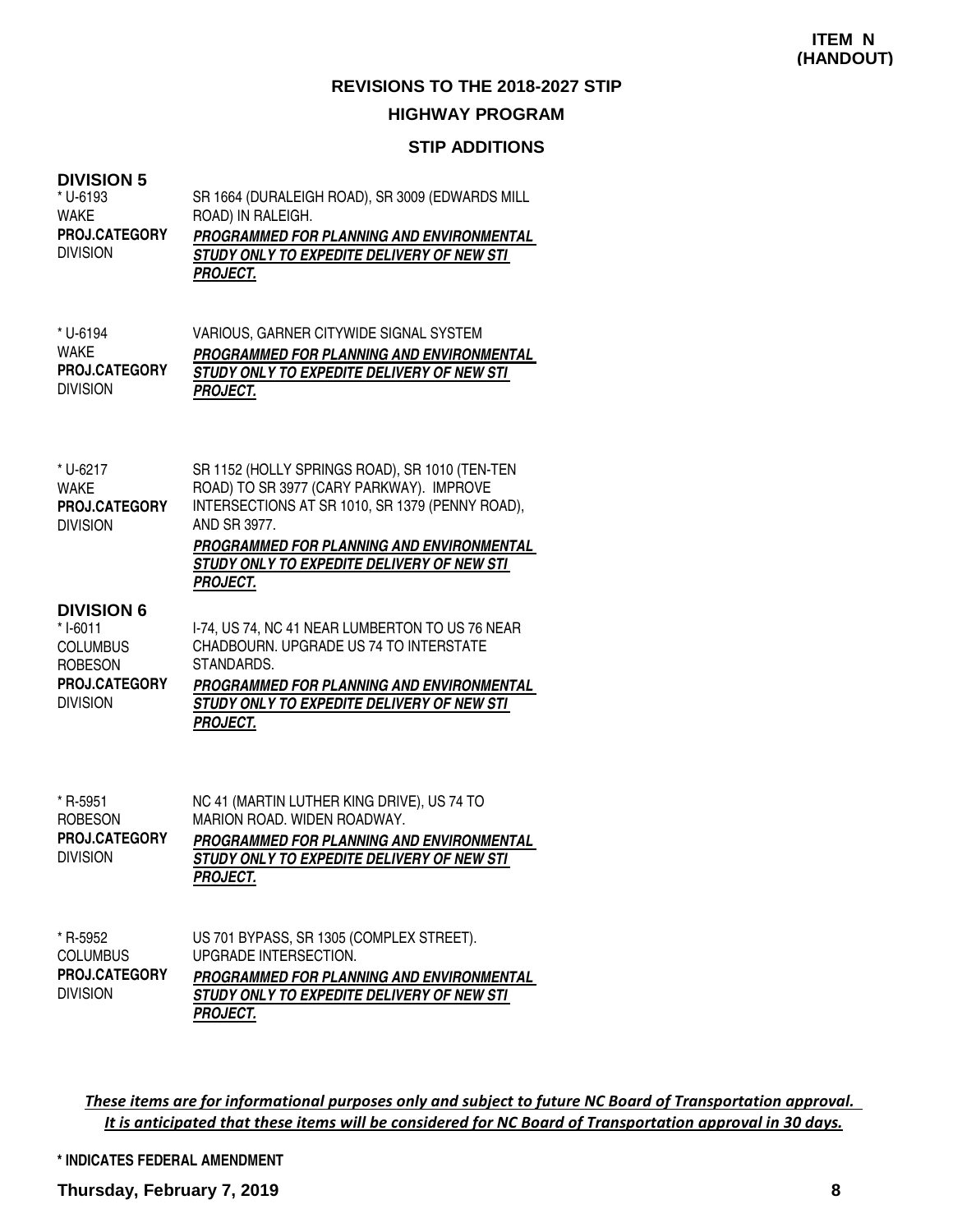## **STIP ADDITIONS**

| <b>DIVISION 5</b>                                                  | SR 1664 (DURALEIGH ROAD), SR 3009 (EDWARDS MILL                                                                                                                                                                                                                             |
|--------------------------------------------------------------------|-----------------------------------------------------------------------------------------------------------------------------------------------------------------------------------------------------------------------------------------------------------------------------|
| * U-6193                                                           | ROAD) IN RALEIGH.                                                                                                                                                                                                                                                           |
| <b>WAKE</b>                                                        | PROGRAMMED FOR PLANNING AND ENVIRONMENTAL                                                                                                                                                                                                                                   |
| PROJ.CATEGORY                                                      | STUDY ONLY TO EXPEDITE DELIVERY OF NEW STI                                                                                                                                                                                                                                  |
| <b>DIVISION</b>                                                    | <b>PROJECT.</b>                                                                                                                                                                                                                                                             |
| * U-6194                                                           | VARIOUS, GARNER CITYWIDE SIGNAL SYSTEM                                                                                                                                                                                                                                      |
| <b>WAKE</b>                                                        | PROGRAMMED FOR PLANNING AND ENVIRONMENTAL                                                                                                                                                                                                                                   |
| PROJ.CATEGORY                                                      | STUDY ONLY TO EXPEDITE DELIVERY OF NEW STI                                                                                                                                                                                                                                  |
| <b>DIVISION</b>                                                    | <b>PROJECT.</b>                                                                                                                                                                                                                                                             |
| * U-6217<br><b>WAKE</b><br><b>PROJ.CATEGORY</b><br><b>DIVISION</b> | SR 1152 (HOLLY SPRINGS ROAD), SR 1010 (TEN-TEN<br>ROAD) TO SR 3977 (CARY PARKWAY). IMPROVE<br>INTERSECTIONS AT SR 1010, SR 1379 (PENNY ROAD),<br>AND SR 3977.<br>PROGRAMMED FOR PLANNING AND ENVIRONMENTAL<br>STUDY ONLY TO EXPEDITE DELIVERY OF NEW STI<br><b>PROJECT.</b> |
| <b>DIVISION 6</b>                                                  | I-74, US 74, NC 41 NEAR LUMBERTON TO US 76 NEAR                                                                                                                                                                                                                             |
| *I-6011                                                            | CHADBOURN. UPGRADE US 74 TO INTERSTATE                                                                                                                                                                                                                                      |
| <b>COLUMBUS</b>                                                    | STANDARDS.                                                                                                                                                                                                                                                                  |
| <b>ROBESON</b>                                                     | PROGRAMMED FOR PLANNING AND ENVIRONMENTAL                                                                                                                                                                                                                                   |
| PROJ.CATEGORY                                                      | STUDY ONLY TO EXPEDITE DELIVERY OF NEW STI                                                                                                                                                                                                                                  |
| <b>DIVISION</b>                                                    | <b>PROJECT.</b>                                                                                                                                                                                                                                                             |
| * R-5951<br><b>ROBESON</b><br>PROJ.CATEGORY<br><b>DIVISION</b>     | NC 41 (MARTIN LUTHER KING DRIVE), US 74 TO<br>MARION ROAD. WIDEN ROADWAY.<br>PROGRAMMED FOR PLANNING AND ENVIRONMENTAL<br>STUDY ONLY TO EXPEDITE DELIVERY OF NEW STI<br><b>PROJECT.</b>                                                                                     |
| * R-5952<br><b>COLUMBUS</b><br>PROJ.CATEGORY<br><b>DIVISION</b>    | US 701 BYPASS, SR 1305 (COMPLEX STREET).<br>UPGRADE INTERSECTION.<br>PROGRAMMED FOR PLANNING AND ENVIRONMENTAL<br>STUDY ONLY TO EXPEDITE DELIVERY OF NEW STI<br><b>PROJECT.</b>                                                                                             |

These items are for informational purposes only and subject to future NC Board of Transportation approval. It is anticipated that these items will be considered for NC Board of Transportation approval in 30 days.

**\* INDICATES FEDERAL AMENDMENT**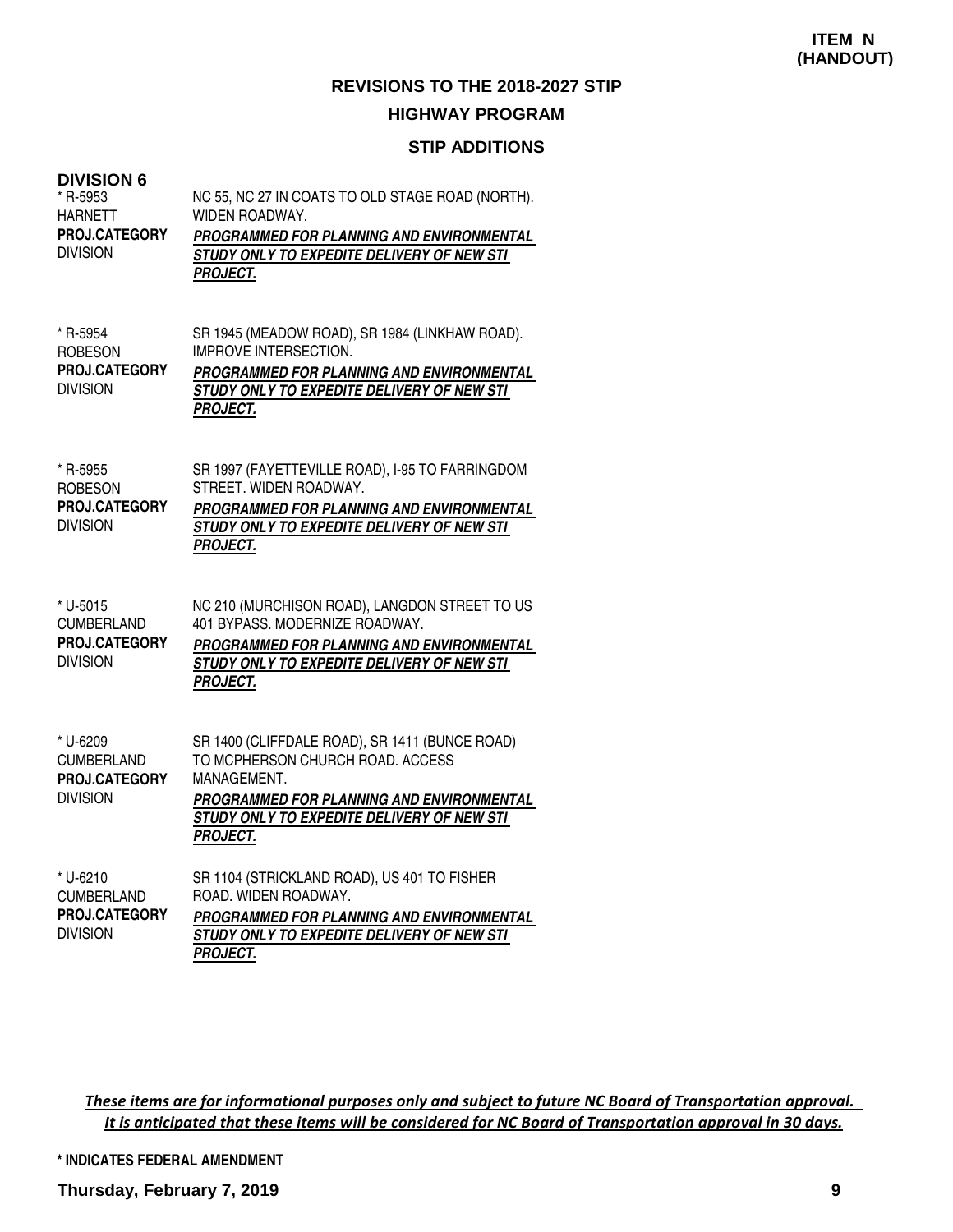## **STIP ADDITIONS**

#### **DIVISION 6**

| * R-5953<br><b>HARNETT</b><br>PROJ.CATEGORY<br><b>DIVISION</b>    | NC 55, NC 27 IN COATS TO OLD STAGE ROAD (NORTH).<br>WIDEN ROADWAY.<br>PROGRAMMED FOR PLANNING AND ENVIRONMENTAL<br>STUDY ONLY TO EXPEDITE DELIVERY OF NEW STI<br><b>PROJECT.</b>                                |
|-------------------------------------------------------------------|-----------------------------------------------------------------------------------------------------------------------------------------------------------------------------------------------------------------|
| * R-5954<br><b>ROBESON</b><br>PROJ.CATEGORY<br><b>DIVISION</b>    | SR 1945 (MEADOW ROAD), SR 1984 (LINKHAW ROAD).<br><b>IMPROVE INTERSECTION.</b><br>PROGRAMMED FOR PLANNING AND ENVIRONMENTAL<br>STUDY ONLY TO EXPEDITE DELIVERY OF NEW STI<br><b>PROJECT.</b>                    |
| * R-5955<br><b>ROBESON</b><br>PROJ.CATEGORY<br><b>DIVISION</b>    | SR 1997 (FAYETTEVILLE ROAD), I-95 TO FARRINGDOM<br>STREET. WIDEN ROADWAY.<br>PROGRAMMED FOR PLANNING AND ENVIRONMENTAL<br>STUDY ONLY TO EXPEDITE DELIVERY OF NEW STI<br><b>PROJECT.</b>                         |
| * U-5015<br><b>CUMBERLAND</b><br>PROJ.CATEGORY<br><b>DIVISION</b> | NC 210 (MURCHISON ROAD), LANGDON STREET TO US<br>401 BYPASS, MODERNIZE ROADWAY,<br>PROGRAMMED FOR PLANNING AND ENVIRONMENTAL<br>STUDY ONLY TO EXPEDITE DELIVERY OF NEW STI<br><b>PROJECT.</b>                   |
| * U-6209<br><b>CUMBERLAND</b><br>PROJ.CATEGORY<br><b>DIVISION</b> | SR 1400 (CLIFFDALE ROAD), SR 1411 (BUNCE ROAD)<br>TO MCPHERSON CHURCH ROAD. ACCESS<br>MANAGEMENT.<br>PROGRAMMED FOR PLANNING AND ENVIRONMENTAL<br>STUDY ONLY TO EXPEDITE DELIVERY OF NEW STI<br><b>PROJECT.</b> |
| * U-6210<br><b>CUMBERLAND</b><br>PROJ.CATEGORY<br><b>DIVISION</b> | SR 1104 (STRICKLAND ROAD), US 401 TO FISHER<br>ROAD. WIDEN ROADWAY.<br>PROGRAMMED FOR PLANNING AND ENVIRONMENTAL<br>STUDY ONLY TO EXPEDITE DELIVERY OF NEW STI<br><b>PROJECT.</b>                               |

These items are for informational purposes only and subject to future NC Board of Transportation approval. It is anticipated that these items will be considered for NC Board of Transportation approval in 30 days.

**\* INDICATES FEDERAL AMENDMENT**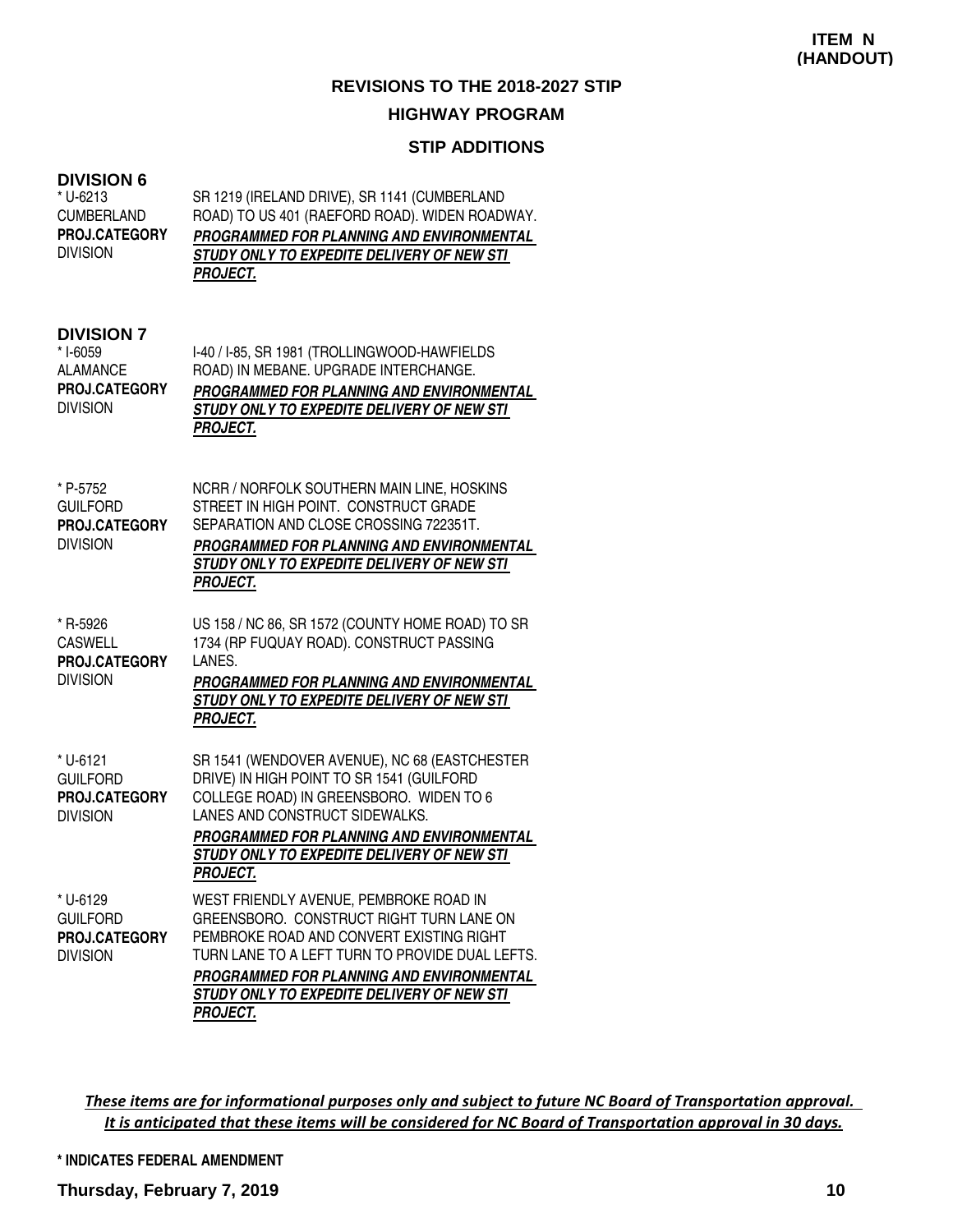## **STIP ADDITIONS**

| <b>DIVISION 6</b><br>* U-6213<br><b>CUMBERLAND</b><br>PROJ.CATEGORY<br><b>DIVISION</b> | SR 1219 (IRELAND DRIVE), SR 1141 (CUMBERLAND<br>ROAD) TO US 401 (RAEFORD ROAD). WIDEN ROADWAY.<br>PROGRAMMED FOR PLANNING AND ENVIRONMENTAL<br>STUDY ONLY TO EXPEDITE DELIVERY OF NEW STI<br><b>PROJECT.</b>                                                                             |
|----------------------------------------------------------------------------------------|------------------------------------------------------------------------------------------------------------------------------------------------------------------------------------------------------------------------------------------------------------------------------------------|
| <b>DIVISION 7</b><br>* I-6059<br><b>ALAMANCE</b><br>PROJ.CATEGORY<br><b>DIVISION</b>   | I-40 / I-85, SR 1981 (TROLLINGWOOD-HAWFIELDS<br>ROAD) IN MEBANE. UPGRADE INTERCHANGE.<br>PROGRAMMED FOR PLANNING AND ENVIRONMENTAL<br>STUDY ONLY TO EXPEDITE DELIVERY OF NEW STI<br>PROJECT.                                                                                             |
| * P-5752<br><b>GUILFORD</b><br>PROJ.CATEGORY<br><b>DIVISION</b>                        | NCRR / NORFOLK SOUTHERN MAIN LINE, HOSKINS<br>STREET IN HIGH POINT. CONSTRUCT GRADE<br>SEPARATION AND CLOSE CROSSING 722351T.<br>PROGRAMMED FOR PLANNING AND ENVIRONMENTAL<br>STUDY ONLY TO EXPEDITE DELIVERY OF NEW STI<br><b>PROJECT.</b>                                              |
| * R-5926<br><b>CASWELL</b><br>PROJ.CATEGORY<br><b>DIVISION</b>                         | US 158 / NC 86, SR 1572 (COUNTY HOME ROAD) TO SR<br>1734 (RP FUQUAY ROAD). CONSTRUCT PASSING<br>LANES.<br>PROGRAMMED FOR PLANNING AND ENVIRONMENTAL<br>STUDY ONLY TO EXPEDITE DELIVERY OF NEW STI<br><b>PROJECT.</b>                                                                     |
| * U-6121<br><b>GUILFORD</b><br>PROJ.CATEGORY<br><b>DIVISION</b>                        | SR 1541 (WENDOVER AVENUE), NC 68 (EASTCHESTER<br>DRIVE) IN HIGH POINT TO SR 1541 (GUILFORD<br>COLLEGE ROAD) IN GREENSBORO. WIDEN TO 6<br>LANES AND CONSTRUCT SIDEWALKS.<br>PROGRAMMED FOR PLANNING AND ENVIRONMENTAL<br>STUDY ONLY TO EXPEDITE DELIVERY OF NEW STI<br><b>PROJECT.</b>    |
| * U-6129<br><b>GUILFORD</b><br>PROJ.CATEGORY<br><b>DIVISION</b>                        | WEST FRIENDLY AVENUE, PEMBROKE ROAD IN<br>GREENSBORO. CONSTRUCT RIGHT TURN LANE ON<br>PEMBROKE ROAD AND CONVERT EXISTING RIGHT<br>TURN LANE TO A LEFT TURN TO PROVIDE DUAL LEFTS.<br>PROGRAMMED FOR PLANNING AND ENVIRONMENTAL<br>STUDY ONLY TO EXPEDITE DELIVERY OF NEW STI<br>PROJECT. |

These items are for informational purposes only and subject to future NC Board of Transportation approval. It is anticipated that these items will be considered for NC Board of Transportation approval in 30 days.

#### **\* INDICATES FEDERAL AMENDMENT**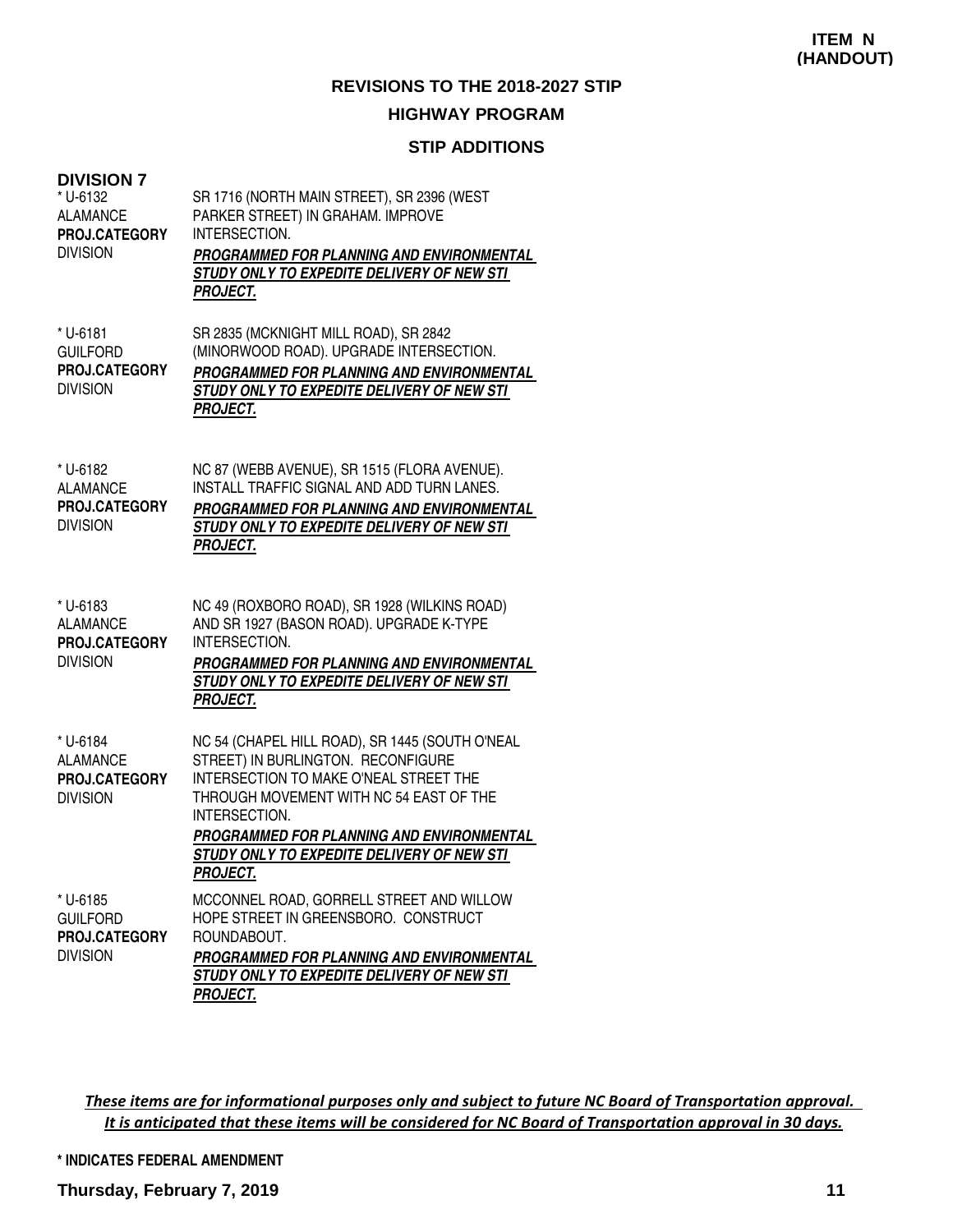#### **STIP ADDITIONS**

| <b>DIVISION 7</b><br>* U-6132<br><b>ALAMANCE</b><br>PROJ.CATEGORY<br><b>DIVISION</b> | SR 1716 (NORTH MAIN STREET), SR 2396 (WEST<br>PARKER STREET) IN GRAHAM. IMPROVE<br>INTERSECTION.<br>PROGRAMMED FOR PLANNING AND ENVIRONMENTAL<br>STUDY ONLY TO EXPEDITE DELIVERY OF NEW STI<br><b>PROJECT.</b>                                                                                            |
|--------------------------------------------------------------------------------------|-----------------------------------------------------------------------------------------------------------------------------------------------------------------------------------------------------------------------------------------------------------------------------------------------------------|
| * U-6181<br><b>GUILFORD</b><br>PROJ.CATEGORY<br><b>DIVISION</b>                      | SR 2835 (MCKNIGHT MILL ROAD), SR 2842<br>(MINORWOOD ROAD). UPGRADE INTERSECTION.<br>PROGRAMMED FOR PLANNING AND ENVIRONMENTAL<br>STUDY ONLY TO EXPEDITE DELIVERY OF NEW STI<br><b>PROJECT.</b>                                                                                                            |
| * U-6182<br><b>ALAMANCE</b><br>PROJ.CATEGORY<br><b>DIVISION</b>                      | NC 87 (WEBB AVENUE), SR 1515 (FLORA AVENUE).<br>INSTALL TRAFFIC SIGNAL AND ADD TURN LANES.<br>PROGRAMMED FOR PLANNING AND ENVIRONMENTAL<br>STUDY ONLY TO EXPEDITE DELIVERY OF NEW STI<br><b>PROJECT.</b>                                                                                                  |
| * U-6183<br><b>ALAMANCE</b><br>PROJ.CATEGORY<br><b>DIVISION</b>                      | NC 49 (ROXBORO ROAD), SR 1928 (WILKINS ROAD)<br>AND SR 1927 (BASON ROAD). UPGRADE K-TYPE<br>INTERSECTION.<br>PROGRAMMED FOR PLANNING AND ENVIRONMENTAL<br>STUDY ONLY TO EXPEDITE DELIVERY OF NEW STI<br><b>PROJECT.</b>                                                                                   |
| * U-6184<br><b>ALAMANCE</b><br>PROJ.CATEGORY<br><b>DIVISION</b>                      | NC 54 (CHAPEL HILL ROAD), SR 1445 (SOUTH O'NEAL<br>STREET) IN BURLINGTON. RECONFIGURE<br>INTERSECTION TO MAKE O'NEAL STREET THE<br>THROUGH MOVEMENT WITH NC 54 EAST OF THE<br>INTERSECTION.<br>PROGRAMMED FOR PLANNING AND ENVIRONMENTAL<br>STUDY ONLY TO EXPEDITE DELIVERY OF NEW STI<br><u>PROJECT.</u> |
| * U-6185<br><b>GUILFORD</b><br>PROJ.CATEGORY<br><b>DIVISION</b>                      | MCCONNEL ROAD, GORRELL STREET AND WILLOW<br>HOPE STREET IN GREENSBORO. CONSTRUCT<br>ROUNDABOUT.<br>PROGRAMMED FOR PLANNING AND ENVIRONMENTAL<br>STUDY ONLY TO EXPEDITE DELIVERY OF NEW STI<br><b>PROJECT.</b>                                                                                             |

These items are for informational purposes only and subject to future NC Board of Transportation approval. It is anticipated that these items will be considered for NC Board of Transportation approval in 30 days.

**\* INDICATES FEDERAL AMENDMENT**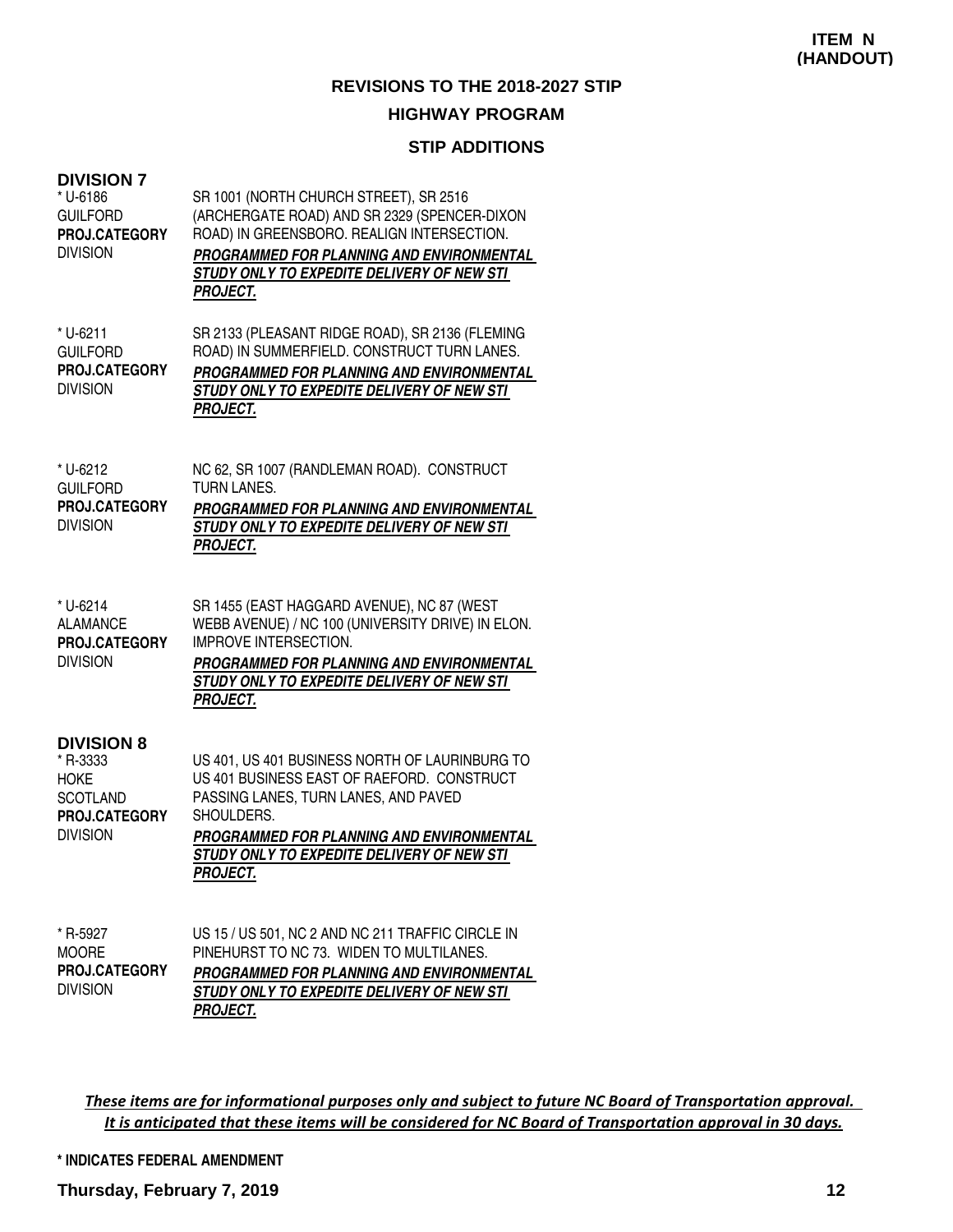## **STIP ADDITIONS**

| <b>DIVISION 7</b><br>* U-6186<br><b>GUILFORD</b><br>PROJ.CATEGORY<br><b>DIVISION</b>                       | SR 1001 (NORTH CHURCH STREET), SR 2516<br>(ARCHERGATE ROAD) AND SR 2329 (SPENCER-DIXON<br>ROAD) IN GREENSBORO. REALIGN INTERSECTION.<br>PROGRAMMED FOR PLANNING AND ENVIRONMENTAL<br>STUDY ONLY TO EXPEDITE DELIVERY OF NEW STI<br><b>PROJECT.</b>                      |
|------------------------------------------------------------------------------------------------------------|-------------------------------------------------------------------------------------------------------------------------------------------------------------------------------------------------------------------------------------------------------------------------|
| * U-6211<br><b>GUILFORD</b><br>PROJ.CATEGORY<br><b>DIVISION</b>                                            | SR 2133 (PLEASANT RIDGE ROAD), SR 2136 (FLEMING<br>ROAD) IN SUMMERFIELD. CONSTRUCT TURN LANES.<br>PROGRAMMED FOR PLANNING AND ENVIRONMENTAL<br>STUDY ONLY TO EXPEDITE DELIVERY OF NEW STI<br><b>PROJECT.</b>                                                            |
| * U-6212<br><b>GUILFORD</b><br>PROJ.CATEGORY<br><b>DIVISION</b>                                            | NC 62, SR 1007 (RANDLEMAN ROAD). CONSTRUCT<br><b>TURN LANES.</b><br>PROGRAMMED FOR PLANNING AND ENVIRONMENTAL<br>STUDY ONLY TO EXPEDITE DELIVERY OF NEW STI<br><b>PROJECT.</b>                                                                                          |
| * U-6214<br><b>ALAMANCE</b><br><b>PROJ.CATEGORY</b><br><b>DIVISION</b>                                     | SR 1455 (EAST HAGGARD AVENUE), NC 87 (WEST<br>WEBB AVENUE) / NC 100 (UNIVERSITY DRIVE) IN ELON.<br><b>IMPROVE INTERSECTION.</b><br>PROGRAMMED FOR PLANNING AND ENVIRONMENTAL<br>STUDY ONLY TO EXPEDITE DELIVERY OF NEW STI<br><b>PROJECT.</b>                           |
| <b>DIVISION 8</b><br>* R-3333<br><b>HOKE</b><br><b>SCOTLAND</b><br><b>PROJ.CATEGORY</b><br><b>DIVISION</b> | US 401, US 401 BUSINESS NORTH OF LAURINBURG TO<br>US 401 BUSINESS EAST OF RAEFORD. CONSTRUCT<br>PASSING LANES, TURN LANES, AND PAVED<br>SHOULDERS.<br>PROGRAMMED FOR PLANNING AND ENVIRONMENTAL<br>STUDY ONLY TO EXPEDITE DELIVERY OF NEW STI<br><i><b>PROJECT.</b></i> |
| * R-5927<br><b>MOORE</b><br>PROJ.CATEGORY<br><b>DIVISION</b>                                               | US 15 / US 501, NC 2 AND NC 211 TRAFFIC CIRCLE IN<br>PINEHURST TO NC 73. WIDEN TO MULTILANES.<br>PROGRAMMED FOR PLANNING AND ENVIRONMENTAL<br>STUDY ONLY TO EXPEDITE DELIVERY OF NEW STI<br><b>PROJECT.</b>                                                             |

These items are for informational purposes only and subject to future NC Board of Transportation approval. It is anticipated that these items will be considered for NC Board of Transportation approval in 30 days.

**\* INDICATES FEDERAL AMENDMENT**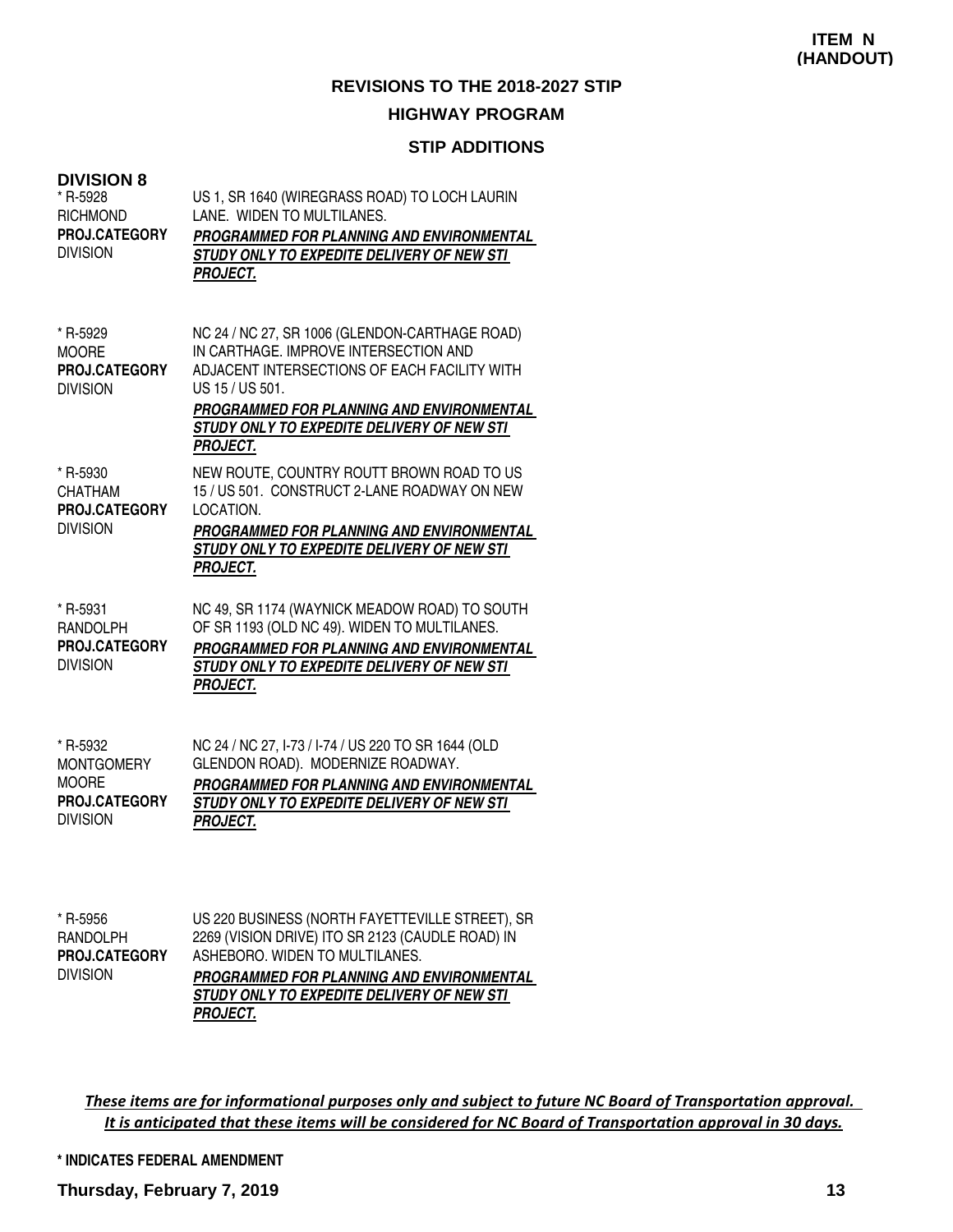## **STIP ADDITIONS**

| <b>DIVISION 8</b><br>* R-5928<br><b>RICHMOND</b><br>PROJ.CATEGORY<br><b>DIVISION</b> | US 1, SR 1640 (WIREGRASS ROAD) TO LOCH LAURIN<br>LANE. WIDEN TO MULTILANES.<br>PROGRAMMED FOR PLANNING AND ENVIRONMENTAL<br>STUDY ONLY TO EXPEDITE DELIVERY OF NEW STI<br><b>PROJECT.</b>                                                                                |
|--------------------------------------------------------------------------------------|--------------------------------------------------------------------------------------------------------------------------------------------------------------------------------------------------------------------------------------------------------------------------|
| * R-5929<br><b>MOORE</b><br>PROJ.CATEGORY<br><b>DIVISION</b>                         | NC 24 / NC 27, SR 1006 (GLENDON-CARTHAGE ROAD)<br>IN CARTHAGE. IMPROVE INTERSECTION AND<br>ADJACENT INTERSECTIONS OF EACH FACILITY WITH<br>US 15 / US 501.<br>PROGRAMMED FOR PLANNING AND ENVIRONMENTAL<br>STUDY ONLY TO EXPEDITE DELIVERY OF NEW STI<br><b>PROJECT.</b> |
| * R-5930<br><b>CHATHAM</b><br>PROJ.CATEGORY<br><b>DIVISION</b>                       | NEW ROUTE, COUNTRY ROUTT BROWN ROAD TO US<br>15 / US 501. CONSTRUCT 2-LANE ROADWAY ON NEW<br>LOCATION.<br>PROGRAMMED FOR PLANNING AND ENVIRONMENTAL<br>STUDY ONLY TO EXPEDITE DELIVERY OF NEW STI<br><b>PROJECT.</b>                                                     |
| * R-5931<br><b>RANDOLPH</b><br><b>PROJ.CATEGORY</b><br><b>DIVISION</b>               | NC 49, SR 1174 (WAYNICK MEADOW ROAD) TO SOUTH<br>OF SR 1193 (OLD NC 49). WIDEN TO MULTILANES.<br>PROGRAMMED FOR PLANNING AND ENVIRONMENTAL<br>STUDY ONLY TO EXPEDITE DELIVERY OF NEW STI<br><b>PROJECT.</b>                                                              |
| * R-5932<br><b>MONTGOMERY</b><br><b>MOORE</b><br>PROJ.CATEGORY<br><b>DIVISION</b>    | NC 24 / NC 27, I-73 / I-74 / US 220 TO SR 1644 (OLD<br>GLENDON ROAD). MODERNIZE ROADWAY.<br>PROGRAMMED FOR PLANNING AND ENVIRONMENTAL<br>STUDY ONLY TO EXPEDITE DELIVERY OF NEW STI<br><b>PROJECT.</b>                                                                   |

| * R-5956<br>RANDOLPH | US 220 BUSINESS (NORTH FAYETTEVILLE STREET), SR<br>2269 (VISION DRIVE) ITO SR 2123 (CAUDLE ROAD) IN |
|----------------------|-----------------------------------------------------------------------------------------------------|
| PROJ.CATEGORY        | ASHEBORO, WIDEN TO MULTILANES.                                                                      |
| <b>DIVISION</b>      | PROGRAMMED FOR PLANNING AND ENVIRONMENTAL                                                           |
|                      | STUDY ONLY TO EXPEDITE DELIVERY OF NEW STI                                                          |
|                      | <b>PROJECT.</b>                                                                                     |

These items are for informational purposes only and subject to future NC Board of Transportation approval. It is anticipated that these items will be considered for NC Board of Transportation approval in 30 days.

#### **\* INDICATES FEDERAL AMENDMENT**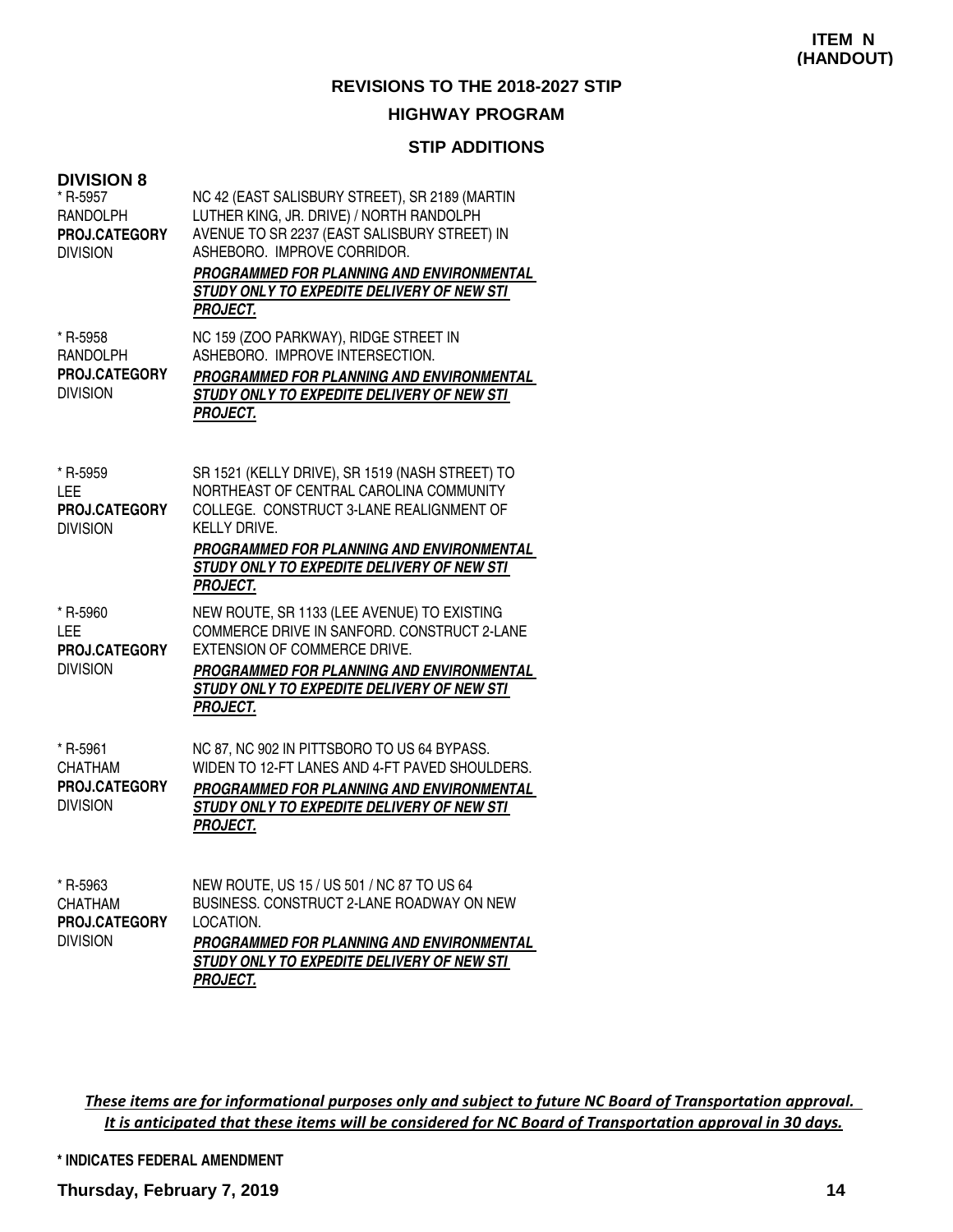# **STIP ADDITIONS**

| <b>DIVISION 8</b><br>* R-5957<br><b>RANDOLPH</b><br>PROJ.CATEGORY<br><b>DIVISION</b> | NC 42 (EAST SALISBURY STREET), SR 2189 (MARTIN<br>LUTHER KING, JR. DRIVE) / NORTH RANDOLPH<br>AVENUE TO SR 2237 (EAST SALISBURY STREET) IN<br>ASHEBORO. IMPROVE CORRIDOR.<br>PROGRAMMED FOR PLANNING AND ENVIRONMENTAL<br>STUDY ONLY TO EXPEDITE DELIVERY OF NEW STI<br><b>PROJECT.</b> |
|--------------------------------------------------------------------------------------|-----------------------------------------------------------------------------------------------------------------------------------------------------------------------------------------------------------------------------------------------------------------------------------------|
| * R-5958<br>RANDOLPH<br><b>PROJ.CATEGORY</b><br><b>DIVISION</b>                      | NC 159 (ZOO PARKWAY), RIDGE STREET IN<br>ASHEBORO. IMPROVE INTERSECTION.<br>PROGRAMMED FOR PLANNING AND ENVIRONMENTAL<br>STUDY ONLY TO EXPEDITE DELIVERY OF NEW STI<br><b>PROJECT.</b>                                                                                                  |
| * R-5959<br>LEE<br><b>PROJ.CATEGORY</b><br><b>DIVISION</b>                           | SR 1521 (KELLY DRIVE), SR 1519 (NASH STREET) TO<br>NORTHEAST OF CENTRAL CAROLINA COMMUNITY<br>COLLEGE. CONSTRUCT 3-LANE REALIGNMENT OF<br><b>KELLY DRIVE.</b><br>PROGRAMMED FOR PLANNING AND ENVIRONMENTAL<br>STUDY ONLY TO EXPEDITE DELIVERY OF NEW STI<br><b>PROJECT.</b>             |
| * R-5960<br>LEE<br><b>PROJ.CATEGORY</b><br><b>DIVISION</b>                           | NEW ROUTE, SR 1133 (LEE AVENUE) TO EXISTING<br>COMMERCE DRIVE IN SANFORD. CONSTRUCT 2-LANE<br><b>EXTENSION OF COMMERCE DRIVE.</b><br>PROGRAMMED FOR PLANNING AND ENVIRONMENTAL<br>STUDY ONLY TO EXPEDITE DELIVERY OF NEW STI<br><b>PROJECT.</b>                                         |
| * R-5961<br>CHATHAM<br><b>PROJ.CATEGORY</b><br><b>DIVISION</b>                       | NC 87, NC 902 IN PITTSBORO TO US 64 BYPASS.<br>WIDEN TO 12-FT LANES AND 4-FT PAVED SHOULDERS.<br>PROGRAMMED FOR PLANNING AND ENVIRONMENTAL<br>STUDY ONLY TO EXPEDITE DELIVERY OF NEW STI<br><b>PROJECT.</b>                                                                             |
| * R-5963<br><b>CHATHAM</b><br><b>PROJ.CATEGORY</b><br><b>DIVISION</b>                | NEW ROUTE, US 15 / US 501 / NC 87 TO US 64<br>BUSINESS. CONSTRUCT 2-LANE ROADWAY ON NEW<br>LOCATION.<br>PROGRAMMED FOR PLANNING AND ENVIRONMENTAL<br>STUDY ONLY TO EXPEDITE DELIVERY OF NEW STI                                                                                         |

**PROJECT.**

These items are for informational purposes only and subject to future NC Board of Transportation approval. It is anticipated that these items will be considered for NC Board of Transportation approval in 30 days.

#### **\* INDICATES FEDERAL AMENDMENT**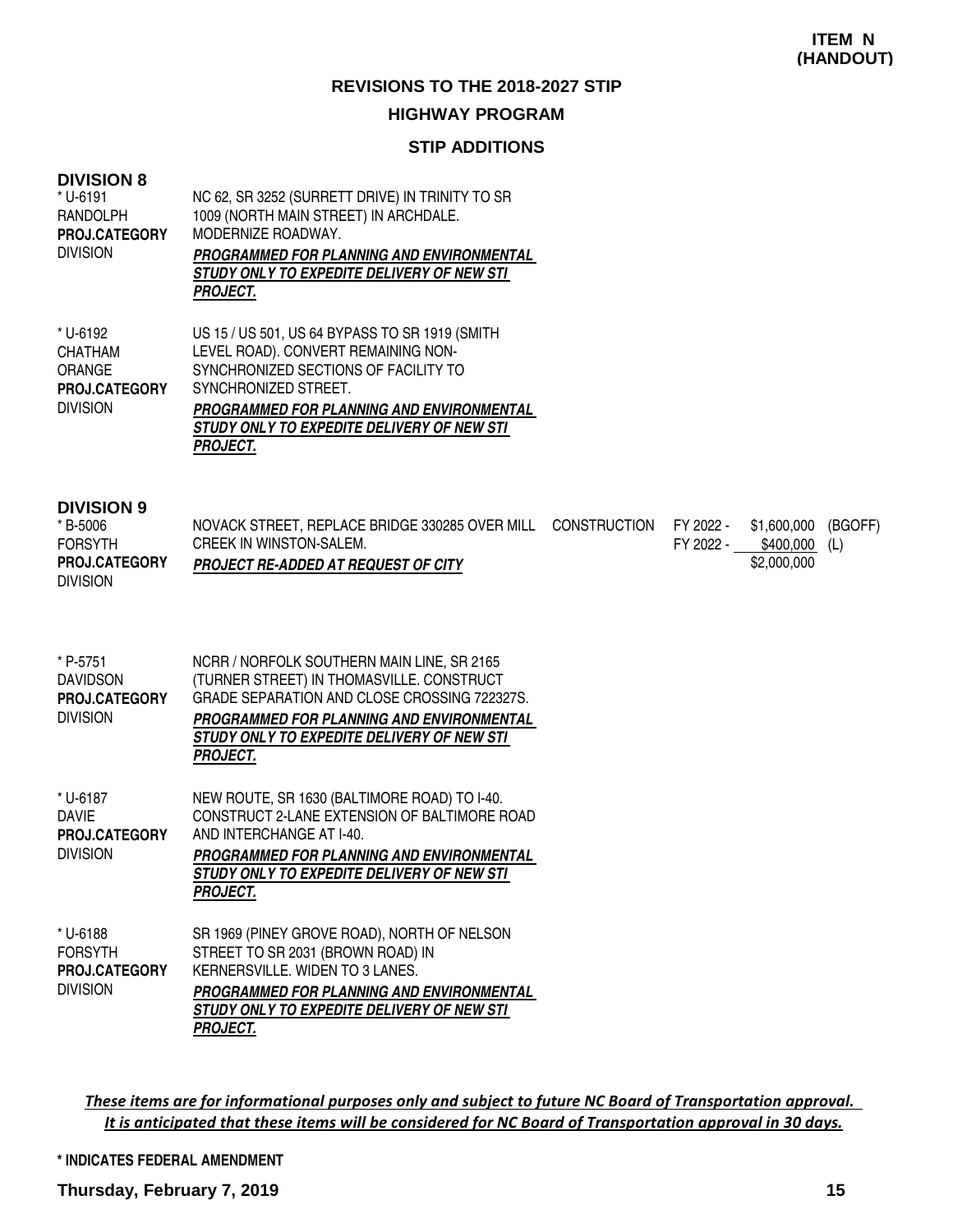#### **STIP ADDITIONS**

#### **DIVISION 8**

| * U-6191<br><b>RANDOLPH</b><br>PROJ.CATEGORY<br><b>DIVISION</b>                        | NC 62, SR 3252 (SURRETT DRIVE) IN TRINITY TO SR<br>1009 (NORTH MAIN STREET) IN ARCHDALE.<br>MODERNIZE ROADWAY.<br>PROGRAMMED FOR PLANNING AND ENVIRONMENTAL<br>STUDY ONLY TO EXPEDITE DELIVERY OF NEW STI<br><b>PROJECT.</b>                                 |
|----------------------------------------------------------------------------------------|--------------------------------------------------------------------------------------------------------------------------------------------------------------------------------------------------------------------------------------------------------------|
| * U-6192<br><b>CHATHAM</b><br><b>ORANGE</b><br><b>PROJ.CATEGORY</b><br><b>DIVISION</b> | US 15 / US 501, US 64 BYPASS TO SR 1919 (SMITH<br>LEVEL ROAD). CONVERT REMAINING NON-<br>SYNCHRONIZED SECTIONS OF FACILITY TO<br>SYNCHRONIZED STREET.<br>PROGRAMMED FOR PLANNING AND ENVIRONMENTAL<br>STUDY ONLY TO EXPEDITE DELIVERY OF NEW STI<br>PROJECT. |

#### **DIVISION 9**

| * B-5006             | NOVACK STREET, REPLACE BRIDGE 330285 OVER MILL CONSTRUCTION FY 2022 - |           | \$1,600,000   | (BGOFF) |
|----------------------|-----------------------------------------------------------------------|-----------|---------------|---------|
| <b>FORSYTH</b>       | <b>CREEK IN WINSTON-SALEM.</b>                                        | FY 2022 - | \$400,000 (L) |         |
| <b>PROJ.CATEGORY</b> | <b>PROJECT RE-ADDED AT REQUEST OF CITY</b>                            |           | \$2,000,000   |         |
| <b>DIVISION</b>      |                                                                       |           |               |         |

| * P-5751<br><b>DAVIDSON</b><br><b>PROJ.CATEGORY</b><br><b>DIVISION</b> | NCRR / NORFOLK SOUTHERN MAIN LINE, SR 2165<br>(TURNER STREET) IN THOMASVILLE. CONSTRUCT<br>GRADE SEPARATION AND CLOSE CROSSING 722327S.<br>PROGRAMMED FOR PLANNING AND ENVIRONMENTAL<br>STUDY ONLY TO EXPEDITE DELIVERY OF NEW STI<br>PROJECT. |
|------------------------------------------------------------------------|------------------------------------------------------------------------------------------------------------------------------------------------------------------------------------------------------------------------------------------------|
| * U-6187<br>DAVIE<br><b>PROJ.CATEGORY</b><br><b>DIVISION</b>           | NEW ROUTE, SR 1630 (BALTIMORE ROAD) TO I-40.<br>CONSTRUCT 2-LANE EXTENSION OF BALTIMORE ROAD<br>AND INTERCHANGE AT I-40.<br>PROGRAMMED FOR PLANNING AND ENVIRONMENTAL<br><i>STUDY ONLY TO EXPEDITE DELIVERY OF NEW STI</i><br><b>PROJECT.</b>  |
| * U-6188<br><b>FORSYTH</b><br><b>PROJ.CATEGORY</b><br><b>DIVISION</b>  | SR 1969 (PINEY GROVE ROAD), NORTH OF NELSON<br>STREET TO SR 2031 (BROWN ROAD) IN<br>KERNERSVILLE, WIDEN TO 3 LANES.<br>PROGRAMMED FOR PLANNING AND ENVIRONMENTAL<br>STUDY ONLY TO EXPEDITE DELIVERY OF NEW STI<br>PROJECT.                     |

These items are for informational purposes only and subject to future NC Board of Transportation approval. It is anticipated that these items will be considered for NC Board of Transportation approval in 30 days.

#### **\* INDICATES FEDERAL AMENDMENT**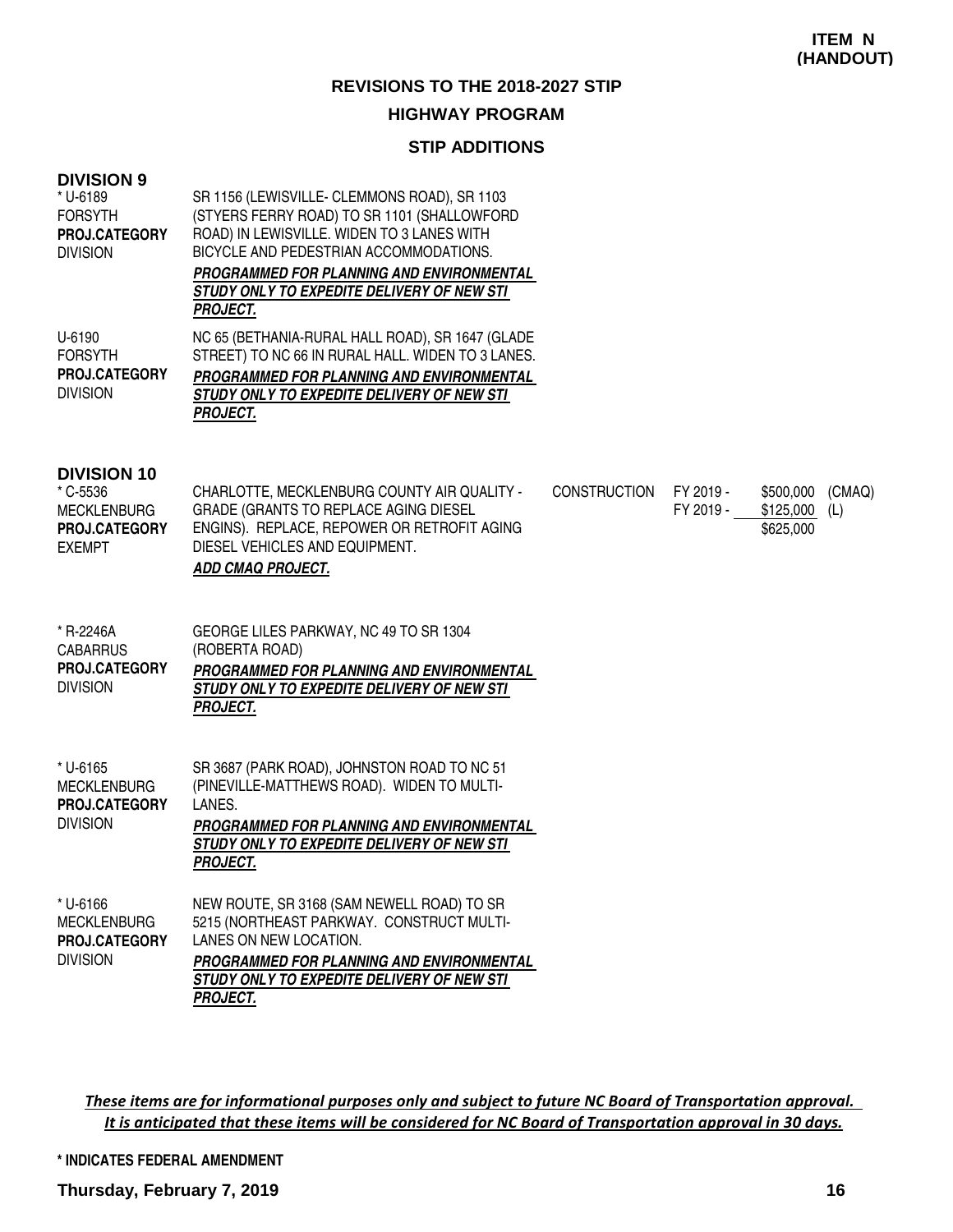## **STIP ADDITIONS**

| <b>DIVISION 9</b><br>* U-6189<br><b>FORSYTH</b><br>PROJ.CATEGORY<br><b>DIVISION</b>    | SR 1156 (LEWISVILLE- CLEMMONS ROAD), SR 1103<br>(STYERS FERRY ROAD) TO SR 1101 (SHALLOWFORD<br>ROAD) IN LEWISVILLE. WIDEN TO 3 LANES WITH<br>BICYCLE AND PEDESTRIAN ACCOMMODATIONS.<br>PROGRAMMED FOR PLANNING AND ENVIRONMENTAL<br>STUDY ONLY TO EXPEDITE DELIVERY OF NEW STI<br><b>PROJECT.</b> |                     |                        |                                                      |
|----------------------------------------------------------------------------------------|---------------------------------------------------------------------------------------------------------------------------------------------------------------------------------------------------------------------------------------------------------------------------------------------------|---------------------|------------------------|------------------------------------------------------|
| U-6190<br><b>FORSYTH</b><br>PROJ.CATEGORY<br><b>DIVISION</b>                           | NC 65 (BETHANIA-RURAL HALL ROAD), SR 1647 (GLADE<br>STREET) TO NC 66 IN RURAL HALL. WIDEN TO 3 LANES.<br>PROGRAMMED FOR PLANNING AND ENVIRONMENTAL<br>STUDY ONLY TO EXPEDITE DELIVERY OF NEW STI<br><b>PROJECT.</b>                                                                               |                     |                        |                                                      |
| <b>DIVISION 10</b><br>* C-5536<br><b>MECKLENBURG</b><br>PROJ.CATEGORY<br><b>EXEMPT</b> | CHARLOTTE, MECKLENBURG COUNTY AIR QUALITY -<br>GRADE (GRANTS TO REPLACE AGING DIESEL<br>ENGINS). REPLACE, REPOWER OR RETROFIT AGING<br>DIESEL VEHICLES AND EQUIPMENT.<br>ADD CMAQ PROJECT.                                                                                                        | <b>CONSTRUCTION</b> | FY 2019 -<br>FY 2019 - | \$500,000<br>(CMAQ)<br>\$125,000<br>(L)<br>\$625,000 |
| * R-2246A<br><b>CABARRUS</b><br>PROJ.CATEGORY<br><b>DIVISION</b>                       | GEORGE LILES PARKWAY, NC 49 TO SR 1304<br>(ROBERTA ROAD)<br>PROGRAMMED FOR PLANNING AND ENVIRONMENTAL<br>STUDY ONLY TO EXPEDITE DELIVERY OF NEW STI<br><b>PROJECT.</b>                                                                                                                            |                     |                        |                                                      |
| * U-6165<br><b>MECKLENBURG</b><br>PROJ.CATEGORY<br><b>DIVISION</b>                     | SR 3687 (PARK ROAD), JOHNSTON ROAD TO NC 51<br>(PINEVILLE-MATTHEWS ROAD). WIDEN TO MULTI-<br>LANES.<br>PROGRAMMED FOR PLANNING AND ENVIRONMENTAL<br>STUDY ONLY TO EXPEDITE DELIVERY OF NEW STI<br><b>PROJECT.</b>                                                                                 |                     |                        |                                                      |
| * U-6166<br><b>MECKLENBURG</b><br>PROJ.CATEGORY<br><b>DIVISION</b>                     | NEW ROUTE, SR 3168 (SAM NEWELL ROAD) TO SR<br>5215 (NORTHEAST PARKWAY. CONSTRUCT MULTI-<br>LANES ON NEW LOCATION.<br>PROGRAMMED FOR PLANNING AND ENVIRONMENTAL<br>STUDY ONLY TO EXPEDITE DELIVERY OF NEW STI<br><b>PROJECT.</b>                                                                   |                     |                        |                                                      |

These items are for informational purposes only and subject to future NC Board of Transportation approval. It is anticipated that these items will be considered for NC Board of Transportation approval in 30 days.

**\* INDICATES FEDERAL AMENDMENT**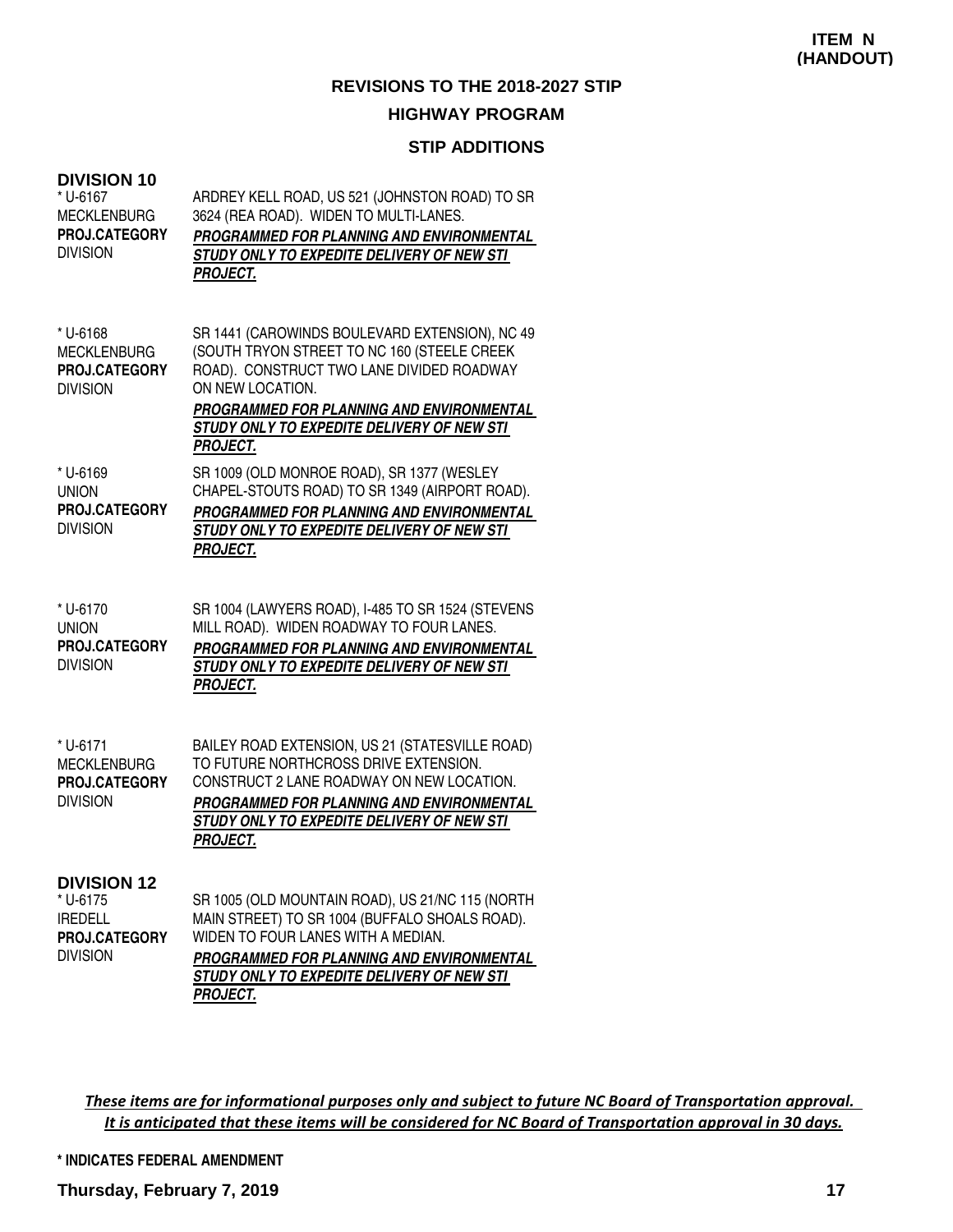## **STIP ADDITIONS**

| <b>DIVISION 10</b><br>* U-6167<br><b>MECKLENBURG</b><br>PROJ.CATEGORY<br><b>DIVISION</b> | ARDREY KELL ROAD, US 521 (JOHNSTON ROAD) TO SR<br>3624 (REA ROAD). WIDEN TO MULTI-LANES.<br>PROGRAMMED FOR PLANNING AND ENVIRONMENTAL<br>STUDY ONLY TO EXPEDITE DELIVERY OF NEW STI<br><b>PROJECT.</b>                                                                       |
|------------------------------------------------------------------------------------------|------------------------------------------------------------------------------------------------------------------------------------------------------------------------------------------------------------------------------------------------------------------------------|
| * U-6168<br><b>MECKLENBURG</b><br><b>PROJ.CATEGORY</b><br><b>DIVISION</b>                | SR 1441 (CAROWINDS BOULEVARD EXTENSION), NC 49<br>(SOUTH TRYON STREET TO NC 160 (STEELE CREEK<br>ROAD). CONSTRUCT TWO LANE DIVIDED ROADWAY<br>ON NEW LOCATION.<br>PROGRAMMED FOR PLANNING AND ENVIRONMENTAL<br>STUDY ONLY TO EXPEDITE DELIVERY OF NEW STI<br><b>PROJECT.</b> |
| * U-6169<br><b>UNION</b><br>PROJ.CATEGORY<br><b>DIVISION</b>                             | SR 1009 (OLD MONROE ROAD), SR 1377 (WESLEY<br>CHAPEL-STOUTS ROAD) TO SR 1349 (AIRPORT ROAD).<br>PROGRAMMED FOR PLANNING AND ENVIRONMENTAL<br>STUDY ONLY TO EXPEDITE DELIVERY OF NEW STI<br><b>PROJECT.</b>                                                                   |
| * U-6170<br><b>UNION</b><br><b>PROJ.CATEGORY</b><br><b>DIVISION</b>                      | SR 1004 (LAWYERS ROAD), I-485 TO SR 1524 (STEVENS<br>MILL ROAD). WIDEN ROADWAY TO FOUR LANES.<br>PROGRAMMED FOR PLANNING AND ENVIRONMENTAL<br>STUDY ONLY TO EXPEDITE DELIVERY OF NEW STI<br><b>PROJECT.</b>                                                                  |
| * U-6171<br><b>MECKLENBURG</b><br><b>PROJ.CATEGORY</b><br><b>DIVISION</b>                | BAILEY ROAD EXTENSION, US 21 (STATESVILLE ROAD)<br>TO FUTURE NORTHCROSS DRIVE EXTENSION.<br>CONSTRUCT 2 LANE ROADWAY ON NEW LOCATION.<br>PROGRAMMED FOR PLANNING AND ENVIRONMENTAL<br>STUDY ONLY TO EXPEDITE DELIVERY OF NEW STI<br><b>PROJECT.</b>                          |
| <b>DIVISION 12</b><br>* U-6175<br><b>IREDELL</b><br>PROJ.CATEGORY<br><b>DIVISION</b>     | SR 1005 (OLD MOUNTAIN ROAD), US 21/NC 115 (NORTH<br>MAIN STREET) TO SR 1004 (BUFFALO SHOALS ROAD).<br>WIDEN TO FOUR LANES WITH A MEDIAN.<br>PROGRAMMED FOR PLANNING AND ENVIRONMENTAL<br>STUDY ONLY TO EXPEDITE DELIVERY OF NEW STI<br><u>PROJECT.</u>                       |

These items are for informational purposes only and subject to future NC Board of Transportation approval. It is anticipated that these items will be considered for NC Board of Transportation approval in 30 days.

**\* INDICATES FEDERAL AMENDMENT**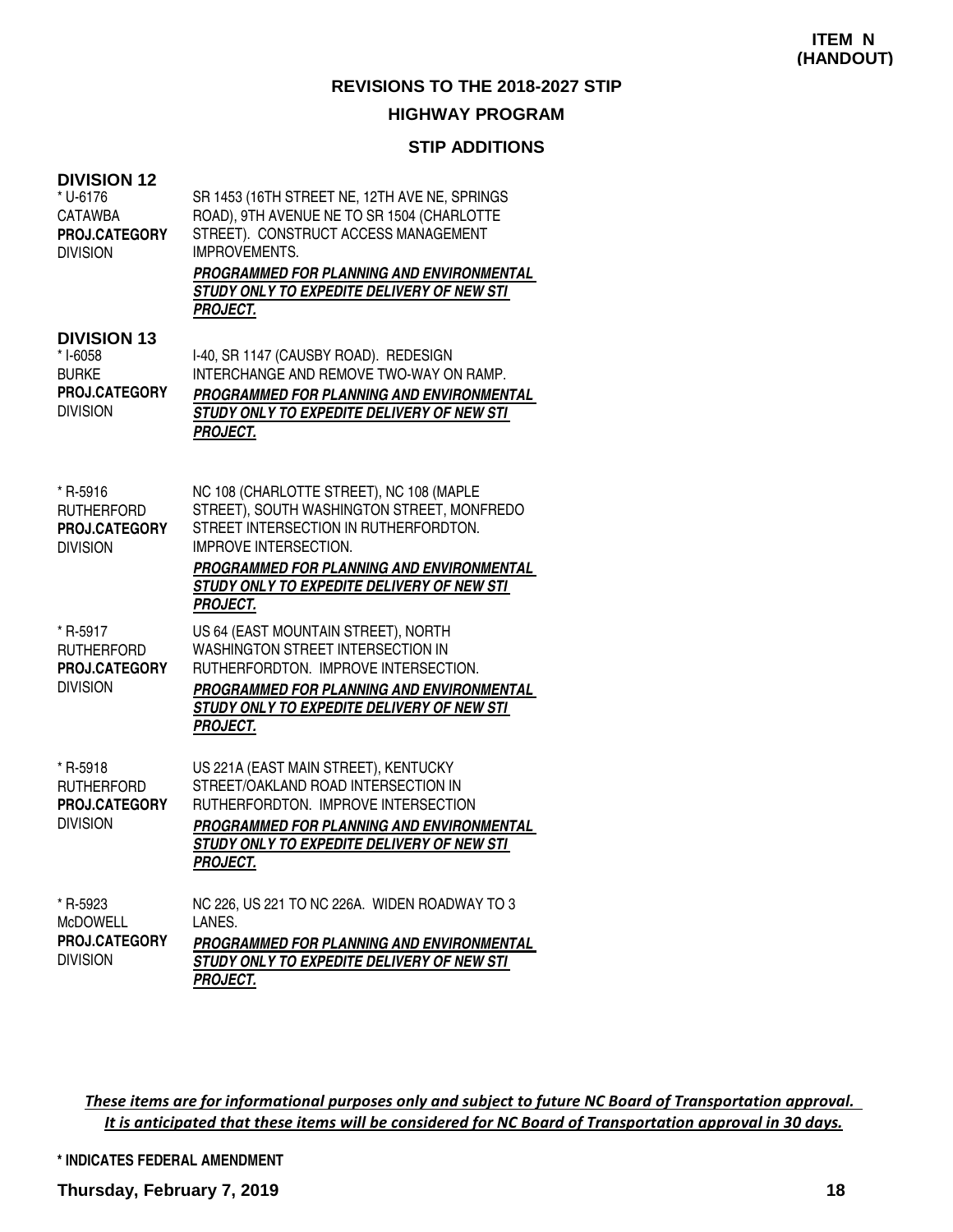#### **STIP ADDITIONS**

| <b>DIVISION 12</b><br>* U-6176<br><b>CATAWBA</b><br>PROJ.CATEGORY<br><b>DIVISION</b> | SR 1453 (16TH STREET NE, 12TH AVE NE, SPRINGS<br>ROAD), 9TH AVENUE NE TO SR 1504 (CHARLOTTE<br>STREET). CONSTRUCT ACCESS MANAGEMENT<br><b>IMPROVEMENTS.</b><br>PROGRAMMED FOR PLANNING AND ENVIRONMENTAL<br>STUDY ONLY TO EXPEDITE DELIVERY OF NEW STI<br><b>PROJECT.</b>     |
|--------------------------------------------------------------------------------------|-------------------------------------------------------------------------------------------------------------------------------------------------------------------------------------------------------------------------------------------------------------------------------|
| <b>DIVISION 13</b><br>* I-6058<br><b>BURKE</b><br>PROJ.CATEGORY<br><b>DIVISION</b>   | I-40, SR 1147 (CAUSBY ROAD). REDESIGN<br>INTERCHANGE AND REMOVE TWO-WAY ON RAMP.<br>PROGRAMMED FOR PLANNING AND ENVIRONMENTAL<br>STUDY ONLY TO EXPEDITE DELIVERY OF NEW STI<br><b>PROJECT.</b>                                                                                |
| * R-5916<br><b>RUTHERFORD</b><br>PROJ.CATEGORY<br><b>DIVISION</b>                    | NC 108 (CHARLOTTE STREET), NC 108 (MAPLE<br>STREET), SOUTH WASHINGTON STREET, MONFREDO<br>STREET INTERSECTION IN RUTHERFORDTON.<br><b>IMPROVE INTERSECTION.</b><br>PROGRAMMED FOR PLANNING AND ENVIRONMENTAL<br>STUDY ONLY TO EXPEDITE DELIVERY OF NEW STI<br><b>PROJECT.</b> |
| * R-5917<br><b>RUTHERFORD</b><br>PROJ.CATEGORY<br><b>DIVISION</b>                    | US 64 (EAST MOUNTAIN STREET), NORTH<br>WASHINGTON STREET INTERSECTION IN<br>RUTHERFORDTON. IMPROVE INTERSECTION.<br>PROGRAMMED FOR PLANNING AND ENVIRONMENTAL<br>STUDY ONLY TO EXPEDITE DELIVERY OF NEW STI<br><b>PROJECT.</b>                                                |
| * R-5918<br><b>RUTHERFORD</b><br>PROJ.CATEGORY<br><b>DIVISION</b>                    | US 221A (EAST MAIN STREET), KENTUCKY<br>STREET/OAKLAND ROAD INTERSECTION IN<br>RUTHERFORDTON. IMPROVE INTERSECTION<br><b>PROGRAMMED FOR PLANNING AND ENVIRONMENTAL</b><br>STUDY ONLY TO EXPEDITE DELIVERY OF NEW STI<br><b>PROJECT.</b>                                       |
| * R-5923<br><b>MCDOWELL</b><br>PROJ.CATEGORY<br><b>DIVISION</b>                      | NC 226, US 221 TO NC 226A. WIDEN ROADWAY TO 3<br>LANES.<br>PROGRAMMED FOR PLANNING AND ENVIRONMENTAL<br>STUDY ONLY TO EXPEDITE DELIVERY OF NEW STI<br><b>PROJECT.</b>                                                                                                         |

These items are for informational purposes only and subject to future NC Board of Transportation approval. It is anticipated that these items will be considered for NC Board of Transportation approval in 30 days.

#### **\* INDICATES FEDERAL AMENDMENT**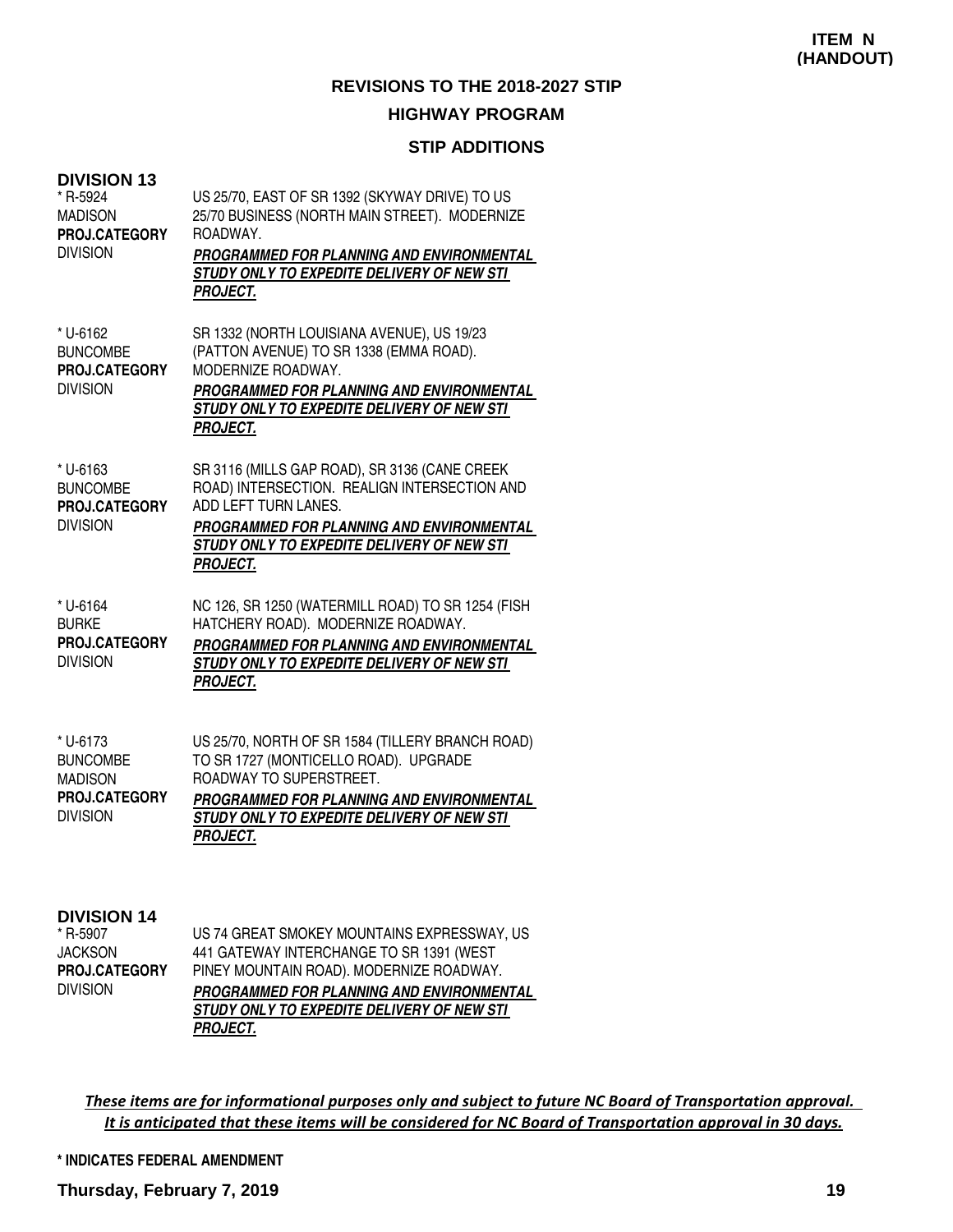## **STIP ADDITIONS**

| <b>DIVISION 13</b><br>* R-5924<br><b>MADISON</b><br>PROJ.CATEGORY<br><b>DIVISION</b> | US 25/70, EAST OF SR 1392 (SKYWAY DRIVE) TO US<br>25/70 BUSINESS (NORTH MAIN STREET). MODERNIZE<br>ROADWAY.<br>PROGRAMMED FOR PLANNING AND ENVIRONMENTAL<br>STUDY ONLY TO EXPEDITE DELIVERY OF NEW STI<br><b>PROJECT.</b>                                                                                                              |
|--------------------------------------------------------------------------------------|----------------------------------------------------------------------------------------------------------------------------------------------------------------------------------------------------------------------------------------------------------------------------------------------------------------------------------------|
| * U-6162<br><b>BUNCOMBE</b><br>PROJ.CATEGORY<br><b>DIVISION</b>                      | SR 1332 (NORTH LOUISIANA AVENUE), US 19/23<br>(PATTON AVENUE) TO SR 1338 (EMMA ROAD).<br>MODERNIZE ROADWAY.<br>PROGRAMMED FOR PLANNING AND ENVIRONMENTAL<br>STUDY ONLY TO EXPEDITE DELIVERY OF NEW STI<br><b>PROJECT.</b>                                                                                                              |
| * U-6163<br><b>BUNCOMBE</b><br>PROJ.CATEGORY<br><b>DIVISION</b>                      | SR 3116 (MILLS GAP ROAD), SR 3136 (CANE CREEK<br>ROAD) INTERSECTION. REALIGN INTERSECTION AND<br>ADD LEFT TURN LANES.<br><b>PROGRAMMED FOR PLANNING AND ENVIRONMENTAL</b><br>STUDY ONLY TO EXPEDITE DELIVERY OF NEW STI<br><b>PROJECT.</b>                                                                                             |
| * U-6164<br><b>BURKE</b><br>PROJ.CATEGORY<br><b>DIVISION</b>                         | NC 126, SR 1250 (WATERMILL ROAD) TO SR 1254 (FISH<br>HATCHERY ROAD). MODERNIZE ROADWAY.<br>PROGRAMMED FOR PLANNING AND ENVIRONMENTAL<br>STUDY ONLY TO EXPEDITE DELIVERY OF NEW STI<br><b>PROJECT.</b>                                                                                                                                  |
| * U-6173<br><b>BUNCOMBE</b><br><b>MADISON</b><br>PROJ.CATEGORY<br><b>DIVISION</b>    | US 25/70, NORTH OF SR 1584 (TILLERY BRANCH ROAD)<br>TO SR 1727 (MONTICELLO ROAD). UPGRADE<br>ROADWAY TO SUPERSTREET.<br>PROGRAMMED FOR PLANNING AND ENVIRONMENTAL<br>STUDY ONLY TO EXPEDITE DELIVERY OF NEW STI<br><b>PROJECT.</b>                                                                                                     |
| <b>DIVISION 14</b>                                                                   | $110 - 160$ CDF $\lambda$ T. $\lambda$ (10) $\lambda$ F( $\lambda$ (14) $\lambda$ (14) $\lambda$ (14) $\lambda$ (14) $\lambda$ (15) $\lambda$ (14) $\lambda$ (14) $\lambda$ (14) $\lambda$ (14) $\lambda$ (14) $\lambda$ (14) $\lambda$ (14) $\lambda$ (14) $\lambda$ (14) $\lambda$ (14) $\lambda$ (14) $\lambda$ (14) $\lambda$ (14) |

R-5907 JACKSON DIVISION **PROJ.CATEGORY**

US 74 GREAT SMOKEY MOUNTAINS EXPRESSWAY, US 441 GATEWAY INTERCHANGE TO SR 1391 (WEST PINEY MOUNTAIN ROAD). MODERNIZE ROADWAY. **PROGRAMMED FOR PLANNING AND ENVIRONMENTAL STUDY ONLY TO EXPEDITE DELIVERY OF NEW STI PROJECT.**

These items are for informational purposes only and subject to future NC Board of Transportation approval. It is anticipated that these items will be considered for NC Board of Transportation approval in 30 days.

**\* INDICATES FEDERAL AMENDMENT**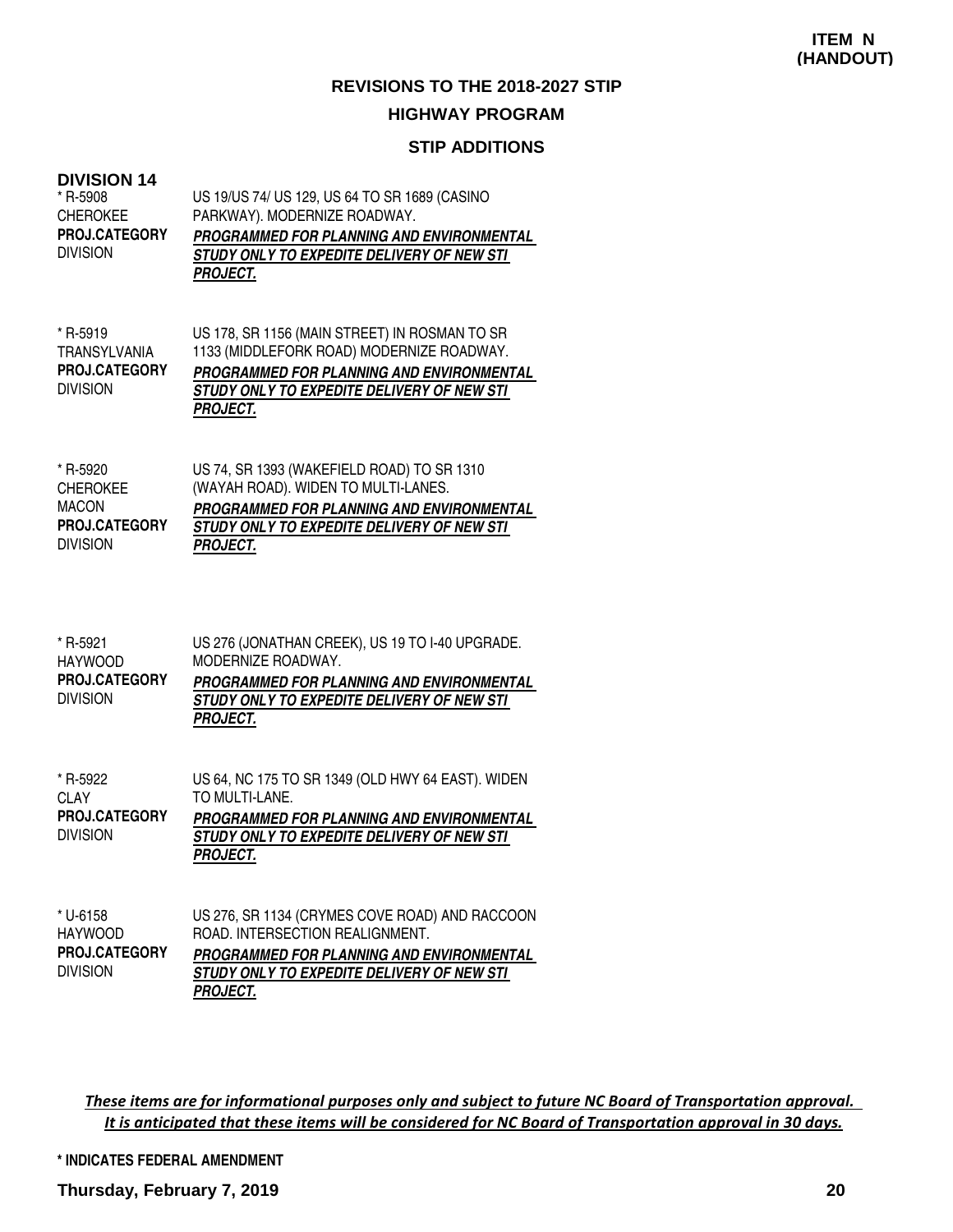### **STIP ADDITIONS**

#### **DIVISION 14**

| * R-5908             | US 19/US 74/ US 129, US 64 TO SR 1689 (CASINO     |
|----------------------|---------------------------------------------------|
| CHEROKEE             | PARKWAY). MODERNIZE ROADWAY.                      |
| <b>PROJ.CATEGORY</b> | <b>PROGRAMMED FOR PLANNING AND ENVIRONMENTAL</b>  |
| division             | <i>STUDY ONLY TO EXPEDITE DELIVERY OF NEW STI</i> |
|                      | <b>PROJECT.</b>                                   |
|                      |                                                   |

| $*$ R-5919          | US 178, SR 1156 (MAIN STREET) IN ROSMAN TO SR |
|---------------------|-----------------------------------------------|
| <b>TRANSYLVANIA</b> | 1133 (MIDDLEFORK ROAD) MODERNIZE ROADWAY.     |
| PROJ.CATEGORY       | PROGRAMMED FOR PLANNING AND ENVIRONMENTAL     |
| <b>DIVISION</b>     | STUDY ONLY TO EXPEDITE DELIVERY OF NEW STI    |
|                     | <b>PROJECT.</b>                               |

| * R-5920        | US 74, SR 1393 (WAKEFIELD ROAD) TO SR 1310        |
|-----------------|---------------------------------------------------|
| <b>CHEROKEE</b> | (WAYAH ROAD). WIDEN TO MULTI-LANES.               |
| <b>MACON</b>    | PROGRAMMED FOR PLANNING AND ENVIRONMENTAL         |
| PROJ.CATEGORY   | <i>STUDY ONLY TO EXPEDITE DELIVERY OF NEW STI</i> |
| <b>DIVISION</b> | <b>PROJECT.</b>                                   |

| * R-5921             | US 276 (JONATHAN CREEK), US 19 TO 1-40 UPGRADE. |
|----------------------|-------------------------------------------------|
| HAYWOOD              | MODERNIZE ROADWAY.                              |
| <b>PROJ.CATEGORY</b> | PROGRAMMED FOR PLANNING AND ENVIRONMENTAL       |
| <b>DIVISION</b>      | STUDY ONLY TO EXPEDITE DELIVERY OF NEW STI      |
|                      | <b>PROJECT.</b>                                 |

| * R-5922             | US 64, NC 175 TO SR 1349 (OLD HWY 64 EAST). WIDEN |
|----------------------|---------------------------------------------------|
| CLAY                 | TO MULTI-LANE.                                    |
| <b>PROJ.CATEGORY</b> | PROGRAMMED FOR PLANNING AND ENVIRONMENTAL         |
| <b>DIVISION</b>      | STUDY ONLY TO EXPEDITE DELIVERY OF NEW STI        |
|                      | <b>PROJECT.</b>                                   |

| * U-6158             | US 276, SR 1134 (CRYMES COVE ROAD) AND RACCOON   |
|----------------------|--------------------------------------------------|
| <b>HAYWOOD</b>       | ROAD. INTERSECTION REALIGNMENT.                  |
| <b>PROJ.CATEGORY</b> | <b>PROGRAMMED FOR PLANNING AND ENVIRONMENTAL</b> |
| <b>DIVISION</b>      | STUDY ONLY TO EXPEDITE DELIVERY OF NEW STI       |
|                      | <b>PROJECT.</b>                                  |

These items are for informational purposes only and subject to future NC Board of Transportation approval. It is anticipated that these items will be considered for NC Board of Transportation approval in 30 days.

**\* INDICATES FEDERAL AMENDMENT**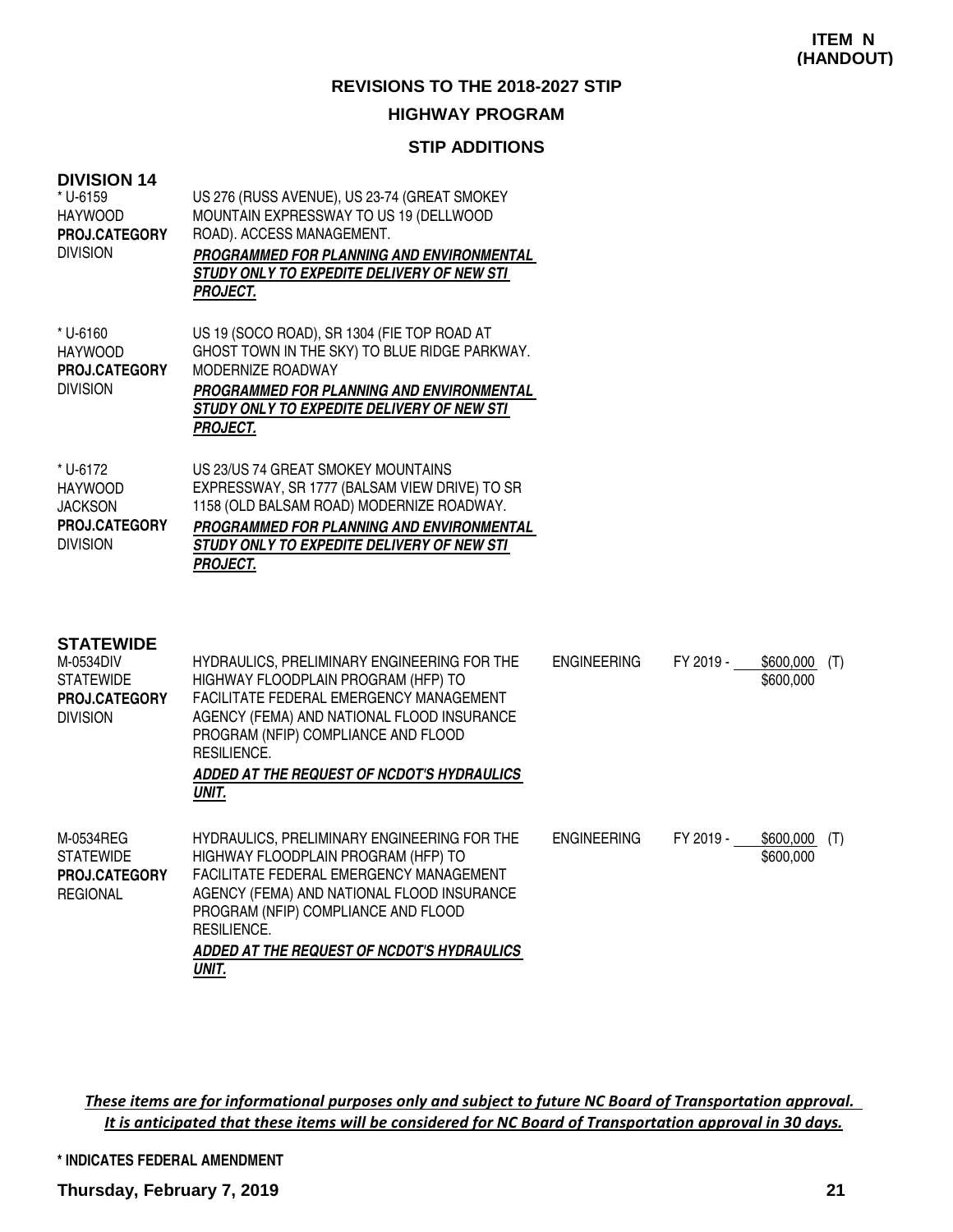#### **STIP ADDITIONS**

| <b>DIVISION 14</b><br>* U-6159<br><b>HAYWOOD</b><br><b>PROJ.CATEGORY</b><br><b>DIVISION</b>  | US 276 (RUSS AVENUE), US 23-74 (GREAT SMOKEY<br>MOUNTAIN EXPRESSWAY TO US 19 (DELLWOOD<br>ROAD). ACCESS MANAGEMENT.<br>PROGRAMMED FOR PLANNING AND ENVIRONMENTAL<br>STUDY ONLY TO EXPEDITE DELIVERY OF NEW STI<br><b>PROJECT.</b>                                                               |                    |           |                             |     |
|----------------------------------------------------------------------------------------------|-------------------------------------------------------------------------------------------------------------------------------------------------------------------------------------------------------------------------------------------------------------------------------------------------|--------------------|-----------|-----------------------------|-----|
| * U-6160<br><b>HAYWOOD</b><br>PROJ.CATEGORY<br><b>DIVISION</b>                               | US 19 (SOCO ROAD), SR 1304 (FIE TOP ROAD AT<br>GHOST TOWN IN THE SKY) TO BLUE RIDGE PARKWAY.<br>MODERNIZE ROADWAY<br><b>PROGRAMMED FOR PLANNING AND ENVIRONMENTAL</b><br>STUDY ONLY TO EXPEDITE DELIVERY OF NEW STI<br><b>PROJECT.</b>                                                          |                    |           |                             |     |
| * U-6172<br><b>HAYWOOD</b><br><b>JACKSON</b><br>PROJ.CATEGORY<br><b>DIVISION</b>             | US 23/US 74 GREAT SMOKEY MOUNTAINS<br>EXPRESSWAY, SR 1777 (BALSAM VIEW DRIVE) TO SR<br>1158 (OLD BALSAM ROAD) MODERNIZE ROADWAY.<br><b>PROGRAMMED FOR PLANNING AND ENVIRONMENTAL</b><br>STUDY ONLY TO EXPEDITE DELIVERY OF NEW STI<br><b>PROJECT.</b>                                           |                    |           |                             |     |
| <b>STATEWIDE</b><br>M-0534DIV<br><b>STATEWIDE</b><br><b>PROJ.CATEGORY</b><br><b>DIVISION</b> | HYDRAULICS, PRELIMINARY ENGINEERING FOR THE<br>HIGHWAY FLOODPLAIN PROGRAM (HFP) TO<br>FACILITATE FEDERAL EMERGENCY MANAGEMENT<br>AGENCY (FEMA) AND NATIONAL FLOOD INSURANCE<br>PROGRAM (NFIP) COMPLIANCE AND FLOOD<br>RESILIENCE.<br>ADDED AT THE REQUEST OF NCDOT'S HYDRAULICS<br>UNIT.        | <b>ENGINEERING</b> | FY 2019 - | $$600,000$ (T)<br>\$600,000 |     |
| M-0534REG<br><b>STATEWIDE</b><br><b>PROJ.CATEGORY</b><br><b>REGIONAL</b>                     | HYDRAULICS, PRELIMINARY ENGINEERING FOR THE<br>HIGHWAY FLOODPLAIN PROGRAM (HFP) TO<br>FACILITATE FEDERAL EMERGENCY MANAGEMENT<br>AGENCY (FEMA) AND NATIONAL FLOOD INSURANCE<br>PROGRAM (NFIP) COMPLIANCE AND FLOOD<br>RESILIENCE.<br><b>ADDED AT THE REQUEST OF NCDOT'S HYDRAULICS</b><br>UNIT. | <b>ENGINEERING</b> | FY 2019 - | \$600,000<br>\$600,000      | (T) |

These items are for informational purposes only and subject to future NC Board of Transportation approval. It is anticipated that these items will be considered for NC Board of Transportation approval in 30 days.

**\* INDICATES FEDERAL AMENDMENT**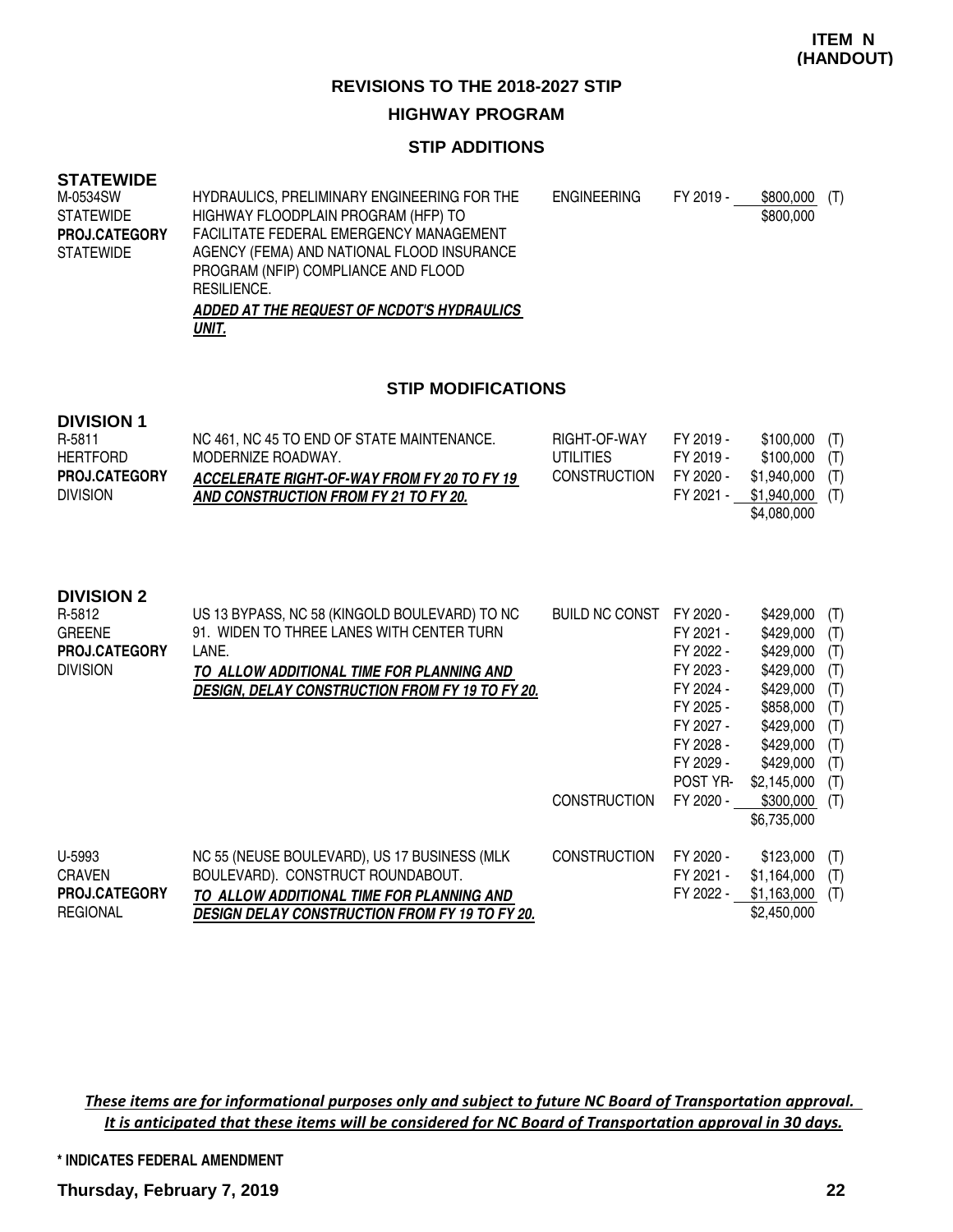#### **STIP ADDITIONS**

#### **STATEWIDE**

| M-0534SW             | HYDRAULICS, PRELIMINARY ENGINEERING FOR THE | <b>ENGINEERING</b> | FY 2019 - | \$800,000<br>(T) |
|----------------------|---------------------------------------------|--------------------|-----------|------------------|
| <b>STATEWIDE</b>     | HIGHWAY FLOODPLAIN PROGRAM (HFP) TO         |                    |           | \$800,000        |
| <b>PROJ.CATEGORY</b> | FACILITATE FEDERAL EMERGENCY MANAGEMENT     |                    |           |                  |
| <b>STATEWIDE</b>     | AGENCY (FEMA) AND NATIONAL FLOOD INSURANCE  |                    |           |                  |
|                      | PROGRAM (NFIP) COMPLIANCE AND FLOOD         |                    |           |                  |
|                      | <b>RESILIENCE.</b>                          |                    |           |                  |
|                      | ADDED AT THE REQUEST OF NCDOT'S HYDRAULICS  |                    |           |                  |
|                      | UNIT.                                       |                    |           |                  |

#### **STIP MODIFICATIONS**

## **DIVISION 1**

| R-5811               | NC 461, NC 45 TO END OF STATE MAINTENANCE.         | RIGHT-OF-WAY        | FY 2019 - | $$100,000$ (T)   |  |
|----------------------|----------------------------------------------------|---------------------|-----------|------------------|--|
| HERTFORD             | MODERNIZE ROADWAY.                                 | UTILITIES           | FY 2019 - | $$100,000$ (T)   |  |
| <b>PROJ.CATEGORY</b> | <b>ACCELERATE RIGHT-OF-WAY FROM FY 20 TO FY 19</b> | <b>CONSTRUCTION</b> | FY 2020 - | $$1,940,000$ (T) |  |
| <b>DIVISION</b>      | AND CONSTRUCTION FROM FY 21 TO FY 20.              |                     | FY 2021 - | \$1,940,000 (T)  |  |
|                      |                                                    |                     |           | \$4,080,000      |  |

#### **DIVISION 2**

| R-5812<br><b>GREENE</b><br><b>PROJ.CATEGORY</b><br><b>DIVISION</b> | US 13 BYPASS, NC 58 (KINGOLD BOULEVARD) TO NC<br>91. WIDEN TO THREE LANES WITH CENTER TURN<br>LANE.<br>TO ALLOW ADDITIONAL TIME FOR PLANNING AND<br><b>DESIGN, DELAY CONSTRUCTION FROM FY 19 TO FY 20.</b> | <b>BUILD NC CONST</b> | FY 2020 -<br>FY 2021 -<br>FY 2022 -<br>FY 2023 -<br>FY 2024 -<br>FY 2025 -<br>FY 2027 -<br>FY 2028 -<br>FY 2029 -<br>POST YR- | \$429,000<br>\$429,000<br>\$429,000<br>\$429,000<br>\$429,000<br>\$858,000<br>\$429,000<br>\$429,000<br>\$429,000<br>\$2,145,000 | (T)<br>(T)<br>(T)<br>(T)<br>(T)<br>(T)<br>(T)<br>(T)<br>(T)<br>(T) |
|--------------------------------------------------------------------|------------------------------------------------------------------------------------------------------------------------------------------------------------------------------------------------------------|-----------------------|-------------------------------------------------------------------------------------------------------------------------------|----------------------------------------------------------------------------------------------------------------------------------|--------------------------------------------------------------------|
|                                                                    |                                                                                                                                                                                                            | <b>CONSTRUCTION</b>   | FY 2020 -                                                                                                                     | \$300,000<br>\$6,735,000                                                                                                         | (T)                                                                |
| U-5993<br><b>CRAVEN</b><br><b>PROJ.CATEGORY</b><br><b>REGIONAL</b> | NC 55 (NEUSE BOULEVARD), US 17 BUSINESS (MLK)<br>BOULEVARD). CONSTRUCT ROUNDABOUT.<br>TO ALLOW ADDITIONAL TIME FOR PLANNING AND<br><b>DESIGN DELAY CONSTRUCTION FROM FY 19 TO FY 20.</b>                   | <b>CONSTRUCTION</b>   | FY 2020 -<br>FY 2021 -<br>FY 2022 -                                                                                           | \$123,000<br>\$1,164,000<br>\$1.163,000<br>\$2,450,000                                                                           | (T)<br>(T)<br>(T)                                                  |

These items are for informational purposes only and subject to future NC Board of Transportation approval. It is anticipated that these items will be considered for NC Board of Transportation approval in 30 days.

#### **\* INDICATES FEDERAL AMENDMENT**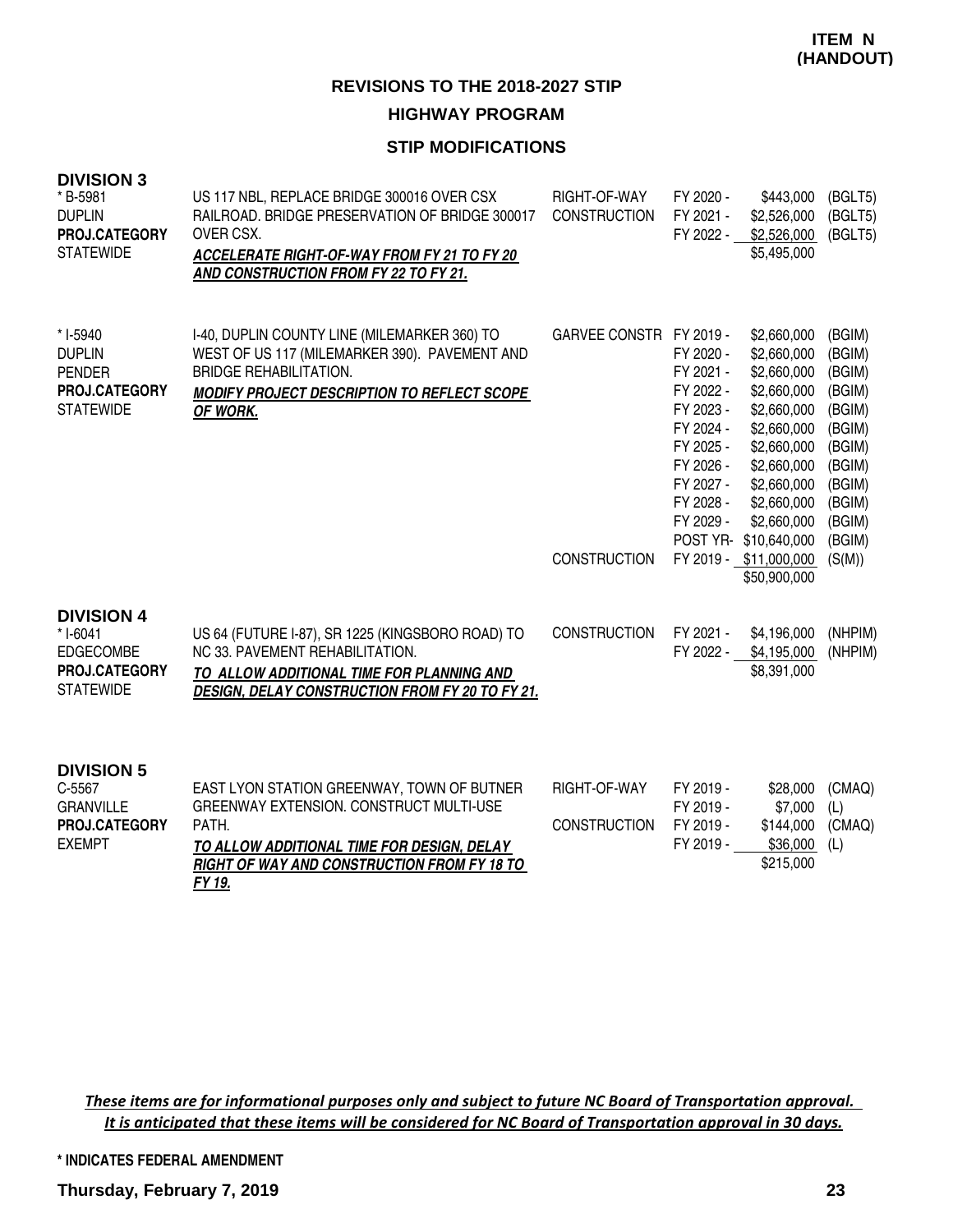#### **STIP MODIFICATIONS**

| <b>DIVISION 3</b><br>* B-5981<br><b>DUPLIN</b><br>PROJ.CATEGORY<br><b>STATEWIDE</b>      | US 117 NBL, REPLACE BRIDGE 300016 OVER CSX<br>RAILROAD. BRIDGE PRESERVATION OF BRIDGE 300017<br>OVER CSX.<br>ACCELERATE RIGHT-OF-WAY FROM FY 21 TO FY 20<br>AND CONSTRUCTION FROM FY 22 TO FY 21.     | RIGHT-OF-WAY<br><b>CONSTRUCTION</b> | FY 2020 -<br>\$443,000<br>FY 2021 -<br>\$2,526,000<br>FY 2022 -<br>\$2,526,000<br>\$5,495,000                                                                                                                                                                                                                                | (BGLT5)<br>(BGLT5)<br>(BGLT5)                                                                                        |
|------------------------------------------------------------------------------------------|-------------------------------------------------------------------------------------------------------------------------------------------------------------------------------------------------------|-------------------------------------|------------------------------------------------------------------------------------------------------------------------------------------------------------------------------------------------------------------------------------------------------------------------------------------------------------------------------|----------------------------------------------------------------------------------------------------------------------|
| * I-5940<br><b>DUPLIN</b><br><b>PENDER</b><br>PROJ.CATEGORY<br><b>STATEWIDE</b>          | I-40, DUPLIN COUNTY LINE (MILEMARKER 360) TO<br>WEST OF US 117 (MILEMARKER 390). PAVEMENT AND<br><b>BRIDGE REHABILITATION.</b><br>MODIFY PROJECT DESCRIPTION TO REFLECT SCOPE<br>OF WORK.             | GARVEE CONSTR FY 2019 -             | \$2,660,000<br>FY 2020 -<br>\$2,660,000<br>FY 2021 -<br>\$2,660,000<br>FY 2022 -<br>\$2,660,000<br>FY 2023 -<br>\$2,660,000<br>FY 2024 -<br>\$2,660,000<br>\$2,660,000<br>FY 2025 -<br>FY 2026 -<br>\$2,660,000<br>FY 2027 -<br>\$2,660,000<br>FY 2028 -<br>\$2,660,000<br>FY 2029 -<br>\$2,660,000<br>POST YR- \$10,640,000 | (BGIM)<br>(BGIM)<br>(BGIM)<br>(BGIM)<br>(BGIM)<br>(BGIM)<br>(BGIM)<br>(BGIM)<br>(BGIM)<br>(BGIM)<br>(BGIM)<br>(BGIM) |
|                                                                                          |                                                                                                                                                                                                       | <b>CONSTRUCTION</b>                 | FY 2019 - \$11,000,000<br>\$50,900,000                                                                                                                                                                                                                                                                                       | (S(M))                                                                                                               |
| <b>DIVISION 4</b><br>$*$ I-6041<br><b>EDGECOMBE</b><br>PROJ.CATEGORY<br><b>STATEWIDE</b> | US 64 (FUTURE I-87), SR 1225 (KINGSBORO ROAD) TO<br>NC 33. PAVEMENT REHABILITATION.<br>TO ALLOW ADDITIONAL TIME FOR PLANNING AND<br><b>DESIGN, DELAY CONSTRUCTION FROM FY 20 TO FY 21.</b>            | <b>CONSTRUCTION</b>                 | FY 2021 -<br>\$4,196,000<br>\$4,195,000<br>FY 2022 -<br>\$8,391,000                                                                                                                                                                                                                                                          | (NHPIM)<br>(NHPIM)                                                                                                   |
| <b>DIVISION 5</b><br>C-5567<br><b>GRANVILLE</b><br>PROJ.CATEGORY<br><b>EXEMPT</b>        | EAST LYON STATION GREENWAY, TOWN OF BUTNER<br>GREENWAY EXTENSION. CONSTRUCT MULTI-USE<br>PATH.<br>TO ALLOW ADDITIONAL TIME FOR DESIGN, DELAY<br>RIGHT OF WAY AND CONSTRUCTION FROM FY 18 TO<br>FY 19. | RIGHT-OF-WAY<br><b>CONSTRUCTION</b> | FY 2019 -<br>\$28,000<br>\$7,000<br>FY 2019 -<br>FY 2019 -<br>\$144,000<br>FY 2019 -<br>\$36,000<br>\$215,000                                                                                                                                                                                                                | (CMAQ)<br>(L)<br>(CMAQ)<br>(L)                                                                                       |

These items are for informational purposes only and subject to future NC Board of Transportation approval. It is anticipated that these items will be considered for NC Board of Transportation approval in 30 days.

**\* INDICATES FEDERAL AMENDMENT**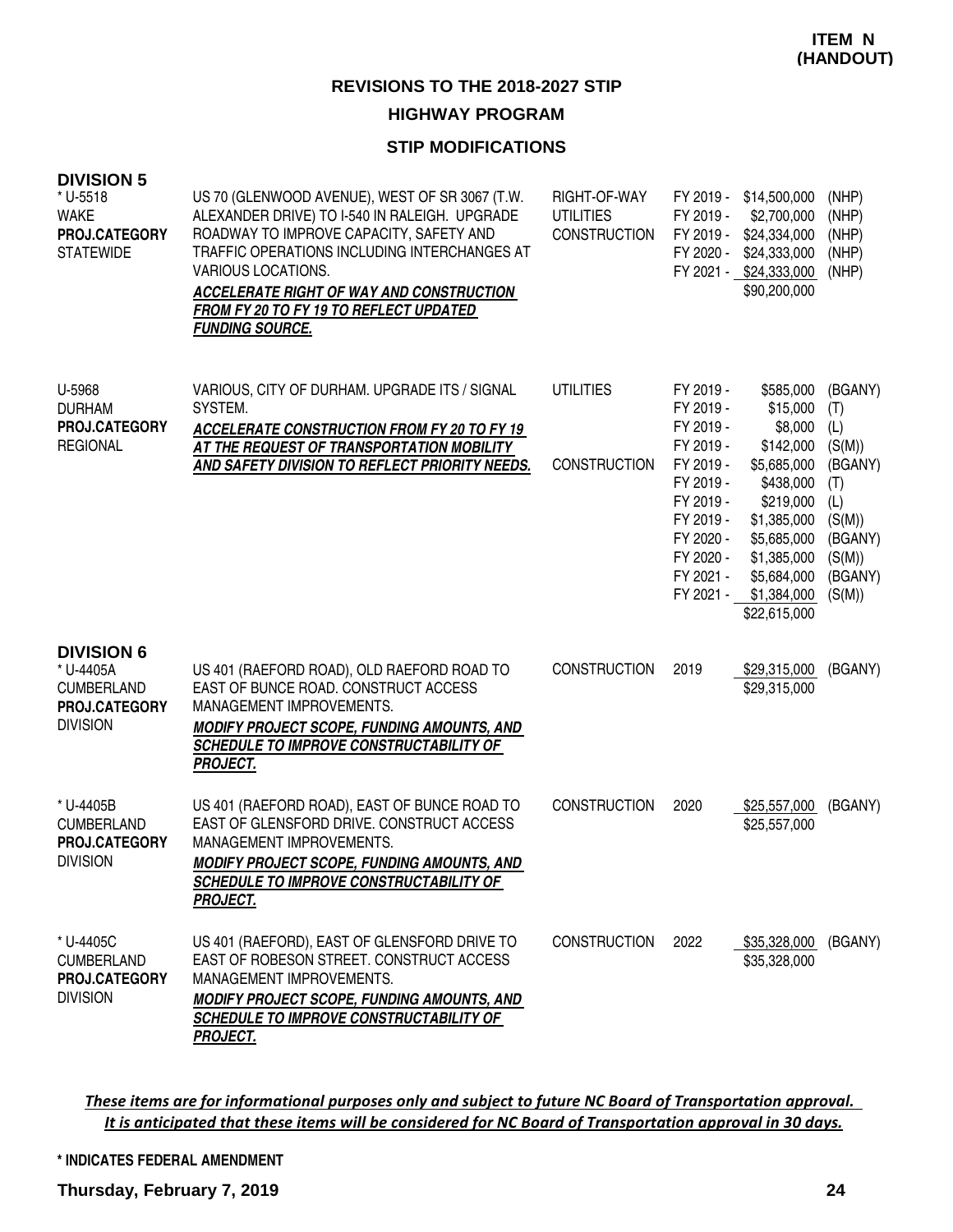### **STIP MODIFICATIONS**

| <b>DIVISION 5</b><br>* U-5518<br><b>WAKE</b><br>PROJ.CATEGORY<br><b>STATEWIDE</b>       | US 70 (GLENWOOD AVENUE), WEST OF SR 3067 (T.W.<br>ALEXANDER DRIVE) TO I-540 IN RALEIGH. UPGRADE<br>ROADWAY TO IMPROVE CAPACITY, SAFETY AND<br>TRAFFIC OPERATIONS INCLUDING INTERCHANGES AT<br>VARIOUS LOCATIONS.<br>ACCELERATE RIGHT OF WAY AND CONSTRUCTION<br>FROM FY 20 TO FY 19 TO REFLECT UPDATED<br><b>FUNDING SOURCE.</b> | RIGHT-OF-WAY<br><b>UTILITIES</b><br><b>CONSTRUCTION</b> | FY 2019 -<br>FY 2019 -<br>FY 2020 -                                                                                                                      | FY 2019 - \$14,500,000<br>\$2,700,000<br>\$24,334,000<br>\$24,333,000<br>FY 2021 - \$24,333,000<br>\$90,200,000                                                                   | (NHP)<br>(NHP)<br>(NHP)<br>(NHP)<br>(NHP)                                                                    |
|-----------------------------------------------------------------------------------------|----------------------------------------------------------------------------------------------------------------------------------------------------------------------------------------------------------------------------------------------------------------------------------------------------------------------------------|---------------------------------------------------------|----------------------------------------------------------------------------------------------------------------------------------------------------------|-----------------------------------------------------------------------------------------------------------------------------------------------------------------------------------|--------------------------------------------------------------------------------------------------------------|
| U-5968<br><b>DURHAM</b><br>PROJ.CATEGORY<br><b>REGIONAL</b>                             | VARIOUS, CITY OF DURHAM. UPGRADE ITS / SIGNAL<br>SYSTEM.<br><b>ACCELERATE CONSTRUCTION FROM FY 20 TO FY 19</b><br>AT THE REQUEST OF TRANSPORTATION MOBILITY<br>AND SAFETY DIVISION TO REFLECT PRIORITY NEEDS.                                                                                                                    | <b>UTILITIES</b><br><b>CONSTRUCTION</b>                 | FY 2019 -<br>FY 2019 -<br>FY 2019 -<br>FY 2019 -<br>FY 2019 -<br>FY 2019 -<br>FY 2019 -<br>FY 2019 -<br>FY 2020 -<br>FY 2020 -<br>FY 2021 -<br>FY 2021 - | \$585,000<br>\$15,000<br>\$8,000<br>\$142,000<br>\$5,685,000<br>\$438,000<br>\$219,000<br>\$1,385,000<br>\$5,685,000<br>\$1,385,000<br>\$5,684,000<br>\$1,384,000<br>\$22,615,000 | (BGANY)<br>(T)<br>(L)<br>(S(M))<br>(BGANY)<br>(T)<br>(L)<br>(S(M))<br>(BGANY)<br>(S(M))<br>(BGANY)<br>(S(M)) |
| <b>DIVISION 6</b><br>* U-4405A<br><b>CUMBERLAND</b><br>PROJ.CATEGORY<br><b>DIVISION</b> | US 401 (RAEFORD ROAD), OLD RAEFORD ROAD TO<br>EAST OF BUNCE ROAD. CONSTRUCT ACCESS<br>MANAGEMENT IMPROVEMENTS.<br><b>MODIFY PROJECT SCOPE, FUNDING AMOUNTS, AND</b><br><b>SCHEDULE TO IMPROVE CONSTRUCTABILITY OF</b><br><b>PROJECT.</b>                                                                                         | <b>CONSTRUCTION</b>                                     | 2019                                                                                                                                                     | \$29,315,000<br>\$29,315,000                                                                                                                                                      | (BGANY)                                                                                                      |
| * U-4405B<br><b>CUMBERLAND</b><br>PROJ.CATEGORY<br><b>DIVISION</b>                      | US 401 (RAEFORD ROAD), EAST OF BUNCE ROAD TO<br>EAST OF GLENSFORD DRIVE, CONSTRUCT ACCESS<br><b>MANAGEMENT IMPROVEMENTS.</b><br><b>MODIFY PROJECT SCOPE, FUNDING AMOUNTS, AND</b><br>SCHEDULE TO IMPROVE CONSTRUCTABILITY OF<br><b>PROJECT.</b>                                                                                  | <b>CONSTRUCTION</b>                                     | 2020                                                                                                                                                     | \$25,557,000<br>\$25,557,000                                                                                                                                                      | (BGANY)                                                                                                      |
| * U-4405C<br><b>CUMBERLAND</b><br>PROJ.CATEGORY<br><b>DIVISION</b>                      | US 401 (RAEFORD), EAST OF GLENSFORD DRIVE TO<br>EAST OF ROBESON STREET. CONSTRUCT ACCESS<br><b>MANAGEMENT IMPROVEMENTS.</b><br><b>MODIFY PROJECT SCOPE, FUNDING AMOUNTS, AND</b><br><b>SCHEDULE TO IMPROVE CONSTRUCTABILITY OF</b><br><u>PROJECT.</u>                                                                            | <b>CONSTRUCTION</b>                                     | 2022                                                                                                                                                     | \$35,328,000<br>\$35,328,000                                                                                                                                                      | (BGANY)                                                                                                      |

These items are for informational purposes only and subject to future NC Board of Transportation approval. It is anticipated that these items will be considered for NC Board of Transportation approval in 30 days.

#### **\* INDICATES FEDERAL AMENDMENT**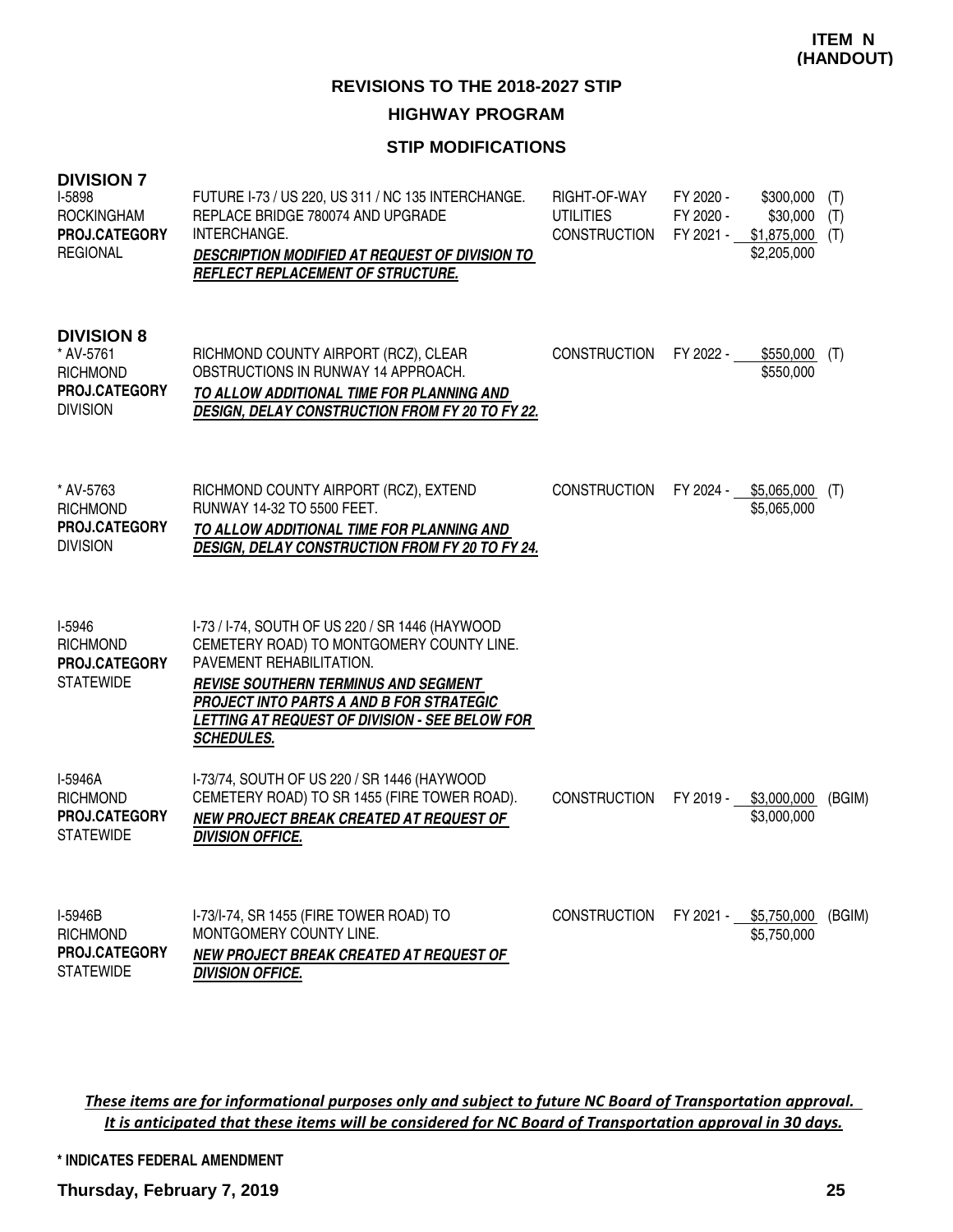## **STIP MODIFICATIONS**

| <b>DIVISION 7</b><br>I-5898<br><b>ROCKINGHAM</b><br>PROJ.CATEGORY<br><b>REGIONAL</b>  | FUTURE I-73 / US 220, US 311 / NC 135 INTERCHANGE.<br>REPLACE BRIDGE 780074 AND UPGRADE<br>INTERCHANGE.<br>DESCRIPTION MODIFIED AT REQUEST OF DIVISION TO<br>REFLECT REPLACEMENT OF STRUCTURE.                                                                                             | RIGHT-OF-WAY<br><b>UTILITIES</b><br><b>CONSTRUCTION</b> | FY 2020 -<br>FY 2020 -<br>FY 2021 - | \$300,000<br>\$30,000<br>$$1,875,000$ (T)<br>\$2,205,000 | (T)<br>(T) |
|---------------------------------------------------------------------------------------|--------------------------------------------------------------------------------------------------------------------------------------------------------------------------------------------------------------------------------------------------------------------------------------------|---------------------------------------------------------|-------------------------------------|----------------------------------------------------------|------------|
| <b>DIVISION 8</b><br>* AV-5761<br><b>RICHMOND</b><br>PROJ.CATEGORY<br><b>DIVISION</b> | RICHMOND COUNTY AIRPORT (RCZ), CLEAR<br>OBSTRUCTIONS IN RUNWAY 14 APPROACH.<br>TO ALLOW ADDITIONAL TIME FOR PLANNING AND<br><b>DESIGN, DELAY CONSTRUCTION FROM FY 20 TO FY 22.</b>                                                                                                         | <b>CONSTRUCTION</b>                                     | FY 2022 -                           | $$550,000$ (T)<br>\$550,000                              |            |
| * AV-5763<br><b>RICHMOND</b><br>PROJ.CATEGORY<br><b>DIVISION</b>                      | RICHMOND COUNTY AIRPORT (RCZ), EXTEND<br>RUNWAY 14-32 TO 5500 FEET.<br>TO ALLOW ADDITIONAL TIME FOR PLANNING AND<br>DESIGN, DELAY CONSTRUCTION FROM FY 20 TO FY 24.                                                                                                                        | <b>CONSTRUCTION</b>                                     | FY 2024 -                           | $$5,065,000$ (T)<br>\$5,065,000                          |            |
| <b>I-5946</b><br><b>RICHMOND</b><br>PROJ.CATEGORY<br><b>STATEWIDE</b>                 | I-73 / I-74, SOUTH OF US 220 / SR 1446 (HAYWOOD<br>CEMETERY ROAD) TO MONTGOMERY COUNTY LINE.<br>PAVEMENT REHABILITATION.<br><b>REVISE SOUTHERN TERMINUS AND SEGMENT</b><br>PROJECT INTO PARTS A AND B FOR STRATEGIC<br>LETTING AT REQUEST OF DIVISION - SEE BELOW FOR<br><b>SCHEDULES.</b> |                                                         |                                     |                                                          |            |
| I-5946A<br><b>RICHMOND</b><br><b>PROJ.CATEGORY</b><br><b>STATEWIDE</b>                | I-73/74, SOUTH OF US 220 / SR 1446 (HAYWOOD<br>CEMETERY ROAD) TO SR 1455 (FIRE TOWER ROAD).<br>NEW PROJECT BREAK CREATED AT REQUEST OF<br><b>DIVISION OFFICE.</b>                                                                                                                          | <b>CONSTRUCTION</b>                                     | FY 2019 -                           | \$3,000,000<br>\$3,000,000                               | (BGIM)     |
| I-5946B<br><b>RICHMOND</b><br><b>PROJ.CATEGORY</b><br><b>STATEWIDE</b>                | I-73/I-74, SR 1455 (FIRE TOWER ROAD) TO<br>MONTGOMERY COUNTY LINE.<br>NEW PROJECT BREAK CREATED AT REQUEST OF<br><b>DIVISION OFFICE.</b>                                                                                                                                                   | <b>CONSTRUCTION</b>                                     | FY 2021 -                           | \$5,750,000<br>\$5,750,000                               | (BGIM)     |

These items are for informational purposes only and subject to future NC Board of Transportation approval. It is anticipated that these items will be considered for NC Board of Transportation approval in 30 days.

**\* INDICATES FEDERAL AMENDMENT**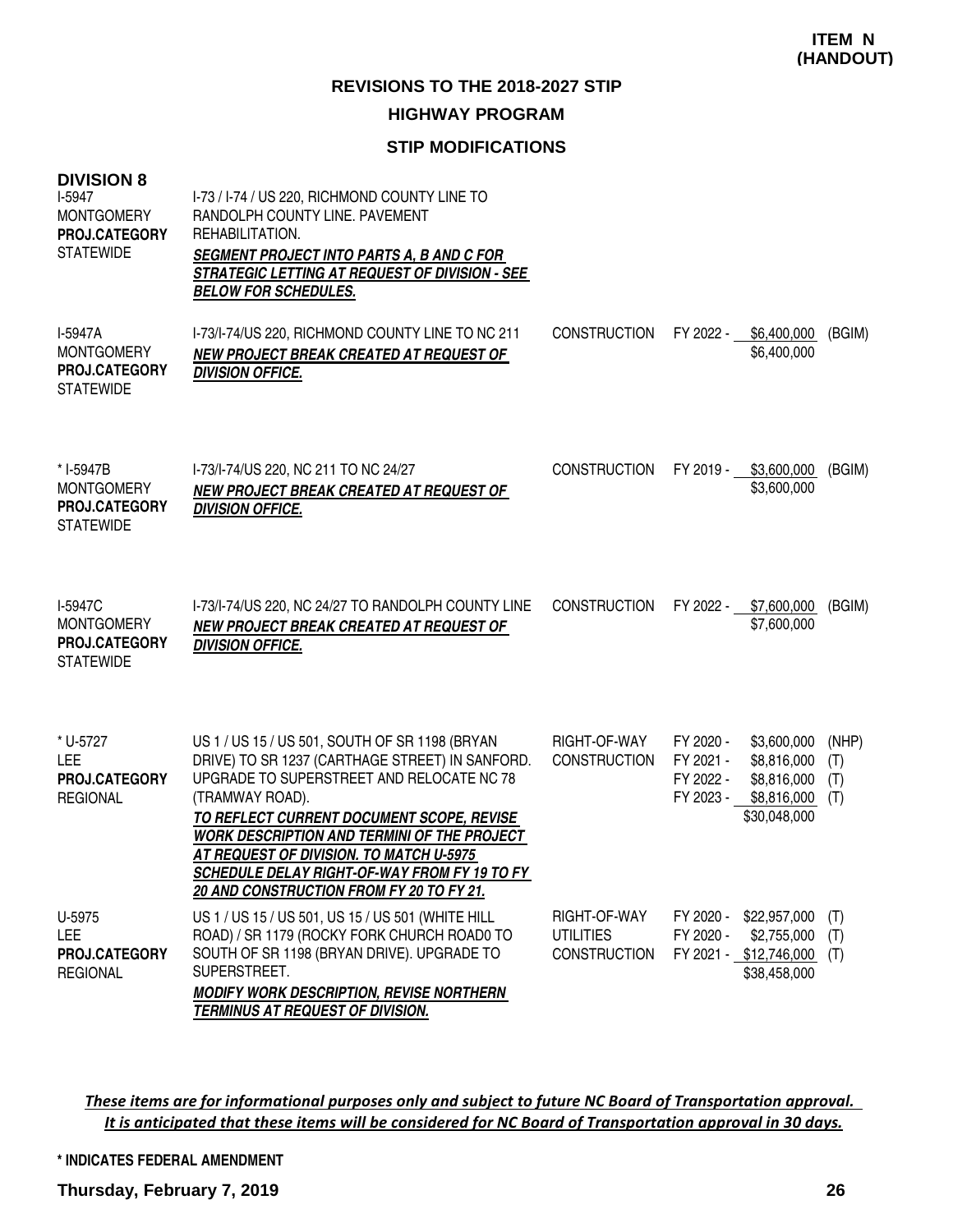## **STIP MODIFICATIONS**

| <b>DIVISION 8</b><br>I-5947<br><b>MONTGOMERY</b><br><b>PROJ.CATEGORY</b><br><b>STATEWIDE</b> | I-73 / I-74 / US 220, RICHMOND COUNTY LINE TO<br>RANDOLPH COUNTY LINE. PAVEMENT<br>REHABILITATION.<br><b>SEGMENT PROJECT INTO PARTS A, B AND C FOR</b><br>STRATEGIC LETTING AT REQUEST OF DIVISION - SEE<br><b>BELOW FOR SCHEDULES.</b>                                                                                                                                                                     |                                                         |                                                  |                                                                                 |                            |
|----------------------------------------------------------------------------------------------|-------------------------------------------------------------------------------------------------------------------------------------------------------------------------------------------------------------------------------------------------------------------------------------------------------------------------------------------------------------------------------------------------------------|---------------------------------------------------------|--------------------------------------------------|---------------------------------------------------------------------------------|----------------------------|
| I-5947A<br><b>MONTGOMERY</b><br>PROJ.CATEGORY<br><b>STATEWIDE</b>                            | I-73/I-74/US 220, RICHMOND COUNTY LINE TO NC 211<br>NEW PROJECT BREAK CREATED AT REQUEST OF<br><b>DIVISION OFFICE.</b>                                                                                                                                                                                                                                                                                      | <b>CONSTRUCTION</b>                                     | FY 2022 -                                        | \$6,400,000<br>\$6,400,000                                                      | (BGIM)                     |
| * I-5947B<br><b>MONTGOMERY</b><br>PROJ.CATEGORY<br><b>STATEWIDE</b>                          | I-73/I-74/US 220, NC 211 TO NC 24/27<br>NEW PROJECT BREAK CREATED AT REQUEST OF<br><b>DIVISION OFFICE.</b>                                                                                                                                                                                                                                                                                                  | <b>CONSTRUCTION</b>                                     |                                                  | FY 2019 - \$3,600,000<br>\$3,600,000                                            | (BGIM)                     |
| I-5947C<br><b>MONTGOMERY</b><br>PROJ.CATEGORY<br><b>STATEWIDE</b>                            | I-73/I-74/US 220, NC 24/27 TO RANDOLPH COUNTY LINE<br>NEW PROJECT BREAK CREATED AT REQUEST OF<br><b>DIVISION OFFICE.</b>                                                                                                                                                                                                                                                                                    | <b>CONSTRUCTION</b>                                     |                                                  | FY 2022 - \$7,600,000<br>\$7,600,000                                            | (BGIM)                     |
| * U-5727<br><b>LEE</b><br>PROJ.CATEGORY<br><b>REGIONAL</b>                                   | US 1 / US 15 / US 501, SOUTH OF SR 1198 (BRYAN<br>DRIVE) TO SR 1237 (CARTHAGE STREET) IN SANFORD.<br>UPGRADE TO SUPERSTREET AND RELOCATE NC 78<br>(TRAMWAY ROAD).<br>TO REFLECT CURRENT DOCUMENT SCOPE, REVISE<br><b>WORK DESCRIPTION AND TERMINI OF THE PROJECT</b><br>AT REQUEST OF DIVISION. TO MATCH U-5975<br>SCHEDULE DELAY RIGHT-OF-WAY FROM FY 19 TO FY<br>20 AND CONSTRUCTION FROM FY 20 TO FY 21. | RIGHT-OF-WAY<br><b>CONSTRUCTION</b>                     | FY 2020 -<br>FY 2021 -<br>FY 2022 -<br>FY 2023 - | \$3,600,000<br>\$8,816,000<br>\$8,816,000<br>\$8,816,000<br>\$30,048,000        | (NHP)<br>(T)<br>(T)<br>(T) |
| U-5975<br><b>LEE</b><br>PROJ.CATEGORY<br><b>REGIONAL</b>                                     | US 1 / US 15 / US 501, US 15 / US 501 (WHITE HILL<br>ROAD) / SR 1179 (ROCKY FORK CHURCH ROAD0 TO<br>SOUTH OF SR 1198 (BRYAN DRIVE). UPGRADE TO<br>SUPERSTREET.<br><b>MODIFY WORK DESCRIPTION, REVISE NORTHERN</b><br><b>TERMINUS AT REQUEST OF DIVISION.</b>                                                                                                                                                | RIGHT-OF-WAY<br><b>UTILITIES</b><br><b>CONSTRUCTION</b> | FY 2020 -                                        | FY 2020 - \$22,957,000<br>\$2,755,000<br>FY 2021 - \$12,746,000<br>\$38,458,000 | (T)<br>(T)<br>(T)          |

These items are for informational purposes only and subject to future NC Board of Transportation approval. It is anticipated that these items will be considered for NC Board of Transportation approval in 30 days.

#### **\* INDICATES FEDERAL AMENDMENT**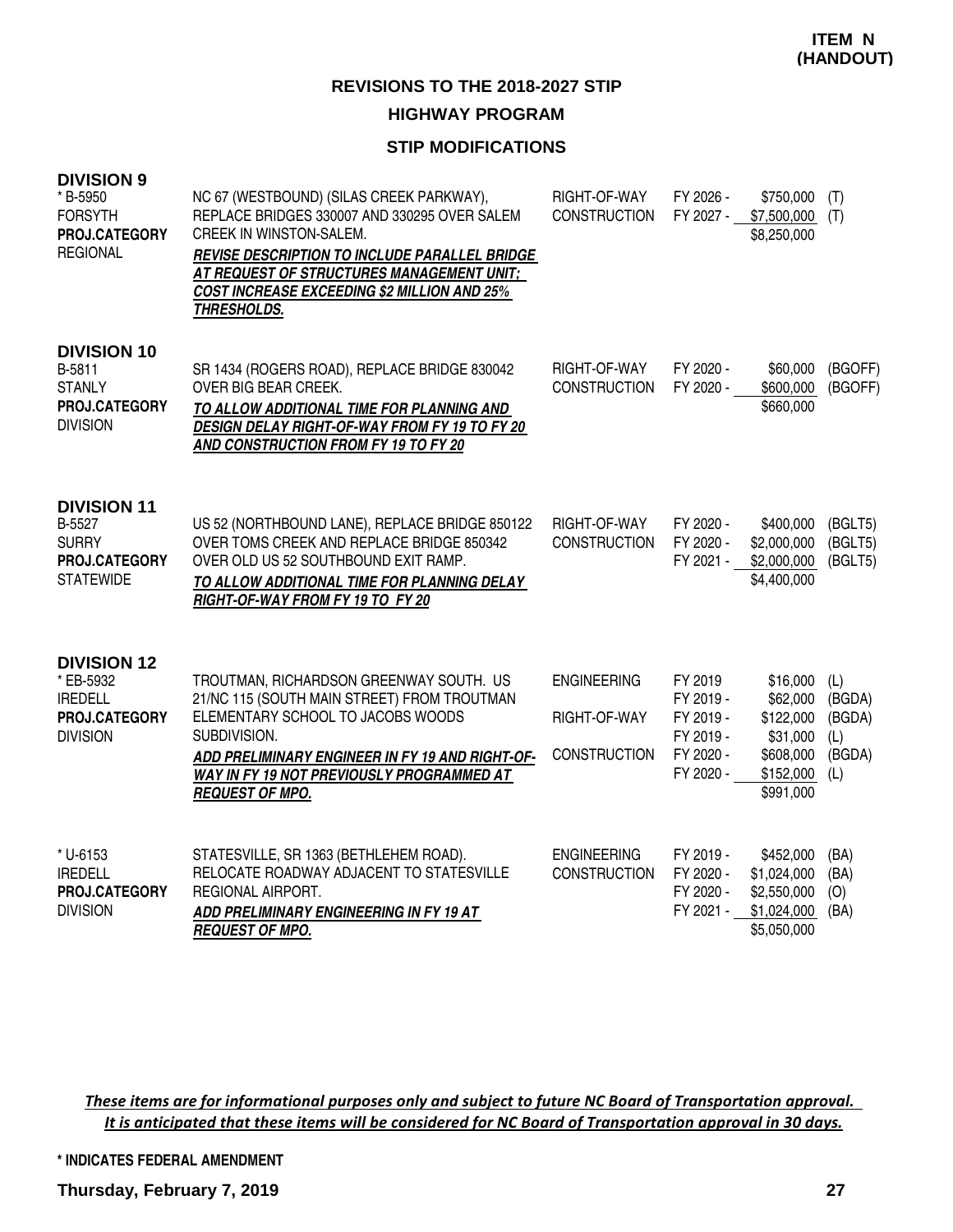### **STIP MODIFICATIONS**

| <b>DIVISION 9</b><br>* B-5950<br><b>FORSYTH</b><br>PROJ.CATEGORY<br><b>REGIONAL</b>   | NC 67 (WESTBOUND) (SILAS CREEK PARKWAY),<br>REPLACE BRIDGES 330007 AND 330295 OVER SALEM<br><b>CREEK IN WINSTON-SALEM.</b><br><b>REVISE DESCRIPTION TO INCLUDE PARALLEL BRIDGE</b><br>AT REQUEST OF STRUCTURES MANAGEMENT UNIT:<br><b>COST INCREASE EXCEEDING \$2 MILLION AND 25%</b><br>THRESHOLDS. | RIGHT-OF-WAY<br><b>CONSTRUCTION</b>                       | FY 2026 -<br>FY 2027 -                                                   | \$750,000<br>\$7,500,000<br>\$8,250,000                                                   | (T)<br>(T)                               |
|---------------------------------------------------------------------------------------|------------------------------------------------------------------------------------------------------------------------------------------------------------------------------------------------------------------------------------------------------------------------------------------------------|-----------------------------------------------------------|--------------------------------------------------------------------------|-------------------------------------------------------------------------------------------|------------------------------------------|
| <b>DIVISION 10</b><br>B-5811<br><b>STANLY</b><br>PROJ.CATEGORY<br><b>DIVISION</b>     | SR 1434 (ROGERS ROAD), REPLACE BRIDGE 830042<br>OVER BIG BEAR CREEK.<br>TO ALLOW ADDITIONAL TIME FOR PLANNING AND<br>DESIGN DELAY RIGHT-OF-WAY FROM FY 19 TO FY 20<br>AND CONSTRUCTION FROM FY 19 TO FY 20                                                                                           | RIGHT-OF-WAY<br><b>CONSTRUCTION</b>                       | FY 2020 -<br>FY 2020 -                                                   | \$60,000<br>\$600,000<br>\$660,000                                                        | (BGOFF)<br>(BGOFF)                       |
| <b>DIVISION 11</b><br>B-5527<br><b>SURRY</b><br>PROJ.CATEGORY<br><b>STATEWIDE</b>     | US 52 (NORTHBOUND LANE), REPLACE BRIDGE 850122<br>OVER TOMS CREEK AND REPLACE BRIDGE 850342<br>OVER OLD US 52 SOUTHBOUND EXIT RAMP.<br>TO ALLOW ADDITIONAL TIME FOR PLANNING DELAY<br>RIGHT-OF-WAY FROM FY 19 TO FY 20                                                                               | RIGHT-OF-WAY<br><b>CONSTRUCTION</b>                       | FY 2020 -<br>FY 2020 -<br>FY 2021 -                                      | \$400,000<br>\$2,000,000<br>\$2,000,000<br>\$4,400,000                                    | (BGLT5)<br>(BGLT5)<br>(BGLT5)            |
| <b>DIVISION 12</b><br>* EB-5932<br><b>IREDELL</b><br>PROJ.CATEGORY<br><b>DIVISION</b> | TROUTMAN, RICHARDSON GREENWAY SOUTH. US<br>21/NC 115 (SOUTH MAIN STREET) FROM TROUTMAN<br>ELEMENTARY SCHOOL TO JACOBS WOODS<br>SUBDIVISION.<br>ADD PRELIMINARY ENGINEER IN FY 19 AND RIGHT-OF-<br>WAY IN FY 19 NOT PREVIOUSLY PROGRAMMED AT<br><b>REQUEST OF MPO.</b>                                | <b>ENGINEERING</b><br>RIGHT-OF-WAY<br><b>CONSTRUCTION</b> | FY 2019<br>FY 2019 -<br>FY 2019 -<br>FY 2019 -<br>FY 2020 -<br>FY 2020 - | \$16,000<br>\$62,000<br>\$122,000<br>\$31,000<br>\$608,000<br>$$152,000$ (L)<br>\$991,000 | (L)<br>(BGDA)<br>(BGDA)<br>(L)<br>(BGDA) |
| * U-6153<br><b>IREDELL</b><br>PROJ.CATEGORY<br><b>DIVISION</b>                        | STATESVILLE, SR 1363 (BETHLEHEM ROAD).<br>RELOCATE ROADWAY ADJACENT TO STATESVILLE<br>REGIONAL AIRPORT.<br>ADD PRELIMINARY ENGINEERING IN FY 19 AT<br><b>REQUEST OF MPO.</b>                                                                                                                         | <b>ENGINEERING</b><br><b>CONSTRUCTION</b>                 | FY 2019 -<br>FY 2020 -<br>FY 2020 -<br>FY 2021 -                         | \$452,000<br>\$1,024,000<br>\$2,550,000<br>\$1,024,000<br>\$5,050,000                     | (BA)<br>(BA)<br>(O)<br>(BA)              |

These items are for informational purposes only and subject to future NC Board of Transportation approval. It is anticipated that these items will be considered for NC Board of Transportation approval in 30 days.

#### **\* INDICATES FEDERAL AMENDMENT**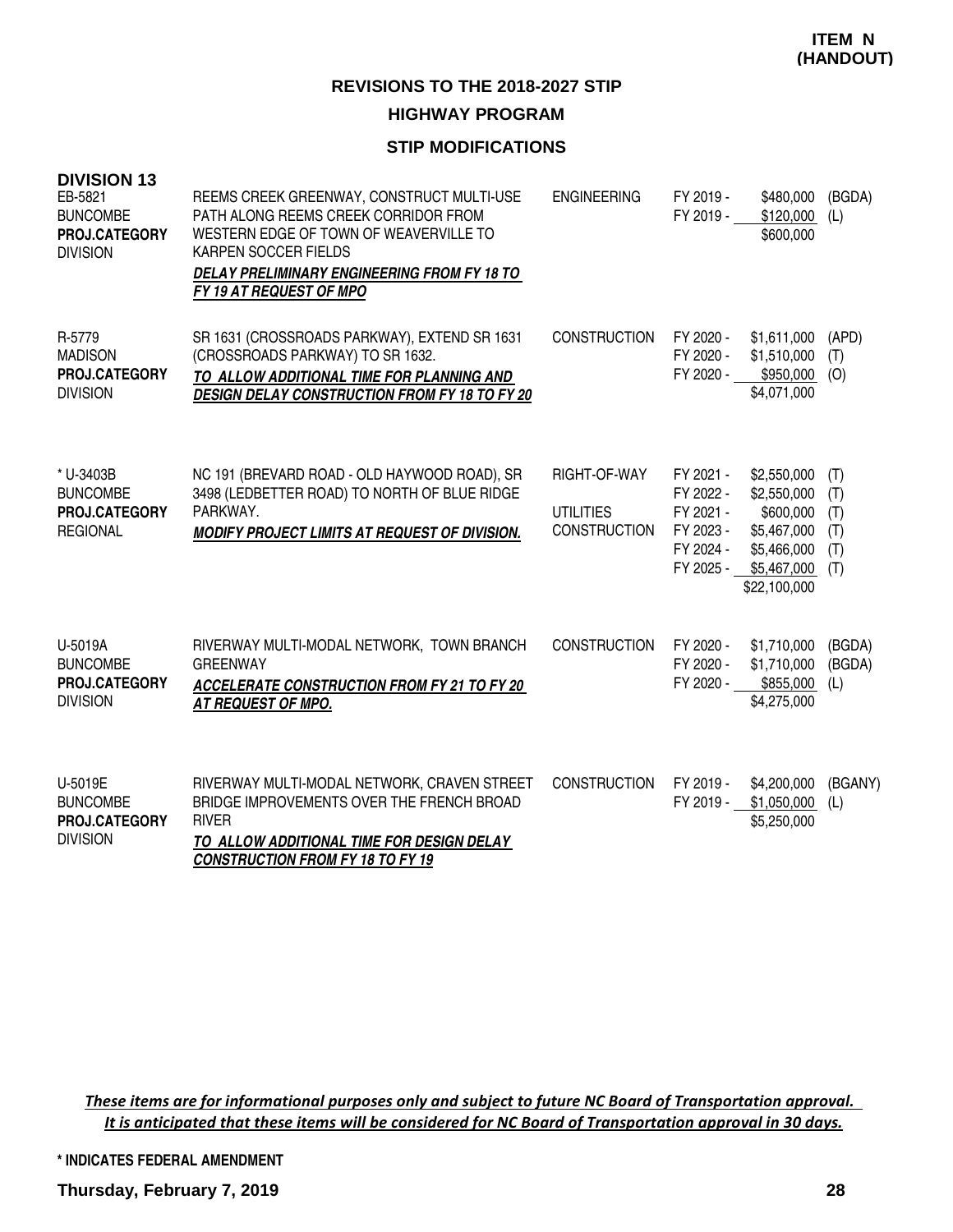## **STIP MODIFICATIONS**

| <b>DIVISION 13</b><br>EB-5821<br><b>BUNCOMBE</b><br>PROJ.CATEGORY<br><b>DIVISION</b> | REEMS CREEK GREENWAY, CONSTRUCT MULTI-USE<br>PATH ALONG REEMS CREEK CORRIDOR FROM<br>WESTERN EDGE OF TOWN OF WEAVERVILLE TO<br>KARPEN SOCCER FIELDS<br>DELAY PRELIMINARY ENGINEERING FROM FY 18 TO<br>FY 19 AT REQUEST OF MPO | <b>ENGINEERING</b>                                      | FY 2019 -<br>FY 2019 -                                                     | \$480,000<br>\$120,000<br>\$600,000                                                                  | (BGDA)<br>(L)                          |
|--------------------------------------------------------------------------------------|-------------------------------------------------------------------------------------------------------------------------------------------------------------------------------------------------------------------------------|---------------------------------------------------------|----------------------------------------------------------------------------|------------------------------------------------------------------------------------------------------|----------------------------------------|
| R-5779<br><b>MADISON</b><br>PROJ.CATEGORY<br><b>DIVISION</b>                         | SR 1631 (CROSSROADS PARKWAY), EXTEND SR 1631<br>(CROSSROADS PARKWAY) TO SR 1632.<br>TO ALLOW ADDITIONAL TIME FOR PLANNING AND<br><b>DESIGN DELAY CONSTRUCTION FROM FY 18 TO FY 20</b>                                         | <b>CONSTRUCTION</b>                                     | FY 2020 -<br>FY 2020 -<br>FY 2020 -                                        | \$1,611,000<br>\$1,510,000<br>\$950,000<br>\$4,071,000                                               | (APD)<br>(T)<br>(O)                    |
| * U-3403B<br><b>BUNCOMBE</b><br>PROJ.CATEGORY<br><b>REGIONAL</b>                     | NC 191 (BREVARD ROAD - OLD HAYWOOD ROAD), SR<br>3498 (LEDBETTER ROAD) TO NORTH OF BLUE RIDGE<br>PARKWAY.<br>MODIFY PROJECT LIMITS AT REQUEST OF DIVISION.                                                                     | RIGHT-OF-WAY<br><b>UTILITIES</b><br><b>CONSTRUCTION</b> | FY 2021 -<br>FY 2022 -<br>FY 2021 -<br>FY 2023 -<br>FY 2024 -<br>FY 2025 - | \$2,550,000<br>\$2,550,000<br>\$600,000<br>\$5,467,000<br>\$5,466,000<br>\$5,467,000<br>\$22,100,000 | (T)<br>(T)<br>(T)<br>(T)<br>(T)<br>(T) |
| U-5019A<br><b>BUNCOMBE</b><br>PROJ.CATEGORY<br><b>DIVISION</b>                       | RIVERWAY MULTI-MODAL NETWORK, TOWN BRANCH<br><b>GREENWAY</b><br><b>ACCELERATE CONSTRUCTION FROM FY 21 TO FY 20</b><br><b>AT REQUEST OF MPO.</b>                                                                               | <b>CONSTRUCTION</b>                                     | FY 2020 -<br>FY 2020 -<br>FY 2020 -                                        | \$1,710,000<br>\$1,710,000<br>\$855,000<br>\$4,275,000                                               | (BGDA)<br>(BGDA)<br>(L)                |
| U-5019E<br><b>BUNCOMBE</b><br>PROJ.CATEGORY<br><b>DIVISION</b>                       | RIVERWAY MULTI-MODAL NETWORK, CRAVEN STREET<br>BRIDGE IMPROVEMENTS OVER THE FRENCH BROAD<br><b>RIVER</b><br>TO ALLOW ADDITIONAL TIME FOR DESIGN DELAY<br><b>CONSTRUCTION FROM FY 18 TO FY 19</b>                              | <b>CONSTRUCTION</b>                                     | FY 2019 -<br>FY 2019 -                                                     | \$4,200,000<br>\$1,050,000<br>\$5,250,000                                                            | (BGANY)<br>(L)                         |

These items are for informational purposes only and subject to future NC Board of Transportation approval. It is anticipated that these items will be considered for NC Board of Transportation approval in 30 days.

**\* INDICATES FEDERAL AMENDMENT**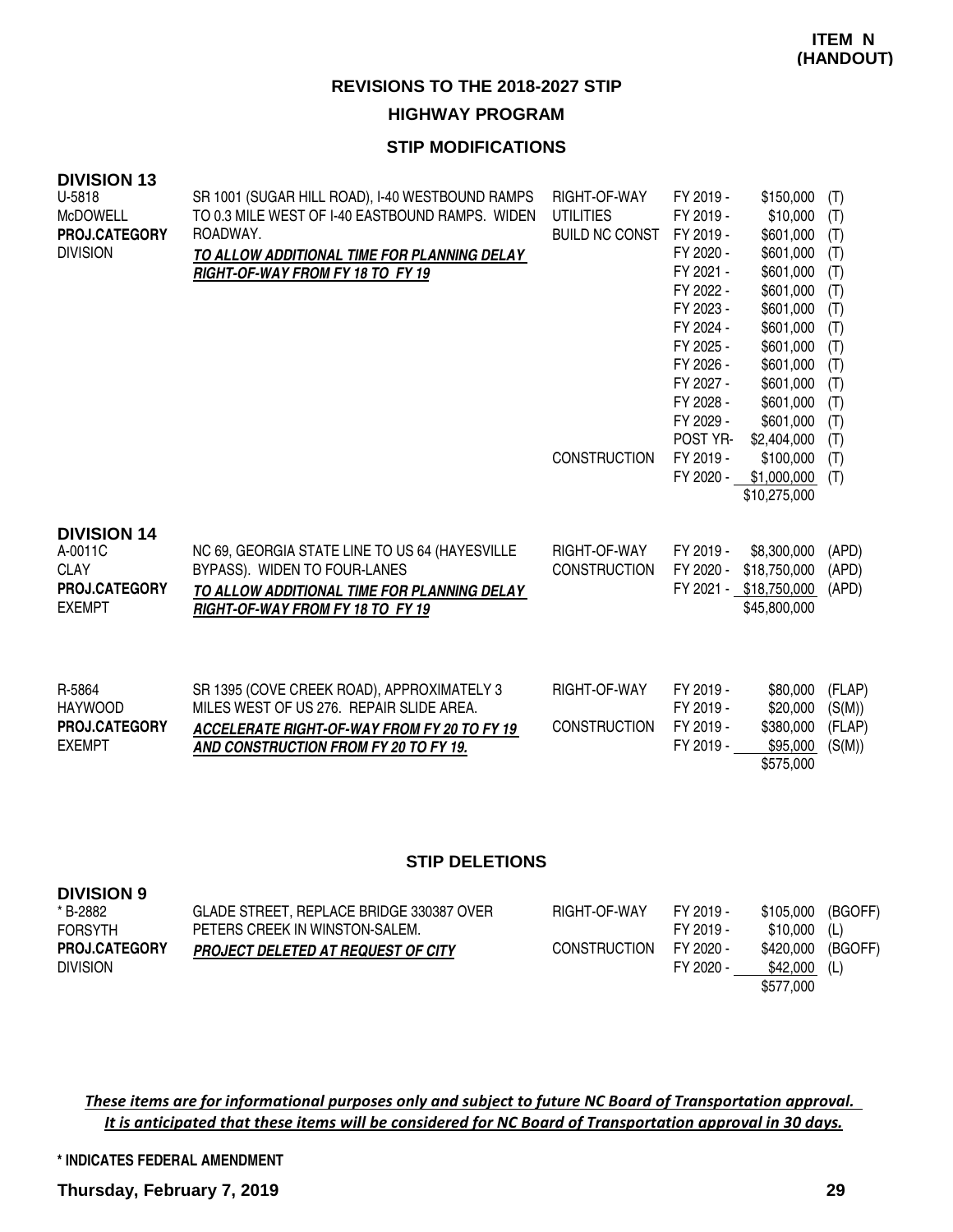#### **STIP MODIFICATIONS**

| <b>DIVISION 13</b><br>U-5818<br><b>McDOWELL</b><br>PROJ.CATEGORY<br><b>DIVISION</b> | SR 1001 (SUGAR HILL ROAD), I-40 WESTBOUND RAMPS<br>TO 0.3 MILE WEST OF I-40 EASTBOUND RAMPS. WIDEN<br>ROADWAY.<br>TO ALLOW ADDITIONAL TIME FOR PLANNING DELAY<br>RIGHT-OF-WAY FROM FY 18 TO FY 19 | RIGHT-OF-WAY<br><b>UTILITIES</b><br><b>BUILD NC CONST</b> | FY 2019 -<br>FY 2019 -<br>FY 2019 -<br>FY 2020 -<br>FY 2021 -<br>FY 2022 -<br>FY 2023 -<br>FY 2024 -<br>FY 2025 -<br>FY 2026 -<br>FY 2027 -<br>FY 2028 - | \$150,000<br>\$10,000<br>\$601,000<br>\$601,000<br>\$601,000<br>\$601,000<br>\$601,000<br>\$601,000<br>\$601,000<br>\$601,000<br>\$601,000<br>\$601,000 | (T)<br>(T)<br>(T)<br>(T)<br>(T)<br>(T)<br>(T)<br>(T)<br>(T)<br>(T)<br>(T)<br>(T) |
|-------------------------------------------------------------------------------------|---------------------------------------------------------------------------------------------------------------------------------------------------------------------------------------------------|-----------------------------------------------------------|----------------------------------------------------------------------------------------------------------------------------------------------------------|---------------------------------------------------------------------------------------------------------------------------------------------------------|----------------------------------------------------------------------------------|
|                                                                                     |                                                                                                                                                                                                   | <b>CONSTRUCTION</b>                                       | FY 2029 -<br>POST YR-<br>FY 2019 -<br>FY 2020 -                                                                                                          | \$601,000<br>\$2,404,000<br>\$100,000<br>\$1,000,000<br>\$10,275,000                                                                                    | (T)<br>(T)<br>(T)<br>(T)                                                         |
| <b>DIVISION 14</b><br>A-0011C<br><b>CLAY</b><br>PROJ.CATEGORY<br><b>EXEMPT</b>      | NC 69, GEORGIA STATE LINE TO US 64 (HAYESVILLE<br>BYPASS). WIDEN TO FOUR-LANES<br>TO ALLOW ADDITIONAL TIME FOR PLANNING DELAY<br>RIGHT-OF-WAY FROM FY 18 TO FY 19                                 | RIGHT-OF-WAY<br><b>CONSTRUCTION</b>                       | FY 2019 -<br>FY 2020 -                                                                                                                                   | \$8,300,000<br>\$18,750,000<br>FY 2021 - \$18,750,000<br>\$45,800,000                                                                                   | (APD)<br>(APD)<br>(APD)                                                          |
| R-5864<br><b>HAYWOOD</b><br><b>PROJ.CATEGORY</b><br><b>EXEMPT</b>                   | SR 1395 (COVE CREEK ROAD), APPROXIMATELY 3<br>MILES WEST OF US 276. REPAIR SLIDE AREA.<br><b>ACCELERATE RIGHT-OF-WAY FROM FY 20 TO FY 19</b><br>AND CONSTRUCTION FROM FY 20 TO FY 19.             | RIGHT-OF-WAY<br><b>CONSTRUCTION</b>                       | FY 2019 -<br>FY 2019 -<br>FY 2019 -<br>FY 2019 -                                                                                                         | \$80,000<br>\$20,000<br>\$380,000<br>\$95,000                                                                                                           | (FLAP)<br>(S(M))<br>(FLAP)<br>(S(M))                                             |

#### **STIP DELETIONS**

| <b>DIVISION 9</b>    |                                           |                     |           |           |         |
|----------------------|-------------------------------------------|---------------------|-----------|-----------|---------|
| * B-2882             | GLADE STREET. REPLACE BRIDGE 330387 OVER  | RIGHT-OF-WAY        | FY 2019 - | \$105.000 | (BGOFF) |
| <b>FORSYTH</b>       | PETERS CREEK IN WINSTON-SALEM.            |                     | FY 2019 - | \$10.000  | (L)     |
| <b>PROJ.CATEGORY</b> | <b>PROJECT DELETED AT REQUEST OF CITY</b> | <b>CONSTRUCTION</b> | FY 2020 - | \$420,000 | (BGOFF) |
| <b>DIVISION</b>      |                                           |                     | FY 2020 - | \$42,000  | (L)     |
|                      |                                           |                     |           | \$577,000 |         |

These items are for informational purposes only and subject to future NC Board of Transportation approval. It is anticipated that these items will be considered for NC Board of Transportation approval in 30 days.

#### **\* INDICATES FEDERAL AMENDMENT**

**Thursday, February 7, 2019 29**

\$575,000